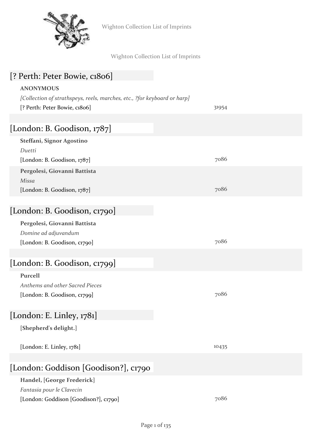

Wighton Collection List of Imprints

### Wighton Collection List of Imprints

| [? Perth: Peter Bowie, c1806]                                            |       |
|--------------------------------------------------------------------------|-------|
| <b>ANONYMOUS</b>                                                         |       |
| [Collection of strathspeys, reels, marches, etc., ?for keyboard or harp] |       |
| [? Perth: Peter Bowie, c1806]                                            | 31954 |
|                                                                          |       |
| [London: B. Goodison, $1787$ ]                                           |       |
| Steffani, Signor Agostino<br>Duetti                                      |       |
| [London: B. Goodison, 1787]                                              | 7086  |
| Pergolesi, Giovanni Battista                                             |       |
| Missa                                                                    |       |
| [London: B. Goodison, 1787]                                              | 7086  |
|                                                                          |       |
| [London: B. Goodison, c1790]                                             |       |
| Pergolesi, Giovanni Battista                                             |       |
| Domine ad adjuvandum                                                     |       |
| [London: B. Goodison, c1790]                                             | 7086  |
| [London: B. Goodison, c1799]                                             |       |
| Purcell                                                                  |       |
| Anthems and other Sacred Pieces                                          |       |
| [London: B. Goodison, c1799]                                             | 7086  |
| [London: E. Linley, $1781$ ]                                             |       |
|                                                                          |       |
| [Shepherd's delight.]                                                    |       |
| [London: E. Linley, 1781]                                                | 10435 |
|                                                                          |       |
| [London: Goddison [Goodison?], c1790                                     |       |
| Handel, [George Frederick]                                               |       |
| Fantasia pour le Clavecin                                                |       |
| [London: Goddison [Goodison?], c1790]                                    | 7086  |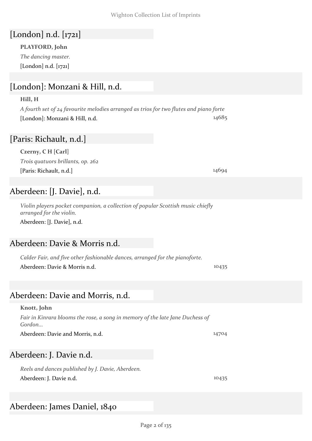# [London] n.d. [1721]

**PLAYFORD, John** *The dancing master.* [London] n.d. [1721]

# [London]: Monzani & Hill, n.d.

#### **Hill, H**

*A fourth set of 24 favourite melodies arranged as trios for two flutes and piano forte* [London]: Monzani & Hill, n.d. 14685

### [Paris: Richault, n.d.]

**Czerny, C H [Carl]** *Trois quatuors brillants, op. 262* [Paris: Richault, n.d.] 14694

Aberdeen: [J. Davie], n.d.

*Violin players pocket companion, a collection of popular Scottish music chiefly arranged for the violin.* Aberdeen: [J. Davie], n.d.

### Aberdeen: Davie & Morris n.d.

*Calder Fair, and five other fashionable dances, arranged for the pianoforte.* Aberdeen: Davie & Morris n.d. 10435

### Aberdeen: Davie and Morris, n.d.

#### **Knott, John**

*Fair in Kinrara blooms the rose, a song in memory of the late Jane Duchess of Gordon...*

Aberdeen: Davie and Morris, n.d. 14704

### Aberdeen: J. Davie n.d.

*Reels and dances published by J. Davie, Aberdeen.* Aberdeen: J. Davie n.d. 10435

# Aberdeen: James Daniel, 1840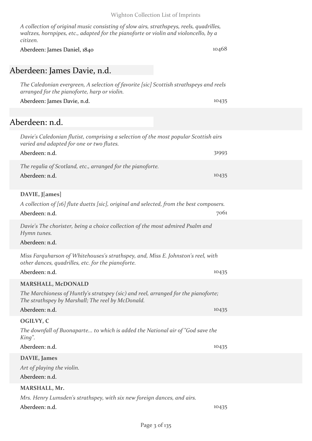#### Wighton Collection List of Imprints

*A collection of original music consisting of slow airs, strathspeys, reels, quadrilles, waltzes, hornpipes, etc., adapted for the pianoforte or violin and violoncello, by a citizen.*

Aberdeen: James Daniel, 1840 10468

### Aberdeen: James Davie, n.d.

*The Caledonian evergreen, A selection of favorite [sic] Scottish strathspeys and reels arranged for the pianoforte, harp or violin.*

Aberdeen: James Davie, n.d. 10435

### Aberdeen: n.d.

| Davie's Caledonian flutist, comprising a selection of the most popular Scottish airs<br>varied and adapted for one or two flutes.                        |       |
|----------------------------------------------------------------------------------------------------------------------------------------------------------|-------|
| Aberdeen: n.d.                                                                                                                                           | 31993 |
| The regalia of Scotland, etc., arranged for the pianoforte.<br>Aberdeen: n.d.                                                                            | 10435 |
| DAVIE, J[ames]<br>A collection of [16] flute duetts [sic], original and selected, from the best composers.<br>Aberdeen: n.d.                             | 7061  |
| Davie's The chorister, being a choice collection of the most admired Psalm and<br>Hymn tunes.<br>Aberdeen: n.d.                                          |       |
| Miss Farquharson of Whitehouses's strathspey, and, Miss E. Johnston's reel, with<br>other dances, quadrilles, etc. for the pianoforte.<br>Aberdeen: n.d. | 10435 |
| MARSHALL, McDONALD                                                                                                                                       |       |
| The Marchioness of Huntly's stratspey (sic) and reel, arranged for the pianoforte;<br>The strathspey by Marshall; The reel by McDonald.                  |       |
| Aberdeen: n.d.                                                                                                                                           | 10435 |
| OGILVY, C                                                                                                                                                |       |
| The downfall of Buonaparte to which is added the National air of "God save the<br>King".                                                                 |       |
| Aberdeen: n.d.                                                                                                                                           | 10435 |
| DAVIE, James                                                                                                                                             |       |
| Art of playing the violin.                                                                                                                               |       |
| Aberdeen: n.d.                                                                                                                                           |       |
| MARSHALL, Mr.                                                                                                                                            |       |
| Mrs. Henry Lumsden's strathspey, with six new foreign dances, and airs.                                                                                  |       |
| Aberdeen: n.d.                                                                                                                                           | 10435 |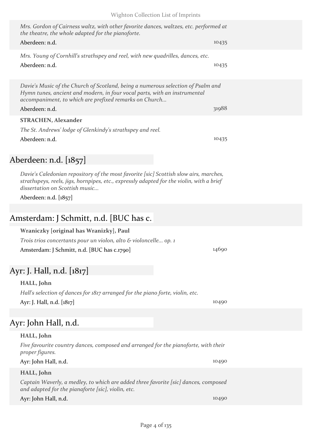| Mrs. Gordon of Cairness waltz, with other favorite dances, waltzes, etc. performed at<br>the theatre, the whole adapted for the pianoforte.<br>Aberdeen: n.d.                                                                                 | 10435 |
|-----------------------------------------------------------------------------------------------------------------------------------------------------------------------------------------------------------------------------------------------|-------|
| Mrs. Young of Cornhill's strathspey and reel, with new quadrilles, dances, etc.<br>Aberdeen: n.d.                                                                                                                                             | 10435 |
| Davie's Music of the Church of Scotland, being a numerous selection of Psalm and<br>Hymn tunes, ancient and modern, in four vocal parts, with an instrumental<br>accompaniment, to which are prefixed remarks on Church<br>Aberdeen: n.d.     | 31988 |
| <b>STRACHEN, Alexander</b>                                                                                                                                                                                                                    |       |
| The St. Andrews' lodge of Glenkindy's strathspey and reel.<br>Aberdeen: n.d.                                                                                                                                                                  | 10435 |
| Aberdeen: n.d. [1857]                                                                                                                                                                                                                         |       |
| Davie's Caledonian repository of the most favorite [sic] Scottish slow airs, marches,<br>strathspeys, reels, jigs, hornpipes, etc., expressly adapted for the violin, with a brief<br>dissertation on Scottish music<br>Aberdeen: n.d. [1857] |       |
|                                                                                                                                                                                                                                               |       |
| Amsterdam: J Schmitt, n.d. [BUC has c.                                                                                                                                                                                                        |       |
| Wraniczky [original has Wranizky], Paul<br>Trois trios concertants pour un violon, alto & violoncelle op. 1<br>Amsterdam: J Schmitt, n.d. [BUC has c.1790]                                                                                    | 14690 |
| Ayr: J. Hall, n.d. [1817]                                                                                                                                                                                                                     |       |
| HALL, John<br>Hall's selection of dances for 1817 arranged for the piano forte, violin, etc.<br>Ayr: J. Hall, n.d. [1817]                                                                                                                     | 10490 |
| Ayr: John Hall, n.d.                                                                                                                                                                                                                          |       |
| HALL, John                                                                                                                                                                                                                                    |       |
| Five favourite country dances, composed and arranged for the pianoforte, with their<br>proper figures.                                                                                                                                        |       |
| Ayr: John Hall, n.d.                                                                                                                                                                                                                          | 10490 |
| HALL, John                                                                                                                                                                                                                                    |       |
| Captain Waverly, a medley, to which are added three favorite [sic] dances, composed<br>and adapted for the pianaforte [sic], violin, etc.                                                                                                     |       |
| Ayr: John Hall, n.d.                                                                                                                                                                                                                          | 10490 |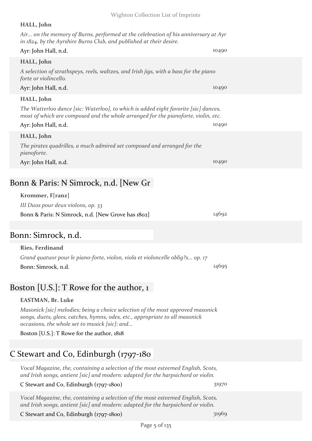| HALL, John                                                                                                                                                                                                       |       |
|------------------------------------------------------------------------------------------------------------------------------------------------------------------------------------------------------------------|-------|
| Air on the memory of Burns, performed at the celebration of his anniversary at Ayr<br>in 1824, by the Ayrshire Burns Club, and published at their desire.                                                        |       |
| Ayr: John Hall, n.d.                                                                                                                                                                                             | 10490 |
| HALL, John                                                                                                                                                                                                       |       |
| A selection of strathspeys, reels, waltzes, and Irish jigs, with a bass for the piano<br>forte or violincello.                                                                                                   |       |
| Ayr: John Hall, n.d.                                                                                                                                                                                             | 10490 |
| HALL, John                                                                                                                                                                                                       |       |
| The Watterloo dance [sic: Waterloo], to which is added eight favorite [sic] dances,<br>most of which are composed and the whole arranged for the pianoforte, violin, etc.                                        |       |
| Ayr: John Hall, n.d.                                                                                                                                                                                             | 10490 |
| HALL, John                                                                                                                                                                                                       |       |
| The pirates quadrilles, a much admired set composed and arranged for the<br>pianoforte.                                                                                                                          |       |
| Ayr: John Hall, n.d.                                                                                                                                                                                             | 10490 |
|                                                                                                                                                                                                                  |       |
| Bonn & Paris: N Simrock, n.d. [New Gr                                                                                                                                                                            |       |
| Krommer, F[ranz]                                                                                                                                                                                                 |       |
| III Duos pour deux violons, op. 33                                                                                                                                                                               |       |
| Bonn & Paris: N Simrock, n.d. [New Grove has 1802]                                                                                                                                                               | 14692 |
|                                                                                                                                                                                                                  |       |
| Bonn: Simrock, n.d.                                                                                                                                                                                              |       |
| <b>Ries, Ferdinand</b>                                                                                                                                                                                           |       |
| Grand quatuor pour le piano-forte, violon, viola et violoncelle oblig?s op. 17                                                                                                                                   |       |
| Bonn: Simrock, n.d.                                                                                                                                                                                              | 14695 |
|                                                                                                                                                                                                                  |       |
| Boston [U.S.]: T Rowe for the author, 1                                                                                                                                                                          |       |
| EASTMAN, Br. Luke                                                                                                                                                                                                |       |
| Masonick [sic] melodies; being a choice selection of the most approved masonick<br>songs, duets, glees, catches, hymns, odes, etc., appropriate to all masonick<br>occasions, the whole set to musick [sic]: and |       |
| Boston [U.S.]: T Rowe for the author, 1818                                                                                                                                                                       |       |
|                                                                                                                                                                                                                  |       |
| C Stewart and Co, Edinburgh (1797-180                                                                                                                                                                            |       |
| Vocal Magazine, the, containing a selection of the most esteemed English, Scots,                                                                                                                                 |       |
| and Irish songs, antient [sic] and modern: adapted for the harpsichord or violin.                                                                                                                                |       |
| C Stewart and Co, Edinburgh (1797-1800)                                                                                                                                                                          | 31970 |
|                                                                                                                                                                                                                  |       |

*Vocal Magazine, the, containing a selection of the most esteemed English, Scots, and Irish songs, antient [sic] and modern: adapted for the harpsichord or violin.*

C Stewart and Co, Edinburgh (1797-1800) 31969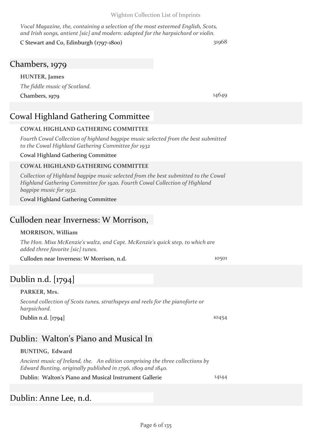#### Wighton Collection List of Imprints

*Vocal Magazine, the, containing a selection of the most esteemed English, Scots, and Irish songs, antient [sic] and modern: adapted for the harpsichord or violin.* C Stewart and Co, Edinburgh (1797-1800) 31968

### Chambers, 1979

**HUNTER, James** *The fiddle music of Scotland.* Chambers, 1979 14649

### Cowal Highland Gathering Committee

#### **COWAL HIGHLAND GATHERING COMMITTEE**

*Fourth Cowal Collection of highland bagpipe music selected from the best submitted to the Cowal Highland Gathering Committee for 1932*

#### Cowal Highland Gathering Committee

#### **COWAL HIGHLAND GATHERING COMMITTEE**

*Collection of Highland bagpipe music selected from the best submitted to the Cowal Highland Gathering Committee for 1920. Fourth Cowal Collection of Highland bagpipe music for 1932.*

Cowal Highland Gathering Committee

### Culloden near Inverness: W Morrison,

#### **MORRISON, William**

*The Hon. Miss McKenzie's waltz, and Capt. McKenzie's quick step, to which are added three favorite [sic] tunes.*

Culloden near Inverness: W Morrison, n.d. 10501

### Dublin n.d. [1794]

#### **PARKER, Mrs.**

*Second collection of Scots tunes, strathspeys and reels for the pianoforte or harpsichord.*

Dublin n.d. [1794] 10454

### Dublin: Walton's Piano and Musical In

#### **BUNTING, Edward**

*Ancient music of Ireland, the. An edition comprising the three collections by Edward Bunting, originally published in 1796, 1809 and 1840.*

Dublin: Walton's Piano and Musical Instrument Gallerie 14144

### Dublin: Anne Lee, n.d.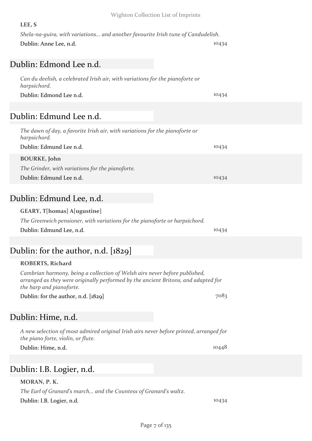|  | Wighton Collection List of Imprints |  |  |  |
|--|-------------------------------------|--|--|--|
|--|-------------------------------------|--|--|--|

| Shela-na-quira, with variations and another favourite Irish tune of Candudelish. |       |
|----------------------------------------------------------------------------------|-------|
| Dublin: Anne Lee, n.d.                                                           | 10434 |
|                                                                                  |       |
| Dublin: Edmond Lee n.d.                                                          |       |
| Can du deelish, a celebrated Irish air, with variations for the pianoforte or    |       |

*harpsichord.* Dublin: Edmond Lee n.d. 10434

**LEE, S**

## Dublin: Edmund Lee n.d.

| The dawn of day, a favorite Irish air, with variations for the pianoforte or<br>harpsichord. |       |
|----------------------------------------------------------------------------------------------|-------|
| Dublin: Edmund Lee n.d.                                                                      | 10434 |
| <b>BOURKE, John</b>                                                                          |       |
| The Grinder, with variations for the pianoforte.                                             |       |
| Dublin: Edmund Lee n.d.                                                                      | 10434 |

# Dublin: Edmund Lee, n.d.

| <b>GEARY, T[homas] A[ugustine]</b>                                          |       |
|-----------------------------------------------------------------------------|-------|
| The Greenwich pensioner, with variations for the pianoforte or harpsichord. |       |
| Dublin: Edmund Lee, n.d.                                                    | 10434 |

# Dublin: for the author, n.d. [1829]

| <b>ROBERTS, Richard</b>                                                            |
|------------------------------------------------------------------------------------|
| Cambrian harmony, being a collection of Welsh airs never before published,         |
| arranged as they were originally performed by the ancient Britons, and adapted for |
| the harp and pianoforte.                                                           |

Dublin: for the author, n.d.  $[1829]$  7083

# Dublin: Hime, n.d.

*A new selection of most admired original Irish airs never before printed, arranged for the piano forte, violin, or flute.*

Dublin: Hime, n.d. 10448

# Dublin: I.B. Logier, n.d.

| MORAN, P. K. |  |
|--------------|--|
|--------------|--|

*The Earl of Granard's march... and the Countess of Granard's waltz.*

Dublin: I.B. Logier, n.d. 10434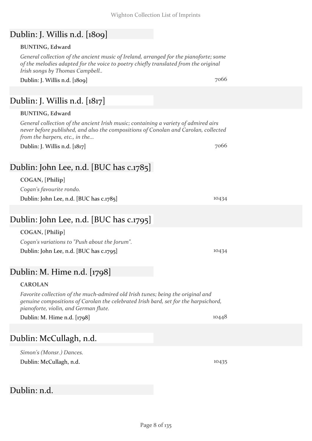### Dublin: J. Willis n.d. [1809]

#### **BUNTING, Edward**

*General collection of the ancient music of Ireland, arranged for the pianoforte; some of the melodies adapted for the voice to poetry chiefly translated from the original Irish songs by Thomas Campbell..*

Dublin: J. Willis n.d. [1809] 7066

# Dublin: J. Willis n.d. [1817]

#### **BUNTING, Edward**

*General collection of the ancient Irish music; containing a variety of admired airs never before published, and also the compositions of Conolan and Carolan, collected from the harpers, etc., in the...*

Dublin: J. Willis n.d. [1817] 7066

### Dublin: John Lee, n.d. [BUC has c.1785]

#### **COGAN, [Philip]**

*Cogan's favourite rondo.* Dublin: John Lee, n.d. [BUC has c.1785] 10434

### Dublin: John Lee, n.d. [BUC has c.1795]

#### **COGAN, [Philip]**

*Cogan's variations to "Push about the Jorum".* Dublin: John Lee, n.d. [BUC has c.1795] 10434

### Dublin: M. Hime n.d. [1798]

#### **CAROLAN**

*Favorite collection of the much-admired old Irish tunes; being the original and genuine compositions of Carolan the celebrated Irish bard, set for the harpsichord, pianoforte, violin, and German flute.*

Dublin: M. Hime n.d. [1798] 10448

### Dublin: McCullagh, n.d.

*Simon's (Monsr.) Dances.* Dublin: McCullagh, n.d. 10435

### Dublin: n.d.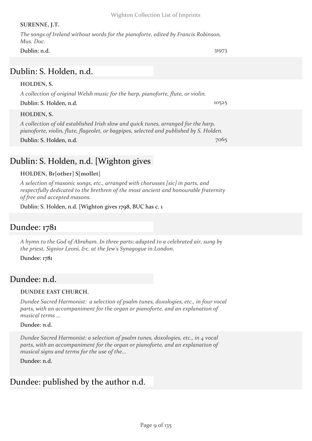#### **SURENNE, J.T.**

| The songs of Ireland without words for the pianoforte, edited by Francis Robinson, |       |
|------------------------------------------------------------------------------------|-------|
| Mus. Doc.                                                                          |       |
| Dublin: n.d.                                                                       | 31973 |

### Dublin: S. Holden, n.d.

#### **HOLDEN, S.**

*A collection of original Welsh music for the harp, pianoforte, flute, or violin.*

| Dublin: S. Holden, n.d. | 10525 |
|-------------------------|-------|
|-------------------------|-------|

#### **HOLDEN, S.**

*A collection of old established Irish slow and quick tunes, arranged for the harp, pianoforte, violin, flute, flageolet, or bagpipes, selected and published by S. Holden.* Dublin: S. Holden, n.d. 7065

### Dublin: S. Holden, n.d. [Wighton gives

#### **HOLDEN, Br[other] S[mollet]**

*A selection of masonic songs, etc., arranged with chorusses [sic] in parts, and respectfully dedicated to the brethren of the most ancient and honourable fraternity of free and accepted masons.*

Dublin: S. Holden, n.d. [Wighton gives 1798, BUC has c. 1

### Dundee: 1781

*A hymn to the God of Abraham. In three parts: adapted to a celebrated air, sung by the priest, Signior Leoni, &c. at the Jew's Synagogue in London.*

Dundee: 1781

### Dundee: n.d.

#### **DUNDEE EAST CHURCH.**

*Dundee Sacred Harmonist: a selection of psalm tunes, doxologies, etc., in four vocal parts, with an accompaniment for the organ or pianoforte, and an explanation of musical terms ...*

#### Dundee: n.d.

*Dundee Sacred Harmonist: a selection of psalm tunes, doxologies, etc., in 4 vocal parts, with an accompaniment for the organ or pianoforte, and an explanation of musical signs and terms for the use of the...*

Dundee: n.d.

### Dundee: published by the author n.d.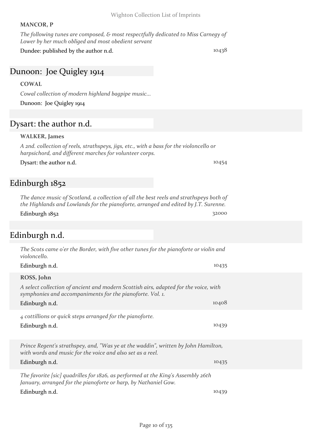#### **MANCOR, P**

*The following tunes are composed, & most respectfully dedicated to Miss Carnegy of Lower by her much obliged and most obedient servant*

Dundee: published by the author n.d. 10438

### Dunoon: Joe Quigley 1914

#### **COWAL**

*Cowal collection of modern highland bagpipe music...*

Dunoon: Joe Quigley 1914

## Dysart: the author n.d.

#### **WALKER, James**

*A 2nd. collection of reels, strathspeys, jigs, etc., with a bass for the violoncello or harpsichord, and different marches for volunteer corps.*

Dysart: the author n.d. 10454

### Edinburgh 1852

*The dance music of Scotland, a collection of all the best reels and strathspeys both of the Highlands and Lowlands for the pianoforte, arranged and edited by J.T. Surenne.* Edinburgh 1852 32000

### Edinburgh n.d.

| The Scots came o'er the Border, with five other tunes for the pianoforte or violin and<br>violoncello.                                                                            |       |
|-----------------------------------------------------------------------------------------------------------------------------------------------------------------------------------|-------|
| Edinburgh n.d.                                                                                                                                                                    | 10435 |
| ROSS, John<br>A select collection of ancient and modern Scottish airs, adapted for the voice, with<br>symphonies and accompaniments for the pianoforte. Vol. 1.<br>Edinburgh n.d. | 10408 |
| 4 cottillions or quick steps arranged for the pianoforte.<br>Edinburgh n.d.                                                                                                       | 10439 |
| Prince Regent's strathspey, and, "Was ye at the waddin", written by John Hamilton,<br>with words and music for the voice and also set as a reel.<br>Edinburgh n.d.                | 10435 |
| The favorite [sic] quadrilles for 1826, as performed at the King's Assembly 26th<br>January, arranged for the pianoforte or harp, by Nathaniel Gow.<br>Edinburgh n.d.             | 10439 |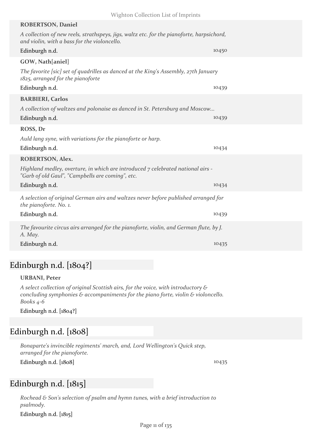| A collection of new reels, strathspeys, jigs, waltz etc. for the pianoforte, harpsichord,<br>and violin, with a bass for the violoncello.<br>Edinburgh n.d.<br>10450<br>GOW, Nath[aniel]<br>The favorite [sic] set of quadrilles as danced at the King's Assembly, 27th January<br>1825, arranged for the pianoforte<br>Edinburgh n.d.<br>10439<br><b>BARBIERI, Carlos</b><br>A collection of waltzes and polonaise as danced in St. Petersburg and Moscow<br>Edinburgh n.d.<br>10439<br>ROSS, Dr<br>Auld lang syne, with variations for the pianoforte or harp.<br>10434<br>ROBERTSON, Alex.<br>Highland medley, overture, in which are introduced 7 celebrated national airs -<br>"Garb of old Gaul", "Campbells are coming", etc.<br>Edinburgh n.d.<br>10434<br>A selection of original German airs and waltzes never before published arranged for<br>the pianoforte. No. 1. | <b>ROBERTSON, Daniel</b> |       |
|----------------------------------------------------------------------------------------------------------------------------------------------------------------------------------------------------------------------------------------------------------------------------------------------------------------------------------------------------------------------------------------------------------------------------------------------------------------------------------------------------------------------------------------------------------------------------------------------------------------------------------------------------------------------------------------------------------------------------------------------------------------------------------------------------------------------------------------------------------------------------------|--------------------------|-------|
|                                                                                                                                                                                                                                                                                                                                                                                                                                                                                                                                                                                                                                                                                                                                                                                                                                                                                  |                          |       |
|                                                                                                                                                                                                                                                                                                                                                                                                                                                                                                                                                                                                                                                                                                                                                                                                                                                                                  |                          |       |
|                                                                                                                                                                                                                                                                                                                                                                                                                                                                                                                                                                                                                                                                                                                                                                                                                                                                                  |                          |       |
|                                                                                                                                                                                                                                                                                                                                                                                                                                                                                                                                                                                                                                                                                                                                                                                                                                                                                  |                          |       |
|                                                                                                                                                                                                                                                                                                                                                                                                                                                                                                                                                                                                                                                                                                                                                                                                                                                                                  |                          |       |
|                                                                                                                                                                                                                                                                                                                                                                                                                                                                                                                                                                                                                                                                                                                                                                                                                                                                                  |                          |       |
|                                                                                                                                                                                                                                                                                                                                                                                                                                                                                                                                                                                                                                                                                                                                                                                                                                                                                  |                          |       |
|                                                                                                                                                                                                                                                                                                                                                                                                                                                                                                                                                                                                                                                                                                                                                                                                                                                                                  |                          |       |
|                                                                                                                                                                                                                                                                                                                                                                                                                                                                                                                                                                                                                                                                                                                                                                                                                                                                                  |                          |       |
|                                                                                                                                                                                                                                                                                                                                                                                                                                                                                                                                                                                                                                                                                                                                                                                                                                                                                  |                          |       |
|                                                                                                                                                                                                                                                                                                                                                                                                                                                                                                                                                                                                                                                                                                                                                                                                                                                                                  | Edinburgh n.d.           |       |
|                                                                                                                                                                                                                                                                                                                                                                                                                                                                                                                                                                                                                                                                                                                                                                                                                                                                                  |                          |       |
|                                                                                                                                                                                                                                                                                                                                                                                                                                                                                                                                                                                                                                                                                                                                                                                                                                                                                  |                          |       |
|                                                                                                                                                                                                                                                                                                                                                                                                                                                                                                                                                                                                                                                                                                                                                                                                                                                                                  |                          |       |
|                                                                                                                                                                                                                                                                                                                                                                                                                                                                                                                                                                                                                                                                                                                                                                                                                                                                                  |                          |       |
|                                                                                                                                                                                                                                                                                                                                                                                                                                                                                                                                                                                                                                                                                                                                                                                                                                                                                  | Edinburgh n.d.           | 10439 |
| The favourite circus airs arranged for the pianoforte, violin, and German flute, by J.<br>A. May.                                                                                                                                                                                                                                                                                                                                                                                                                                                                                                                                                                                                                                                                                                                                                                                |                          |       |
| Edinburgh n.d.<br>10435                                                                                                                                                                                                                                                                                                                                                                                                                                                                                                                                                                                                                                                                                                                                                                                                                                                          |                          |       |

# Edinburgh n.d. [1804?]

#### **URBANI, Peter**

*A select collection of original Scottish airs, for the voice, with introductory & concluding symphonies & accompaniments for the piano forte, violin & violoncello. Books 4-6*

Edinburgh n.d. [1804?]

### Edinburgh n.d. [1808]

*Bonaparte's invincible regiments' march, and, Lord Wellington's Quick step, arranged for the pianoforte.* Edinburgh n.d. [1808] 10435

# Edinburgh n.d. [1815]

*Rochead & Son's selection of psalm and hymn tunes, with a brief introduction to psalmody.*

Edinburgh n.d. [1815]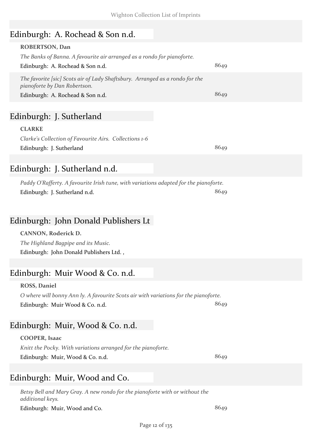### Edinburgh: A. Rochead & Son n.d.

#### **ROBERTSON, Dan**

*The Banks of Banna. A favourite air arranged as a rondo for pianoforte.*

| Edinburgh: A. Rochead & Son n.d.                                                                                                                                                                                                                                                                                                   | 8649            |
|------------------------------------------------------------------------------------------------------------------------------------------------------------------------------------------------------------------------------------------------------------------------------------------------------------------------------------|-----------------|
| The favorite [sic] Scots air of Lady Shaftsbury. Arranged as a rondo for the<br>pianoforte by Dan Robertson.                                                                                                                                                                                                                       |                 |
| $\mathbf{r}$ $\mathbf{r}$ $\mathbf{r}$ $\mathbf{r}$ $\mathbf{r}$ $\mathbf{r}$ $\mathbf{r}$ $\mathbf{r}$ $\mathbf{r}$ $\mathbf{r}$ $\mathbf{r}$ $\mathbf{r}$ $\mathbf{r}$ $\mathbf{r}$ $\mathbf{r}$ $\mathbf{r}$ $\mathbf{r}$ $\mathbf{r}$ $\mathbf{r}$ $\mathbf{r}$ $\mathbf{r}$ $\mathbf{r}$ $\mathbf{r}$ $\mathbf{r}$ $\mathbf{$ | $0 \leq \ldots$ |

Edinburgh: A. Rochead & Son n.d. 8649

### Edinburgh: J. Sutherland

**CLARKE** *Clarke's Collection of Favourite Airs. Collections 1-6* Edinburgh: J. Sutherland 8649

## Edinburgh: J. Sutherland n.d.

*Paddy O'Rafferty. A favourite Irish tune, with variations adapted for the pianoforte.* Edinburgh: J. Sutherland n.d. 8649

### Edinburgh: John Donald Publishers Lt

**CANNON, Roderick D.** *The Highland Bagpipe and its Music.* Edinburgh: John Donald Publishers Ltd. ,

### Edinburgh: Muir Wood & Co. n.d.

#### **ROSS, Daniel**

*O where will bonny Ann ly. A favourite Scots air with variations for the pianoforte.* Edinburgh: Muir Wood & Co. n.d. 8649

### Edinburgh: Muir, Wood & Co. n.d.

#### **COOPER, Isaac** *Knitt the Pocky. With variations arranged for the pianoforte.*

Edinburgh: Muir, Wood & Co. n.d. 8649

### Edinburgh: Muir, Wood and Co.

*Betsy Bell and Mary Gray. A new rondo for the pianoforte with or without the additional keys.* Edinburgh: Muir, Wood and Co. 8649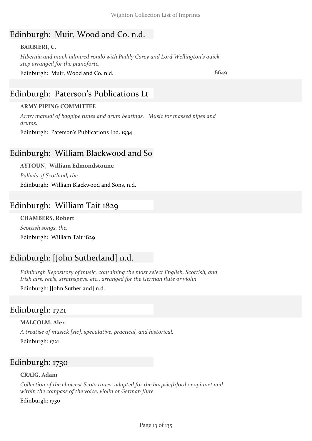## Edinburgh: Muir, Wood and Co. n.d.

### **BARBIERI, C.**

*Hibernia and much admired rondo with Paddy Carey and Lord Wellington's quick step arranged for the pianoforte.*

Edinburgh: Muir, Wood and Co. n.d. 6649

# Edinburgh: Paterson's Publications Lt

#### **ARMY PIPING COMMITTEE**

*Army manual of bagpipe tunes and drum beatings. Music for massed pipes and drums.*

Edinburgh: Paterson's Publications Ltd. 1934

## Edinburgh: William Blackwood and So

**AYTOUN, William Edmondstoune** *Ballads of Scotland, the.* Edinburgh: William Blackwood and Sons, n.d.

# Edinburgh: William Tait 1829

### **CHAMBERS, Robert**

*Scottish songs, the.* Edinburgh: William Tait 1829

# Edinburgh: [John Sutherland] n.d.

*Edinburgh Repository of music, containing the most select English, Scottish, and Irish airs, reels, strathspeys, etc., arranged for the German flute or violin.* Edinburgh: [John Sutherland] n.d.

### Edinburgh: 1721

**MALCOLM, Alex.** *A treatise of musick [sic], speculative, practical, and historical.* Edinburgh: 1721

### Edinburgh: 1730

#### **CRAIG, Adam**

*Collection of the choicest Scots tunes, adapted for the harpsic[h]ord or spinnet and within the compass of the voice, violin or German flute.*

Edinburgh: 1730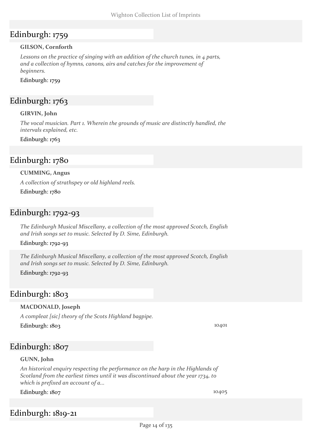### Edinburgh: 1759

#### **GILSON, Cornforth**

*Lessons on the practice of singing with an addition of the church tunes, in 4 parts, and a collection of hymns, canons, airs and catches for the improvement of beginners.*

Edinburgh: 1759

### Edinburgh: 1763

#### **GIRVIN, John**

*The vocal musician. Part 1. Wherein the grounds of music are distinctly handled, the intervals explained, etc.*

Edinburgh: 1763

### Edinburgh: 1780

#### **CUMMING, Angus**

*A collection of strathspey or old highland reels.* Edinburgh: 1780

### Edinburgh: 1792-93

*The Edinburgh Musical Miscellany, a collection of the most approved Scotch, English and Irish songs set to music. Selected by D. Sime, Edinburgh.*

#### Edinburgh: 1792-93

*The Edinburgh Musical Miscellany, a collection of the most approved Scotch, English and Irish songs set to music. Selected by D. Sime, Edinburgh.*

Edinburgh: 1792-93

# Edinburgh: 1803

#### **MACDONALD, Joseph**

*A compleat [sic] theory of the Scots Highland bagpipe.* Edinburgh: 1803 10401

### Edinburgh: 1807

#### **GUNN, John**

*An historical enquiry respecting the performance on the harp in the Highlands of Scotland from the earliest times until it was discontinued about the year 1734, to which is prefixed an account of a...*

Edinburgh: 1807 10405

### Edinburgh: 1819-21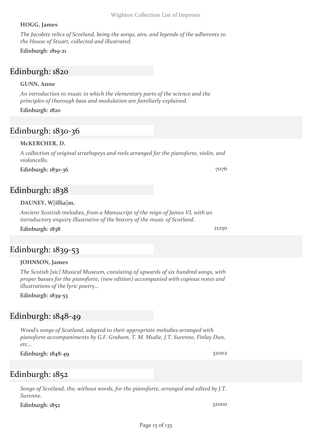Edinburgh: 1852 32000

Edinburgh: 1852

*Surenne.*

### **HOGG, James**

*The Jacobite relics of Scotland, being the songs, airs, and legends of the adherents to the House of Stuart, collected and illustrated.*

Edinburgh: 1819-21

# Edinburgh: 1820

### **GUNN, Anne**

*An introduction to music in which the elementary parts of the science and the principles of thorough bass and modulation are familiarly explained.*

Edinburgh: 1820

# Edinburgh: 1830-36

### **McKERCHER, D.**

*A collection of original strathspeys and reels arranged for the pianoforte, violin, and violoncello.*

Edinburgh: 1830-36 7076

# Edinburgh: 1838

### **DAUNEY, W[illia]m.**

*Ancient Scottish melodies, from a Manuscript of the reign of James VI, with an introductory enquiry illustrative of the history of the music of Scotland.*

Edinburgh: 1838 21250

# Edinburgh: 1839-53

### **JOHNSON, James**

*The Scotish [sic] Musical Museum, consisting of upwards of six hundred songs, with proper basses for the pianoforte, (new edition) accompanied with copious notes and illustrations of the lyric poetry...*

Edinburgh: 1839-53

# Edinburgh: 1848-49

*Wood's songs of Scotland, adapted to their appropriate melodies arranged with pianoforte accompaniments by G.F. Graham, T. M. Mudie, J.T. Surenne, Finlay Dun, etc...*

Edinburgh: 1848-49 32002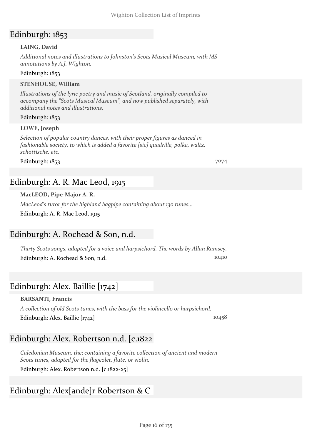# Edinburgh: 1853

#### **LAING, David**

*Additional notes and illustrations to Johnston's Scots Musical Museum, with MS annotations by A.J. Wighton.*

#### Edinburgh: 1853

#### **STENHOUSE, William**

*Illustrations of the lyric poetry and music of Scotland, originally compiled to accompany the "Scots Musical Museum", and now published separately, with additional notes and illustrations.*

#### Edinburgh: 1853

#### **LOWE, Joseph**

*Selection of popular country dances, with their proper figures as danced in fashionable society, to which is added a favorite [sic] quadrille, polka, waltz, schottische, etc.*

Edinburgh: 1853 7074

### Edinburgh: A. R. Mac Leod, 1915

**MacLEOD, Pipe-Major A. R.**

*MacLeod's tutor for the highland bagpipe containing about 130 tunes...*

Edinburgh: A. R. Mac Leod, 1915

### Edinburgh: A. Rochead & Son, n.d.

*Thirty Scots songs, adapted for a voice and harpsichord. The words by Allan Ramsey.* Edinburgh: A. Rochead & Son, n.d. 10410

### Edinburgh: Alex. Baillie [1742]

#### **BARSANTI, Francis**

*A collection of old Scots tunes, with the bass for the violincello or harpsichord.* Edinburgh: Alex. Baillie [1742] 10458

### Edinburgh: Alex. Robertson n.d. [c.1822

*Caledonian Museum, the; containing a favorite collection of ancient and modern Scots tunes, adapted for the flageolet, flute, or violin.*

Edinburgh: Alex. Robertson n.d. [c.1822-25]

### Edinburgh: Alex[ande]r Robertson & C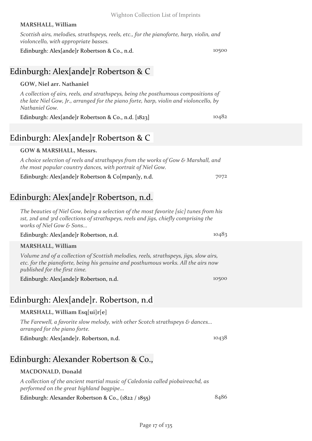#### **MARSHALL, William**

*Scottish airs, melodies, strathspeys, reels, etc., for the pianoforte, harp, violin, and violoncello, with appropriate basses.*

#### Edinburgh: Alex[ande]r Robertson & Co., n.d. 10500

### Edinburgh: Alex[ande]r Robertson & C

#### **GOW, Niel arr. Nathaniel**

*A collection of airs, reels, and strathspeys, being the posthumous compositions of the late Niel Gow, Jr., arranged for the piano forte, harp, violin and violoncello, by Nathaniel Gow.*

Edinburgh: Alex[ande]r Robertson & Co., n.d. [1823] 10482

## Edinburgh: Alex[ande]r Robertson & C

#### **GOW & MARSHALL, Messrs.**

*A choice selection of reels and strathspeys from the works of Gow & Marshall, and the most popular country dances, with portrait of Niel Gow.*

Edinburgh: Alex[ande]r Robertson & Co[mpan]y, n.d. 7072

### Edinburgh: Alex[ande]r Robertson, n.d.

*The beauties of Niel Gow, being a selection of the most favorite [sic] tunes from his 1st, 2nd and 3rd collections of strathspeys, reels and jigs, chiefly comprising the works of Niel Gow & Sons...*

#### Edinburgh: Alex[ande]r Robertson, n.d. 10483

#### **MARSHALL, William**

*Volume 2nd of a collection of Scottish melodies, reels, strathspeys, jigs, slow airs, etc. for the pianoforte, being his genuine and posthumous works. All the airs now published for the first time.*

Edinburgh: Alex[ande]r Robertson, n.d. 10500

# Edinburgh: Alex[ande]r. Robertson, n.d

### **MARSHALL, William Esq[ui]r[e]**

*The Farewell, a favorite slow melody, with other Scotch strathspeys & dances... arranged for the piano forte.*

Edinburgh: Alex[ande]r. Robertson, n.d. 10438

# Edinburgh: Alexander Robertson & Co.,

### **MACDONALD, Donald**

*A collection of the ancient martial music of Caledonia called piobaireachd, as performed on the great highland bagpipe...*

Edinburgh: Alexander Robertson & Co.,  $(1822 / 1855)$  8486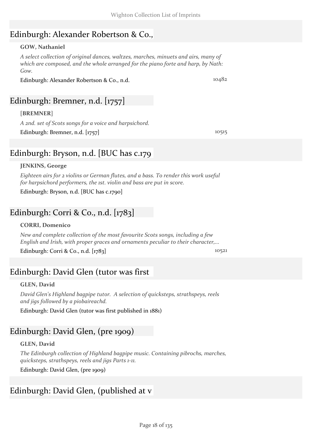### Edinburgh: Alexander Robertson & Co.,

#### **GOW, Nathaniel**

*A select collection of original dances, waltzes, marches, minuets and airs, many of which are composed, and the whole arranged for the piano forte and harp, by Nath: Gow.*

Edinburgh: Alexander Robertson & Co., n.d. 10482

# Edinburgh: Bremner, n.d. [1757]

#### **[BREMNER]**

*A 2nd. set of Scots songs for a voice and harpsichord.* Edinburgh: Bremner, n.d. [1757] 10515

## Edinburgh: Bryson, n.d. [BUC has c.179

#### **JENKINS, George**

*Eighteen airs for 2 violins or German flutes, and a bass. To render this work useful for harpsichord performers, the 1st. violin and bass are put in score.*

Edinburgh: Bryson, n.d. [BUC has c.1790]

### Edinburgh: Corri & Co., n.d. [1783]

#### **CORRI, Domenico**

*New and complete collection of the most favourite Scots songs, including a few English and Irish, with proper graces and ornaments peculiar to their character,...*

Edinburgh: Corri & Co., n.d. [1783] 10521

### Edinburgh: David Glen (tutor was first

#### **GLEN, David**

*David Glen's Highland bagpipe tutor. A selection of quicksteps, strathspeys, reels and jigs followed by a piobaireachd.*

Edinburgh: David Glen (tutor was first published in 1881)

# Edinburgh: David Glen, (pre 1909)

### **GLEN, David**

*The Edinburgh collection of Highland bagpipe music. Containing pibrochs, marches, quicksteps, strathspeys, reels and jigs Parts 1-11.*

Edinburgh: David Glen, (pre 1909)

# Edinburgh: David Glen, (published at v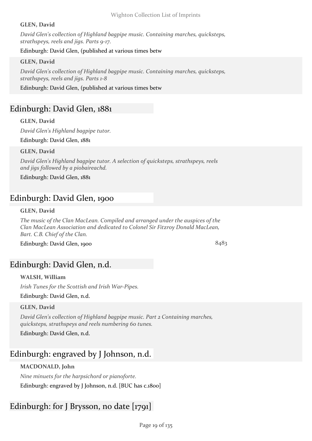#### **GLEN, David**

*David Glen's collection of Highland bagpipe music. Containing marches, quicksteps, strathspeys, reels and jigs. Parts 9-17.*

Edinburgh: David Glen, (published at various times betw

#### **GLEN, David**

*David Glen's collection of Highland bagpipe music. Containing marches, quicksteps, strathspeys, reels and jigs. Parts 1-8*

Edinburgh: David Glen, (published at various times betw

### Edinburgh: David Glen, 1881

**GLEN, David**

*David Glen's Highland bagpipe tutor.*

Edinburgh: David Glen, 1881

#### **GLEN, David**

*David Glen's Highland bagpipe tutor. A selection of quicksteps, strathspeys, reels and jigs followed by a piobaireachd.*

Edinburgh: David Glen, 1881

### Edinburgh: David Glen, 1900

#### **GLEN, David**

*The music of the Clan MacLean. Compiled and arranged under the auspices of the Clan MacLean Association and dedicated to Colonel Sir Fitzroy Donald MacLean, Bart. C.B. Chief of the Clan.*

Edinburgh: David Glen, 1900 8483

### Edinburgh: David Glen, n.d.

#### **WALSH, William**

*Irish Tunes for the Scottish and Irish War-Pipes.* Edinburgh: David Glen, n.d.

#### **GLEN, David**

*David Glen's collection of Highland bagpipe music. Part 2 Containing marches, quicksteps, strathspeys and reels numbering 60 tunes.* Edinburgh: David Glen, n.d.

### Edinburgh: engraved by J Johnson, n.d.

#### **MACDONALD, John**

*Nine minuets for the harpsichord or pianoforte.* Edinburgh: engraved by J Johnson, n.d. [BUC has c.1800]

# Edinburgh: for J Brysson, no date [1791]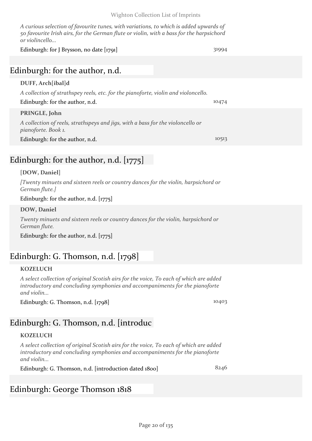#### Wighton Collection List of Imprints

*A curious selection of favourite tunes, with variations, to which is added upwards of 50 favourite Irish airs, for the German flute or violin, with a bass for the harpsichord or violincello...*

Edinburgh: for J Brysson, no date [1791] 31994

### Edinburgh: for the author, n.d.

#### **DUFF, Arch[ibal]d**

*A collection of strathspey reels, etc. for the pianoforte, violin and violoncello.*

Edinburgh: for the author, n.d. 10474

#### **PRINGLE, John**

*A collection of reels, strathspeys and jigs, with a bass for the violoncello or pianoforte. Book 1.* Edinburgh: for the author, n.d. 10513

Edinburgh: for the author, n.d. [1775]

#### **[DOW, Daniel]**

*[Twenty minuets and sixteen reels or country dances for the violin, harpsichord or German flute.]*

Edinburgh: for the author, n.d. [1775]

#### **DOW, Daniel**

*Twenty minuets and sixteen reels or country dances for the violin, harpsichord or German flute.*

Edinburgh: for the author, n.d. [1775]

### Edinburgh: G. Thomson, n.d. [1798]

#### **KOZELUCH**

*A select collection of original Scotish airs for the voice, To each of which are added introductory and concluding symphonies and accompaniments for the pianoforte and violin...*

Edinburgh: G. Thomson, n.d. [1798] 10403

### Edinburgh: G. Thomson, n.d. [introduc

#### **KOZELUCH**

*A select collection of original Scotish airs for the voice, To each of which are added introductory and concluding symphonies and accompaniments for the pianoforte and violin...*

Edinburgh: G. Thomson, n.d. [introduction dated 1800] 8246

### Edinburgh: George Thomson 1818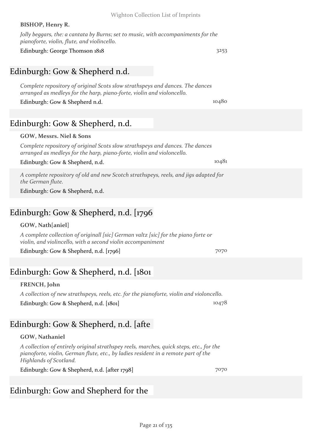#### **BISHOP, Henry R.**

#### *Jolly beggars, the: a cantata by Burns; set to music, with accompaniments for the pianoforte, violin, flute, and violincello.*

#### Edinburgh: George Thomson 1818 3253

### Edinburgh: Gow & Shepherd n.d.

*Complete repository of original Scots slow strathspeys and dances. The dances arranged as medleys for the harp, piano-forte, violin and violoncello.*

Edinburgh: Gow & Shepherd n.d. 10480

## Edinburgh: Gow & Shepherd, n.d.

#### **GOW, Messrs. Niel & Sons**

#### *Complete repository of original Scots slow strathspeys and dances. The dances arranged as medleys for the harp, piano-forte, violin and violoncello.*

#### Edinburgh: Gow & Shepherd, n.d. 10481

*A complete repository of old and new Scotch strathspeys, reels, and jigs adapted for the German flute.*

Edinburgh: Gow & Shepherd, n.d.

### Edinburgh: Gow & Shepherd, n.d. [1796

#### **GOW, Nath[aniel]**

*A complete collection of originall [sic] German valtz [sic] for the piano forte or violin, and violincello, with a second violin accompaniment*

Edinburgh: Gow & Shepherd, n.d. [1796] 7070

### Edinburgh: Gow & Shepherd, n.d. [1801

#### **FRENCH, John**

*A collection of new strathspeys, reels, etc. for the pianoforte, violin and violoncello.* Edinburgh: Gow & Shepherd, n.d. [1801] 10478

# Edinburgh: Gow & Shepherd, n.d. [afte

### **GOW, Nathaniel**

*A collection of entirely original strathspey reels, marches, quick steps, etc., for the pianoforte, violin, German flute, etc., by ladies resident in a remote part of the Highlands of Scotland.*

Edinburgh: Gow & Shepherd, n.d. [after 1798] 7070

Edinburgh: Gow and Shepherd for the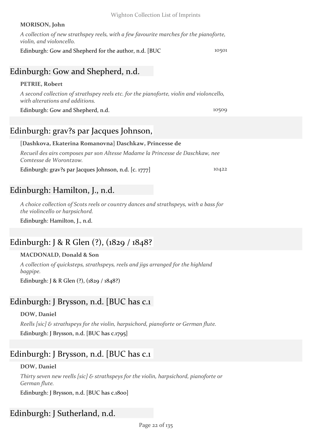#### **MORISON, John**

*A collection of new strathspey reels, with a few favourite marches for the pianoforte, violin, and violoncello.*

Edinburgh: Gow and Shepherd for the author, n.d. [BUC 10501

### Edinburgh: Gow and Shepherd, n.d.

#### **PETRIE, Robert**

*A second collection of strathspey reels etc. for the pianoforte, violin and violoncello, with alterations and additions.*

Edinburgh: Gow and Shepherd, n.d. 10509

### Edinburgh: grav?s par Jacques Johnson,

#### **[Dashkova, Ekaterina Romanovna] Daschkaw, Princesse de**

*Recueil des airs composes par son Altesse Madame la Princesse de Daschkaw, nee Comtesse de Worontzow.*

Edinburgh: grav?s par Jacques Johnson, n.d.  $[c. 1777]$  10422

### Edinburgh: Hamilton, J., n.d.

*A choice collection of Scots reels or country dances and strathspeys, with a bass for the violincello or harpsichord.*

Edinburgh: Hamilton, J., n.d.

### Edinburgh: J & R Glen (?), (1829 / 1848?

#### **MACDONALD, Donald & Son**

*A collection of quicksteps, strathspeys, reels and jigs arranged for the highland bagpipe.*

Edinburgh: J & R Glen (?), (1829 / 1848?)

# Edinburgh: J Brysson, n.d. [BUC has c.1

### **DOW, Daniel**

*Reells [sic] & strathspeys for the violin, harpsichord, pianoforte or German flute.* Edinburgh: J Brysson, n.d. [BUC has c.1795]

# Edinburgh: J Brysson, n.d. [BUC has c.1

### **DOW, Daniel**

*Thirty seven new reells [sic] & strathspeys for the violin, harpsichord, pianoforte or German flute.*

Edinburgh: J Brysson, n.d. [BUC has c.1800]

# Edinburgh: J Sutherland, n.d.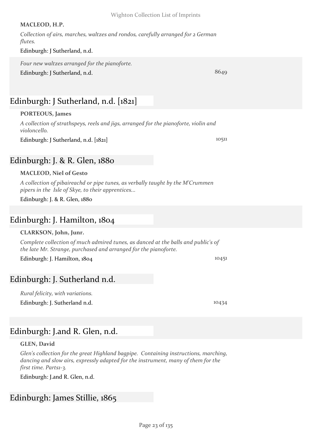#### **MACLEOD, H.P.**

*Collection of airs, marches, waltzes and rondos, carefully arranged for 2 German flutes.*

Edinburgh: J Sutherland, n.d.

*Four new waltzes arranged for the pianoforte.* Edinburgh: J Sutherland, n.d. 8649

# Edinburgh: J Sutherland, n.d. [1821]

#### **PORTEOUS, James**

*A collection of strathspeys, reels and jigs, arranged for the pianoforte, violin and violoncello.*

Edinburgh: J Sutherland, n.d. [1821] 10511

### Edinburgh: J. & R. Glen, 1880

#### **MACLEOD, Niel of Gesto**

*A collection of pibaireachd or pipe tunes, as verbally taught by the M'Crummen pipers in the Isle of Skye, to their apprentices...*

Edinburgh: J. & R. Glen, 1880

### Edinburgh: J. Hamilton, 1804

#### **CLARKSON, John, Junr.**

*Complete collection of much admired tunes, as danced at the balls and public's of the late Mr. Strange, purchased and arranged for the pianoforte.*

Edinburgh: J. Hamilton, 1804 10451

### Edinburgh: J. Sutherland n.d.

*Rural felicity, with variations.* Edinburgh: J. Sutherland n.d. 10434

### Edinburgh: J.and R. Glen, n.d.

#### **GLEN, David**

*Glen's collection for the great Highland bagpipe. Containing instructions, marching, dancing and slow airs, expressly adapted for the instrument, many of them for the first time. Parts1-3.*

Edinburgh: J.and R. Glen, n.d.

### Edinburgh: James Stillie, 1865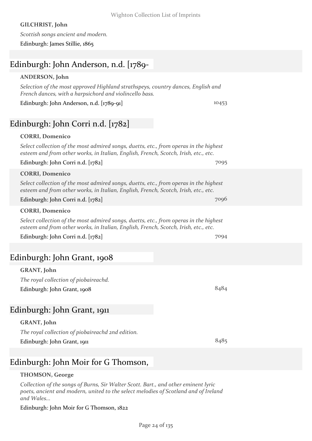#### **GILCHRIST, John**

*Scottish songs ancient and modern.*

Edinburgh: James Stillie, 1865

# Edinburgh: John Anderson, n.d. [1789-

#### **ANDERSON, John**

*Selection of the most approved Highland strathspeys, country dances, English and French dances, with a harpsichord and violincello bass.*

Edinburgh: John Anderson, n.d. [1789-91] 10453

# Edinburgh: John Corri n.d. [1782]

#### **CORRI, Domenico**

*Select collection of the most admired songs, duetts, etc., from operas in the highest esteem and from other works, in Italian, English, French, Scotch, Irish, etc., etc.*

| Edinburgh: John Corri n.d. [1782] | 7095 |
|-----------------------------------|------|
|-----------------------------------|------|

#### **CORRI, Domenico**

*Select collection of the most admired songs, duetts, etc., from operas in the highest esteem and from other works, in Italian, English, French, Scotch, Irish, etc., etc.*

Edinburgh: John Corri n.d. [1782] 7096

#### **CORRI, Domenico**

*Select collection of the most admired songs, duetts, etc., from operas in the highest esteem and from other works, in Italian, English, French, Scotch, Irish, etc., etc.*

Edinburgh: John Corri n.d. [1782] 7094

### Edinburgh: John Grant, 1908

#### **GRANT, John**

*The royal collection of piobaireachd.* Edinburgh: John Grant, 1908 8484

### Edinburgh: John Grant, 1911

#### **GRANT, John**

*The royal collection of piobaireachd 2nd edition.* Edinburgh: John Grant, 1911 8485

# Edinburgh: John Moir for G Thomson,

### **THOMSON, George**

*Collection of the songs of Burns, Sir Walter Scott. Bart., and other eminent lyric poets, ancient and modern, united to the select melodies of Scotland and of Ireland and Wales...*

### Edinburgh: John Moir for G Thomson, 1822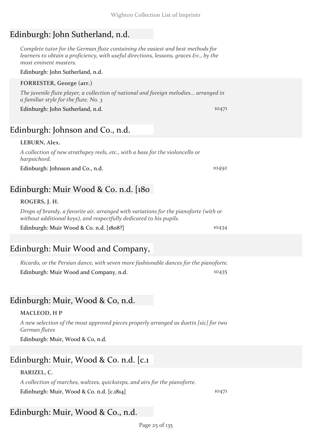## Edinburgh: John Sutherland, n.d.

*Complete tutor for the German flute containing the easiest and best methods for learners to obtain a proficiency, with useful directions, lessons, graces &c., by the most eminent masters.*

#### Edinburgh: John Sutherland, n.d.

#### **FORRESTER, George (arr.)**

*The juvenile flute player, a collection of national and foreign melodies... arranged in a familiar style for the flute. No. 3*

Edinburgh: John Sutherland, n.d. 10471

### Edinburgh: Johnson and Co., n.d.

#### **LEBURN, Alex.**

*A collection of new strathspey reels, etc., with a bass for the violoncello or harpsichord.*

Edinburgh: Johnson and Co., n.d. 10492

### Edinburgh: Muir Wood & Co. n.d. [180

#### **ROGERS, J. H.**

*Drops of brandy, a favorite air, arranged with variations for the pianoforte (with or without additional keys), and respectfully dedicated to his pupils.*

Edinburgh: Muir Wood & Co. n.d. [1808?] 10434

### Edinburgh: Muir Wood and Company,

*Ricardo, or the Persian dance, with seven more fashionable dances for the pianoforte.* Edinburgh: Muir Wood and Company, n.d. 10435

### Edinburgh: Muir, Wood & Co, n.d.

#### **MACLEOD, H P**

*A new selection of the most approved pieces properly arranged as duetts [sic] for two German flutes*

Edinburgh: Muir, Wood & Co, n.d.

# Edinburgh: Muir, Wood & Co. n.d. [c.1

#### **BARIZEL, C.**

*A collection of marches, waltzes, quicksteps, and airs for the pianoforte.* Edinburgh: Muir, Wood & Co. n.d. [c.1814] 10471

### Edinburgh: Muir, Wood & Co., n.d.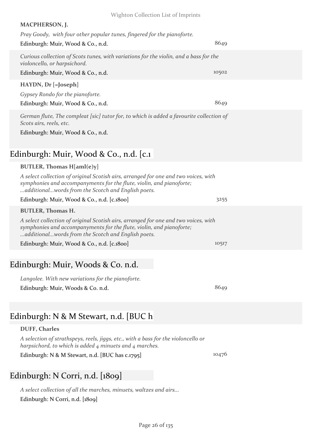| Wighton Collection List of Imprints                                                                                                                                                                                |       |
|--------------------------------------------------------------------------------------------------------------------------------------------------------------------------------------------------------------------|-------|
| MACPHERSON, J.                                                                                                                                                                                                     |       |
| Pray Goody, with four other popular tunes, fingered for the pianoforte.<br>Edinburgh: Muir, Wood & Co., n.d.                                                                                                       | 8649  |
| Curious collection of Scots tunes, with variations for the violin, and a bass for the<br>violoncello, or harpsichord.<br>Edinburgh: Muir, Wood & Co., n.d.                                                         | 10502 |
| HAYDN, Dr [=Joseph]                                                                                                                                                                                                |       |
| Gypsey Rondo for the pianoforte.<br>Edinburgh: Muir, Wood & Co., n.d.                                                                                                                                              | 8649  |
| German flute, The compleat [sic] tutor for, to which is added a favourite collection of<br>Scots airs, reels, etc.<br>Edinburgh: Muir, Wood & Co., n.d.                                                            |       |
| Edinburgh: Muir, Wood & Co., n.d. [c.1]                                                                                                                                                                            |       |
| BUTLER, Thomas H[aml(e)y]                                                                                                                                                                                          |       |
| A select collection of original Scotish airs, arranged for one and two voices, with<br>symphonies and accompanyments for the flute, violin, and pianoforte;<br>additional words from the Scotch and English poets. |       |
| Edinburgh: Muir, Wood & Co., n.d. [c.1800]                                                                                                                                                                         | 3255  |
| <b>BUTLER, Thomas H.</b>                                                                                                                                                                                           |       |
| A select collection of original Scotish airs, arranged for one and two voices, with<br>symphonies and accompanyments for the flute, violin, and pianoforte;<br>additional words from the Scotch and English poets. |       |
| Edinburgh: Muir, Wood & Co., n.d. [c.1800]                                                                                                                                                                         | 10517 |
|                                                                                                                                                                                                                    |       |
| Edinburgh: Muir, Woods & Co. n.d.                                                                                                                                                                                  |       |
| Langolee. With new variations for the pianoforte.<br>Edinburgh: Muir, Woods & Co. n.d.                                                                                                                             | 8649  |
| Edinburgh: N & M Stewart, n.d. [BUC h]                                                                                                                                                                             |       |
| <b>DUFF, Charles</b>                                                                                                                                                                                               |       |
| A selection of strathspeys, reels, jiggs, etc., with a bass for the violoncello or                                                                                                                                 |       |

*harpsichord, to which is added 4 minuets and 4 marches.* Edinburgh: N & M Stewart, n.d. [BUC has c.1795] 10476

# Edinburgh: N Corri, n.d. [1809]

*A select collection of all the marches, minuets, waltzes and airs...*

Edinburgh: N Corri, n.d. [1809]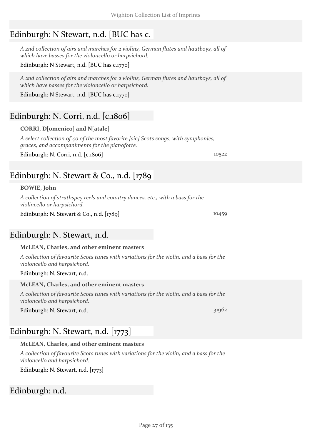# Edinburgh: N Stewart, n.d. [BUC has c.

*A 2nd collection of airs and marches for 2 violins, German flutes and hautboys, all of which have basses for the violoncello or harpsichord.*

#### Edinburgh: N Stewart, n.d. [BUC has c.1770]

*A 2nd collection of airs and marches for 2 violins, German flutes and hautboys, all of which have basses for the violoncello or harpsichord.*

Edinburgh: N Stewart, n.d. [BUC has c.1770]

## Edinburgh: N. Corri, n.d. [c.1806]

#### **CORRI, D[omenico] and N[atale]**

*A select collection of 40 of the most favorite [sic] Scots songs, with symphonies, graces, and accompaniments for the pianoforte.*

Edinburgh: N. Corri, n.d. [c.1806] 10522

# Edinburgh: N. Stewart & Co., n.d. [1789

#### **BOWIE, John**

*A collection of strathspey reels and country dances, etc., with a bass for the violincello or harpsichord.*

Edinburgh: N. Stewart & Co., n.d. [1789] 10459

### Edinburgh: N. Stewart, n.d.

#### **McLEAN, Charles, and other eminent masters**

*A collection of favourite Scots tunes with variations for the violin, and a bass for the violoncello and harpsichord.*

Edinburgh: N. Stewart, n.d.

#### **McLEAN, Charles, and other eminent masters**

*A collection of favourite Scots tunes with variations for the violin, and a bass for the violoncello and harpsichord.*

Edinburgh: N. Stewart, n.d. 31962

# Edinburgh: N. Stewart, n.d. [1773]

#### **McLEAN, Charles, and other eminent masters**

*A collection of favourite Scots tunes with variations for the violin, and a bass for the violoncello and harpsichord.*

Edinburgh: N. Stewart, n.d. [1773]

### Edinburgh: n.d.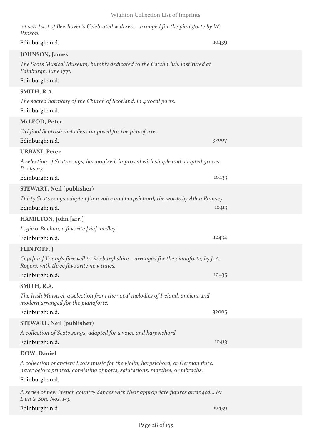| ist sett [sic] of Beethoven's Celebrated waltzes arranged for the pianoforte by W.<br>Penson.                                                                      |       |
|--------------------------------------------------------------------------------------------------------------------------------------------------------------------|-------|
| Edinburgh: n.d.                                                                                                                                                    | 10439 |
| JOHNSON, James                                                                                                                                                     |       |
| The Scots Musical Museum, humbly dedicated to the Catch Club, instituted at<br>Edinburgh, June 1771.                                                               |       |
| Edinburgh: n.d.                                                                                                                                                    |       |
| SMITH, R.A.                                                                                                                                                        |       |
| The sacred harmony of the Church of Scotland, in 4 vocal parts.                                                                                                    |       |
| Edinburgh: n.d.                                                                                                                                                    |       |
| McLEOD, Peter                                                                                                                                                      |       |
| Original Scottish melodies composed for the pianoforte.                                                                                                            |       |
| Edinburgh: n.d.                                                                                                                                                    | 32007 |
| <b>URBANI</b> , Peter                                                                                                                                              |       |
| A selection of Scots songs, harmonized, improved with simple and adapted graces.<br>Books $1-3$                                                                    |       |
| Edinburgh: n.d.                                                                                                                                                    | 10433 |
| <b>STEWART, Neil (publisher)</b>                                                                                                                                   |       |
| Thirty Scots songs adapted for a voice and harpsichord, the words by Allan Ramsey.                                                                                 |       |
| Edinburgh: n.d.                                                                                                                                                    | 10413 |
| HAMILTON, John [arr.]                                                                                                                                              |       |
| Logie o' Buchan, a favorite [sic] medley.                                                                                                                          |       |
| Edinburgh: n.d.                                                                                                                                                    | 10434 |
| <b>FLINTOFF, J</b>                                                                                                                                                 |       |
| Capt[ain] Young's farewell to Roxburghshire arranged for the pianoforte, by J. A.<br>Rogers, with three favourite new tunes.                                       |       |
| Edinburgh: n.d.                                                                                                                                                    | 10435 |
| SMITH, R.A.                                                                                                                                                        |       |
| The Irish Minstrel, a selection from the vocal melodies of Ireland, ancient and<br>modern arranged for the pianoforte.                                             |       |
| Edinburgh: n.d.                                                                                                                                                    | 32005 |
| <b>STEWART, Neil (publisher)</b>                                                                                                                                   |       |
| A collection of Scots songs, adapted for a voice and harpsichord.                                                                                                  |       |
| Edinburgh: n.d.                                                                                                                                                    | 10413 |
| DOW, Daniel                                                                                                                                                        |       |
| A collection of ancient Scots music for the violin, harpsichord, or German flute,<br>never before printed, consisting of ports, salutations, marches, or pibrachs. |       |
| Edinburgh: n.d.                                                                                                                                                    |       |
| A series of new French country dances with their appropriate figures arranged by<br>Dun & Son. Nos. 1-3.                                                           |       |
| Edinburgh: n.d.                                                                                                                                                    | 10439 |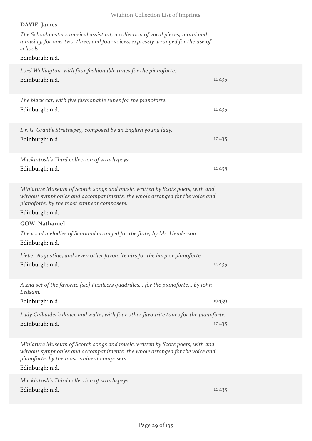#### **DAVIE, James**

*The Schoolmaster's musical assistant, a collection of vocal pieces, moral and amusing, for one, two, three, and four voices, expressly arranged for the use of schools.*

### Edinburgh: n.d.

| Lord Wellington, with four fashionable tunes for the pianoforte.<br>Edinburgh: n.d.                                                                                                                                          | 10435 |
|------------------------------------------------------------------------------------------------------------------------------------------------------------------------------------------------------------------------------|-------|
| The black cat, with five fashionable tunes for the pianoforte.<br>Edinburgh: n.d.                                                                                                                                            | 10435 |
| Dr. G. Grant's Strathspey, composed by an English young lady.<br>Edinburgh: n.d.                                                                                                                                             | 10435 |
| Mackintosh's Third collection of strathspeys.<br>Edinburgh: n.d.                                                                                                                                                             | 10435 |
| Miniature Museum of Scotch songs and music, written by Scots poets, with and<br>without symphonies and accompaniments, the whole arranged for the voice and<br>pianoforte, by the most eminent composers.<br>Edinburgh: n.d. |       |
| <b>GOW, Nathaniel</b><br>The vocal melodies of Scotland arranged for the flute, by Mr. Henderson.<br>Edinburgh: n.d.                                                                                                         |       |
| Lieber Augustine, and seven other favourite airs for the harp or pianoforte<br>Edinburgh: n.d.                                                                                                                               | 10435 |
| A 2nd set of the favorite [sic] Fuzileers quadrilles for the pianoforte by John<br>Ledsam.<br>Edinburgh: n.d.                                                                                                                | 10439 |
| Lady Callander's dance and waltz, with four other favourite tunes for the pianoforte.<br>Edinburgh: n.d.                                                                                                                     | 10435 |
| Miniature Museum of Scotch songs and music, written by Scots poets, with and<br>without symphonies and accompaniments, the whole arranged for the voice and<br>pianoforte, by the most eminent composers.<br>Edinburgh: n.d. |       |
| Mackintosh's Third collection of strathspeys.<br>Edinburgh: n.d.                                                                                                                                                             | 10435 |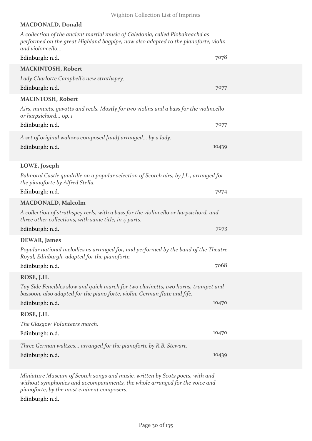#### **MACDONALD, Donald**

*A collection of the ancient martial music of Caledonia, called Piobaireachd as performed on the great Highland bagpipe, now also adapted to the pianoforte, violin and violoncello...*

| Edinburgh: n.d.                                                                                                                                                 | 7078  |
|-----------------------------------------------------------------------------------------------------------------------------------------------------------------|-------|
| <b>MACKINTOSH, Robert</b>                                                                                                                                       |       |
| Lady Charlotte Campbell's new strathspey.                                                                                                                       |       |
| Edinburgh: n.d.                                                                                                                                                 | 7077  |
| <b>MACINTOSH, Robert</b>                                                                                                                                        |       |
| Airs, minuets, gavotts and reels. Mostly for two violins and a bass for the violincello<br>or harpsichord op. 1                                                 |       |
| Edinburgh: n.d.                                                                                                                                                 | 7077  |
| A set of original waltzes composed [and] arranged by a lady.                                                                                                    |       |
| Edinburgh: n.d.                                                                                                                                                 | 10439 |
| LOWE, Joseph                                                                                                                                                    |       |
| Balmoral Castle quadrille on a popular selection of Scotch airs, by J.L., arranged for<br>the pianoforte by Alfred Stella.                                      |       |
| Edinburgh: n.d.                                                                                                                                                 | 7074  |
| <b>MACDONALD, Malcolm</b>                                                                                                                                       |       |
| A collection of strathspey reels, with a bass for the violincello or harpsichord, and<br>three other collections, with same title, in 4 parts.                  |       |
| Edinburgh: n.d.                                                                                                                                                 | 7073  |
| <b>DEWAR</b> , James                                                                                                                                            |       |
| Popular national melodies as arranged for, and performed by the band of the Theatre<br>Royal, Edinburgh, adapted for the pianoforte.                            |       |
| Edinburgh: n.d.                                                                                                                                                 | 7068  |
| ROSE, J.H.                                                                                                                                                      |       |
| Tay Side Fencibles slow and quick march for two clarinetts, two horns, trumpet and<br>bassoon, also adapted for the piano forte, violin, German flute and fife. |       |
| Edinburgh: n.d.                                                                                                                                                 | 10470 |
| ROSE, J.H.                                                                                                                                                      |       |
| The Glasgow Volunteers march.                                                                                                                                   |       |
| Edinburgh: n.d.                                                                                                                                                 | 10470 |
| Three German waltzes arranged for the pianoforte by R.B. Stewart.                                                                                               |       |
| Edinburgh: n.d.                                                                                                                                                 | 10439 |
|                                                                                                                                                                 |       |

*Miniature Museum of Scotch songs and music, written by Scots poets, with and without symphonies and accompaniments, the whole arranged for the voice and pianoforte, by the most eminent composers.*

Edinburgh: n.d.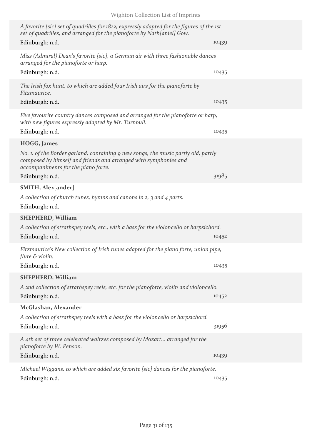| A favorite [sic] set of quadrilles for 1822, expressly adapted for the figures of the 1st<br>set of quadrilles, and arranged for the pianoforte by Nath[aniel] Gow.<br>Edinburgh: n.d.        | 10439 |
|-----------------------------------------------------------------------------------------------------------------------------------------------------------------------------------------------|-------|
| Miss (Admiral) Dean's favorite [sic], a German air with three fashionable dances<br>arranged for the pianoforte or harp.<br>Edinburgh: n.d.                                                   | 10435 |
|                                                                                                                                                                                               |       |
| The Irish fox hunt, to which are added four Irish airs for the pianoforte by<br>Fitzmaurice.                                                                                                  |       |
| Edinburgh: n.d.                                                                                                                                                                               | 10435 |
| Five favourite country dances composed and arranged for the pianoforte or harp,<br>with new figures expressly adapted by Mr. Turnbull.                                                        |       |
| Edinburgh: n.d.                                                                                                                                                                               | 10435 |
| <b>HOGG, James</b>                                                                                                                                                                            |       |
| No. 1. of the Border garland, containing 9 new songs, the music partly old, partly<br>composed by himself and friends and arranged with symphonies and<br>accompaniments for the piano forte. |       |
| Edinburgh: n.d.                                                                                                                                                                               | 31985 |
| <b>SMITH, Alex[ander]</b>                                                                                                                                                                     |       |
| A collection of church tunes, hymns and canons in 2, 3 and 4 parts.<br>Edinburgh: n.d.                                                                                                        |       |
| <b>SHEPHERD, William</b>                                                                                                                                                                      |       |
| A collection of strathspey reels, etc., with a bass for the violoncello or harpsichord.                                                                                                       |       |
| Edinburgh: n.d.                                                                                                                                                                               | 10452 |
| Fitzmaurice's New collection of Irish tunes adapted for the piano forte, union pipe,<br>flute & violin.                                                                                       |       |
| Edinburgh: n.d.                                                                                                                                                                               | 10435 |
| <b>SHEPHERD, William</b>                                                                                                                                                                      |       |
| A 2nd collection of strathspey reels, etc. for the pianoforte, violin and violoncello.                                                                                                        |       |
| Edinburgh: n.d.                                                                                                                                                                               | 10452 |
| McGlashan, Alexander                                                                                                                                                                          |       |
| A collection of strathspey reels with a bass for the violoncello or harpsichord.                                                                                                              |       |
| Edinburgh: n.d.                                                                                                                                                                               | 31956 |
| A 4th set of three celebrated waltzes composed by Mozart arranged for the<br>pianoforte by W. Penson.                                                                                         |       |
| Edinburgh: n.d.                                                                                                                                                                               | 10439 |
| Michael Wiggans, to which are added six favorite [sic] dances for the pianoforte.<br>Edinburgh: n.d.                                                                                          | 10435 |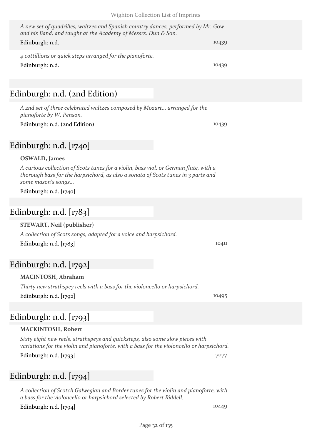# *A new set of quadrilles, waltzes and Spanish country dances, performed by Mr. Gow and his Band, and taught at the Academy of Messrs. Dun & Son.* Edinburgh: n.d. 10439 *4 cottillions or quick steps arranged for the pianoforte.* Edinburgh: n.d. 10439

# Edinburgh: n.d. (2nd Edition)

*A 2nd set of three celebrated waltzes composed by Mozart... arranged for the pianoforte by W. Penson.*

Edinburgh: n.d. (2nd Edition) 10439

# Edinburgh: n.d. [1740]

### **OSWALD, James**

*A curious collection of Scots tunes for a violin, bass viol. or German flute, with a thorough bass for the harpsichord, as also a sonata of Scots tunes in 3 parts and some mason's songs...*

Edinburgh: n.d. [1740]

# Edinburgh: n.d. [1783]

### **STEWART, Neil (publisher)**

*A collection of Scots songs, adapted for a voice and harpsichord.* Edinburgh: n.d. [1783] 10411

# Edinburgh: n.d. [1792]

### **MACINTOSH, Abraham**

*Thirty new strathspey reels with a bass for the violoncello or harpsichord.* Edinburgh: n.d. [1792] 10495

# Edinburgh: n.d. [1793]

| <b>MACKINTOSH, Robert</b>                                                                 |      |
|-------------------------------------------------------------------------------------------|------|
| Sixty eight new reels, strathspeys and quicksteps, also some slow pieces with             |      |
| variations for the violin and pianoforte, with a bass for the violoncello or harpsichord. |      |
| Edinburgh: n.d. $[1793]$                                                                  | 7077 |

*A collection of Scotch Galwegian and Border tunes for the violin and pianoforte, with a bass for the violoncello or harpsichord selected by Robert Riddell.*

Edinburgh: n.d. [1794] 10449

Edinburgh: n.d. [1794]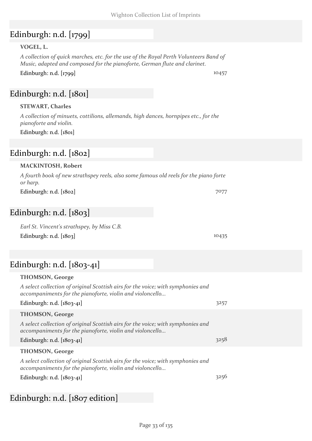# Edinburgh: n.d. [1799]

#### **VOGEL, L.**

*A collection of quick marches, etc. for the use of the Royal Perth Volunteers Band of Music, adapted and composed for the pianoforte, German flute and clarinet.*

Edinburgh: n.d. [1799] 10457

### Edinburgh: n.d. [1801]

### **STEWART, Charles**

*A collection of minuets, cottilions, allemands, high dances, hornpipes etc., for the pianoforte and violin.*

Edinburgh: n.d. [1801]

## Edinburgh: n.d. [1802]

#### **MACKINTOSH, Robert**

*A fourth book of new strathspey reels, also some famous old reels for the piano forte or harp.* Edinburgh: n.d. [1802] 7077

### Edinburgh: n.d. [1803]

*Earl St. Vincent's strathspey, by Miss C.B.* Edinburgh: n.d. [1803] 10435

### Edinburgh: n.d. [1803-41]

| $\frac{1}{2}$                                                                                                                                 |      |
|-----------------------------------------------------------------------------------------------------------------------------------------------|------|
| <b>THOMSON, George</b>                                                                                                                        |      |
| A select collection of original Scottish airs for the voice; with symphonies and<br>accompaniments for the pianoforte, violin and violoncello |      |
| Edinburgh: n.d. $[1803-41]$                                                                                                                   | 3257 |
| <b>THOMSON, George</b>                                                                                                                        |      |
| A select collection of original Scottish airs for the voice; with symphonies and<br>accompaniments for the pianoforte, violin and violoncello |      |
| Edinburgh: n.d. $[1803-41]$                                                                                                                   | 3258 |
| <b>THOMSON, George</b>                                                                                                                        |      |
| A select collection of original Scottish airs for the voice; with symphonies and<br>accompaniments for the pianoforte, violin and violoncello |      |
| Edinburgh: n.d. $[1803-41]$                                                                                                                   | 3256 |
|                                                                                                                                               |      |

# Edinburgh: n.d. [1807 edition]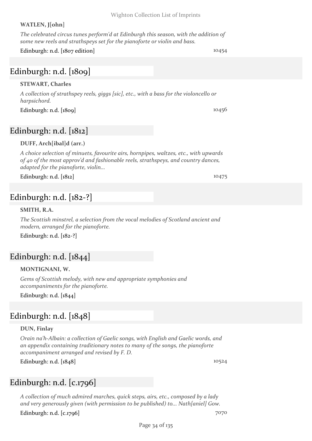#### *A choice selection of minuets, favourite airs, hornpipes, waltzes, etc., with upwards*

Wighton Collection List of Imprints

*of 40 of the most approv'd and fashionable reels, strathspeys, and country dances, adapted for the pianoforte, violin...*

Edinburgh: n.d. [1812] 10475

### Edinburgh: n.d. [182-?]

#### **SMITH, R.A.**

*The Scottish minstrel, a selection from the vocal melodies of Scotland ancient and modern, arranged for the pianoforte.*

Edinburgh: n.d. [182-?]

### Edinburgh: n.d. [1844]

#### **MONTIGNANI, W.**

*Gems of Scottish melody, with new and appropriate symphonies and accompaniments for the pianoforte.*

Edinburgh: n.d. [1844]

### Edinburgh: n.d. [1848]

#### **DUN, Finlay**

*Orain na'h-Albain: a collection of Gaelic songs, with English and Gaelic words, and an appendix containing traditionary notes to many of the songs, the pianoforte accompaniment arranged and revised by F. D.*

Edinburgh: n.d. [1848] 10524

### Edinburgh: n.d. [c.1796]

*A collection of much admired marches, quick steps, airs, etc., composed by a lady and very generously given (with permission to be published) to... Nath[aniel] Gow.*

Edinburgh: n.d. [c.1796] 7070

#### **WATLEN, J[ohn]**

*The celebrated circus tunes perform'd at Edinburgh this season, with the addition of some new reels and strathspeys set for the pianoforte or violin and bass.*

#### Edinburgh: n.d. [1807 edition] 10454

Edinburgh: n.d. [1809]

#### **STEWART, Charles**

*A collection of strathspey reels, giggs [sic], etc., with a bass for the violoncello or harpsichord.*

Edinburgh: n.d. [1809] 10456

Edinburgh: n.d. [1812]

**DUFF, Arch[ibal]d (arr.)**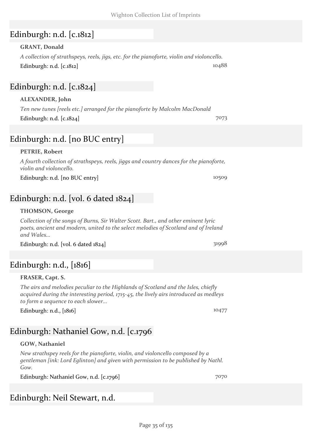# Edinburgh: n.d. [c.1812]

### **GRANT, Donald**

*A collection of strathspeys, reels, jigs, etc. for the pianoforte, violin and violoncello.* Edinburgh: n.d. [c.1812] 10488

# Edinburgh: n.d. [c.1824]

### **ALEXANDER, John**

*Ten new tunes [reels etc.] arranged for the pianoforte by Malcolm MacDonald* Edinburgh: n.d.  $[c.1824]$  7073

# Edinburgh: n.d. [no BUC entry]

### **PETRIE, Robert**

*A fourth collection of strathspeys, reels, jiggs and country dances for the pianoforte, violin and violoncello.*

Edinburgh: n.d. [no BUC entry] 10509

## Edinburgh: n.d. [vol. 6 dated 1824]

### **THOMSON, George**

*Collection of the songs of Burns, Sir Walter Scott. Bart., and other eminent lyric poets, ancient and modern, united to the select melodies of Scotland and of Ireland and Wales...*

Edinburgh: n.d. [vol. 6 dated 1824] 31998

# Edinburgh: n.d., [1816]

#### **FRASER, Capt. S.**

*The airs and melodies peculiar to the Highlands of Scotland and the Isles, chiefly acquired during the interesting period, 1715-45, the lively airs introduced as medleys to form a sequence to each slower...*

Edinburgh: n.d., [1816] 10477

Edinburgh: Nathaniel Gow, n.d. [c.1796

### **GOW, Nathaniel**

*New strathspey reels for the pianoforte, violin, and violoncello composed by a gentleman [ink: Lord Eglinton] and given with permission to be published by Nathl. Gow.*

Edinburgh: Nathaniel Gow, n.d. [c.1796] 7070

### Edinburgh: Neil Stewart, n.d.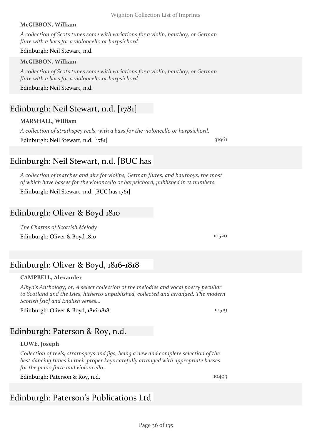#### **McGIBBON, William**

*A collection of Scots tunes some with variations for a violin, hautboy, or German flute with a bass for a violoncello or harpsichord.*

#### Edinburgh: Neil Stewart, n.d.

#### **McGIBBON, William**

*A collection of Scots tunes some with variations for a violin, hautboy, or German flute with a bass for a violoncello or harpsichord.*

Edinburgh: Neil Stewart, n.d.

### Edinburgh: Neil Stewart, n.d. [1781]

#### **MARSHALL, William**

*A collection of strathspey reels, with a bass for the violoncello or harpsichord.*

Edinburgh: Neil Stewart, n.d. [1781] 31961

### Edinburgh: Neil Stewart, n.d. [BUC has

*A collection of marches and airs for violins, German flutes, and hautboys, the most of which have basses for the violoncello or harpsichord, published in 12 numbers.*

Edinburgh: Neil Stewart, n.d. [BUC has 1761]

### Edinburgh: Oliver & Boyd 1810

*The Charms of Scottish Melody* Edinburgh: Oliver & Boyd 1810 10520

### Edinburgh: Oliver & Boyd, 1816-1818

#### **CAMPBELL, Alexander**

*Albyn's Anthology; or, A select collection of the melodies and vocal poetry peculiar to Scotland and the Isles, hitherto unpublished, collected and arranged. The modern Scotish [sic] and English verses...*

Edinburgh: Oliver & Boyd, 1816-1818 10519

### Edinburgh: Paterson & Roy, n.d.

#### **LOWE, Joseph**

*Collection of reels, strathspeys and jigs, being a new and complete selection of the best dancing tunes in their proper keys carefully arranged with appropriate basses for the piano forte and violoncello.*

Edinburgh: Paterson & Roy, n.d. 10493

### Edinburgh: Paterson's Publications Ltd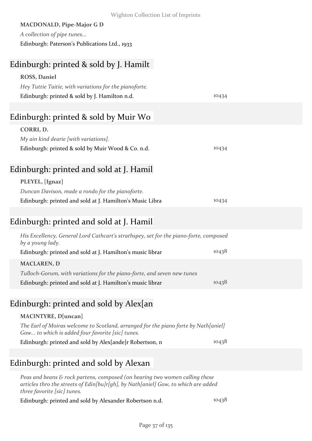| Wighton Collection List of Imprints                                                                                                                             |       |
|-----------------------------------------------------------------------------------------------------------------------------------------------------------------|-------|
| <b>MACDONALD, Pipe-Major G D</b>                                                                                                                                |       |
| A collection of pipe tunes                                                                                                                                      |       |
| Edinburgh: Paterson's Publications Ltd., 1933                                                                                                                   |       |
| Edinburgh: printed & sold by J. Hamilt                                                                                                                          |       |
| <b>ROSS, Daniel</b>                                                                                                                                             |       |
| Hey Tuttie Taitie, with variations for the pianoforte.                                                                                                          |       |
| Edinburgh: printed & sold by J. Hamilton n.d.                                                                                                                   | 10434 |
| Edinburgh: printed & sold by Muir Wo                                                                                                                            |       |
| CORRI, D.                                                                                                                                                       |       |
| My ain kind dearie [with variations].                                                                                                                           |       |
| Edinburgh: printed & sold by Muir Wood & Co. n.d.                                                                                                               | 10434 |
| Edinburgh: printed and sold at J. Hamil                                                                                                                         |       |
| PLEYEL, [Ignaz]                                                                                                                                                 |       |
| Duncan Davison, made a rondo for the pianoforte.                                                                                                                |       |
| Edinburgh: printed and sold at J. Hamilton's Music Libra                                                                                                        | 10434 |
| Edinburgh: printed and sold at J. Hamil                                                                                                                         |       |
| His Excellency, General Lord Cathcart's strathspey, set for the piano-forte, composed<br>by a young lady.                                                       |       |
| Edinburgh: printed and sold at J. Hamilton's music librar                                                                                                       | 10438 |
| <b>MACLAREN, D</b>                                                                                                                                              |       |
| Tulloch-Gorum, with variations for the piano-forte, and seven new tunes                                                                                         |       |
| Edinburgh: printed and sold at J. Hamilton's music librar                                                                                                       | 10438 |
| Edinburgh: printed and sold by Alex[an]                                                                                                                         |       |
| MACINTYRE, D[uncan]                                                                                                                                             |       |
| The Earl of Moiras welcome to Scotland, arranged for the piano forte by Nath[aniel]<br>Gow to which is added four favorite [sic] tunes.                         |       |
| Edinburgh: printed and sold by Alex[ande]r Robertson, n                                                                                                         | 10438 |
| Edinburgh: printed and sold by Alexan                                                                                                                           |       |
| Peas and beans & rock partens, composed (on hearing two women calling these<br>ticles thro the streets of Edip [hulr(ab) by Nath [gniel] Courte which are added |       |

*articles thro the streets of Edin[bu]r[gh], by Nath[aniel] Gow, to which are added three favorite [sic] tunes.*

Edinburgh: printed and sold by Alexander Robertson n.d. 10438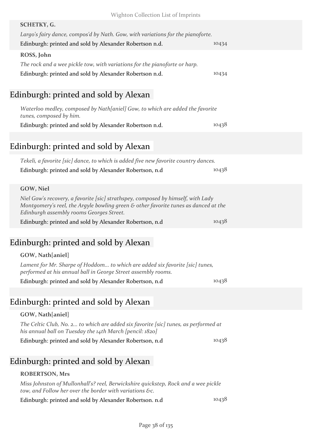| Wighton Collection List of Imprints                                                                                                                                                                                 |       |
|---------------------------------------------------------------------------------------------------------------------------------------------------------------------------------------------------------------------|-------|
| SCHETKY, G.<br>Largo's fairy dance, compos'd by Nath. Gow, with variations for the pianoforte.<br>Edinburgh: printed and sold by Alexander Robertson n.d.                                                           | 10434 |
|                                                                                                                                                                                                                     |       |
| ROSS, John<br>The rock and a wee pickle tow, with variations for the pianoforte or harp.<br>Edinburgh: printed and sold by Alexander Robertson n.d.                                                                 | 10434 |
| Edinburgh: printed and sold by Alexan                                                                                                                                                                               |       |
| Waterloo medley, composed by Nath[aniel] Gow, to which are added the favorite<br>tunes, composed by him.<br>Edinburgh: printed and sold by Alexander Robertson n.d.                                                 | 10438 |
|                                                                                                                                                                                                                     |       |
| Edinburgh: printed and sold by Alexan                                                                                                                                                                               |       |
| Tekeli, a favorite [sic] dance, to which is added five new favorite country dances.<br>Edinburgh: printed and sold by Alexander Robertson, n.d                                                                      | 10438 |
| GOW, Niel                                                                                                                                                                                                           |       |
| Niel Gow's recovery, a favorite [sic] strathspey, composed by himself, with Lady<br>Montgomery's reel, the Argyle bowling green & other favorite tunes as danced at the<br>Edinburgh assembly rooms Georges Street. |       |
| Edinburgh: printed and sold by Alexander Robertson, n.d                                                                                                                                                             | 10438 |
| Edinburgh: printed and sold by Alexan                                                                                                                                                                               |       |
| GOW, Nath[aniel]                                                                                                                                                                                                    |       |
| Lament for Mr. Sharpe of Hoddom to which are added six favorite [sic] tunes,<br>performed at his annual ball in George Street assembly rooms.                                                                       |       |
| Edinburgh: printed and sold by Alexander Robertson, n.d                                                                                                                                                             | 10438 |
|                                                                                                                                                                                                                     |       |
| Edinburgh: printed and sold by Alexan                                                                                                                                                                               |       |
| GOW, Nath[aniel]                                                                                                                                                                                                    |       |
| The Celtic Club, No. 2 to which are added six favorite [sic] tunes, as performed at<br>his annual ball on Tuesday the 14th March [pencil: 1820]                                                                     |       |
| Edinburgh: printed and sold by Alexander Robertson, n.d.                                                                                                                                                            | 10438 |
| Edinburgh: printed and sold by Alexan                                                                                                                                                                               |       |
| <b>ROBERTSON, Mrs</b>                                                                                                                                                                                               |       |
| Miss Johnston of Mullonhall's? reel, Berwickshire quickstep, Rock and a wee pickle<br>tow, and Follow her over the border with variations &c.                                                                       |       |
| Edinburgh: printed and sold by Alexander Robertson. n.d                                                                                                                                                             | 10438 |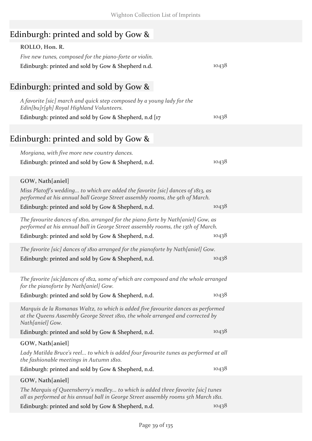| Edinburgh: printed and sold by Gow $\&$                                                                                                                               |       |
|-----------------------------------------------------------------------------------------------------------------------------------------------------------------------|-------|
| ROLLO, Hon. R.                                                                                                                                                        |       |
| Five new tunes, composed for the piano-forte or violin.                                                                                                               |       |
| Edinburgh: printed and sold by Gow & Shepherd n.d.                                                                                                                    | 10438 |
|                                                                                                                                                                       |       |
| Edinburgh: printed and sold by Gow &                                                                                                                                  |       |
| A favorite [sic] march and quick step composed by a young lady for the<br>Edin[bu]r[gh] Royal Highland Volunteers.                                                    |       |
| Edinburgh: printed and sold by Gow & Shepherd, n.d [17                                                                                                                | 10438 |
|                                                                                                                                                                       |       |
| Edinburgh: printed and sold by Gow &                                                                                                                                  |       |
| Morgiana, with five more new country dances.                                                                                                                          |       |
| Edinburgh: printed and sold by Gow & Shepherd, n.d.                                                                                                                   | 10438 |
|                                                                                                                                                                       |       |
| GOW, Nath[aniel]                                                                                                                                                      |       |
| Miss Platoff's wedding to which are added the favorite [sic] dances of 1813, as                                                                                       |       |
| performed at his annual ball George Street assembly rooms, the 9th of March.                                                                                          | 10438 |
| Edinburgh: printed and sold by Gow & Shepherd, n.d.                                                                                                                   |       |
| The favourite dances of 1810, arranged for the piano forte by Nath[aniel] Gow, as<br>performed at his annual ball in George Street assembly rooms, the 13th of March. |       |
| Edinburgh: printed and sold by Gow & Shepherd, n.d.                                                                                                                   | 10438 |
|                                                                                                                                                                       |       |
| The favorite [sic] dances of 1810 arranged for the pianoforte by Nath[aniel] Gow.                                                                                     |       |
| Edinburgh: printed and sold by Gow & Shepherd, n.d.                                                                                                                   | 10438 |
|                                                                                                                                                                       |       |
| The favorite [sic]dances of 1812, some of which are composed and the whole arranged<br>for the pianoforte by Nath[aniel] Gow.                                         |       |
| Edinburgh: printed and sold by Gow & Shepherd, n.d.                                                                                                                   | 10438 |
| Marquis de la Romanas Waltz, to which is added five favourite dances as performed                                                                                     |       |
| at the Queens Assembly George Street 1810, the whole arranged and corrected by                                                                                        |       |
| Nath[aniel] Gow.                                                                                                                                                      |       |
| Edinburgh: printed and sold by Gow & Shepherd, n.d.                                                                                                                   | 10438 |
| GOW, Nath[aniel]                                                                                                                                                      |       |
| Lady Matilda Bruce's reel to which is added four favourite tunes as performed at all<br>the fashionable meetings in Autumn 1810.                                      |       |
| Edinburgh: printed and sold by Gow & Shepherd, n.d.                                                                                                                   | 10438 |
| GOW, Nath[aniel]                                                                                                                                                      |       |
| The Marquis of Queensberry's medley to which is added three favorite [sic] tunes                                                                                      |       |
| all as performed at his annual ball in George Street assembly rooms 5th March 1811.                                                                                   |       |
| Edinburgh: printed and sold by Gow & Shepherd, n.d.                                                                                                                   | 10438 |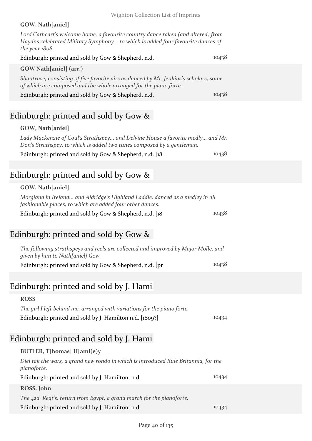|             | GOW, Nath[aniel]                                                                                                                                                                     |       |  |
|-------------|--------------------------------------------------------------------------------------------------------------------------------------------------------------------------------------|-------|--|
|             | Lord Cathcart's welcome home, a favourite country dance taken (and altered) from<br>Haydns celebrated Military Symphony to which is added four favourite dances of<br>the year 1808. |       |  |
|             | Edinburgh: printed and sold by Gow & Shepherd, n.d.                                                                                                                                  | 10438 |  |
|             | <b>GOW Nath[aniel] (arr.)</b>                                                                                                                                                        |       |  |
|             | Shantruse, consisting of five favorite airs as danced by Mr. Jenkins's scholars, some<br>of which are composed and the whole arranged for the piano forte.                           |       |  |
|             | Edinburgh: printed and sold by Gow & Shepherd, n.d.                                                                                                                                  | 10438 |  |
|             |                                                                                                                                                                                      |       |  |
|             | Edinburgh: printed and sold by Gow &                                                                                                                                                 |       |  |
|             | GOW, Nath[aniel]                                                                                                                                                                     |       |  |
|             | Lady Mackenzie of Coul's Strathspey and Delvine House a favorite medly and Mr.<br>Don's Strathspey, to which is added two tunes composed by a gentleman.                             |       |  |
|             | Edinburgh: printed and sold by Gow & Shepherd, n.d. [18]                                                                                                                             | 10438 |  |
|             |                                                                                                                                                                                      |       |  |
|             | Edinburgh: printed and sold by Gow $\&$                                                                                                                                              |       |  |
|             | GOW, Nath[aniel]                                                                                                                                                                     |       |  |
|             | Morgiana in Ireland and Aldridge's Highland Laddie, danced as a medley in all<br>fashionable places, to which are added four other dances.                                           |       |  |
|             | Edinburgh: printed and sold by Gow & Shepherd, n.d. [18]                                                                                                                             | 10438 |  |
|             |                                                                                                                                                                                      |       |  |
|             | Edinburgh: printed and sold by Gow &                                                                                                                                                 |       |  |
|             | The following strathspeys and reels are collected and improved by Major Molle, and<br>given by him to Nath[aniel] Gow.                                                               |       |  |
|             | Edinburgh: printed and sold by Gow & Shepherd, n.d. [pr]                                                                                                                             | 10438 |  |
|             |                                                                                                                                                                                      |       |  |
|             | Edinburgh: printed and sold by J. Hami                                                                                                                                               |       |  |
| <b>ROSS</b> |                                                                                                                                                                                      |       |  |
|             | The girl I left behind me, arranged with variations for the piano forte.                                                                                                             |       |  |
|             | Edinburgh: printed and sold by J. Hamilton n.d. [1809?]                                                                                                                              | 10434 |  |
|             |                                                                                                                                                                                      |       |  |
|             | Edinburgh: printed and sold by J. Hami                                                                                                                                               |       |  |
|             | BUTLER, T[homas] H[aml(e)y]                                                                                                                                                          |       |  |
| pianoforte. | Diel tak the wars, a grand new rondo in which is introduced Rule Britannia, for the                                                                                                  |       |  |
|             | Edinburgh: printed and sold by J. Hamilton, n.d.                                                                                                                                     | 10434 |  |
| ROSS, John  |                                                                                                                                                                                      |       |  |
|             | The 42d. Regt's. return from Egypt, a grand march for the pianoforte.                                                                                                                |       |  |
|             | Edinburgh: printed and sold by J. Hamilton, n.d.                                                                                                                                     | 10434 |  |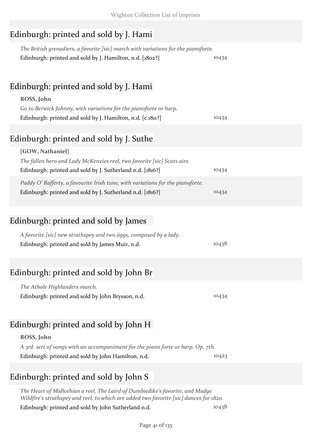| Wighton Collection List of Imprints                                                |       |
|------------------------------------------------------------------------------------|-------|
| Edinburgh: printed and sold by J. Hami                                             |       |
| The British grenadiers, a favorite [sic] march with variations for the pianoforte. |       |
| Edinburgh: printed and sold by J. Hamilton, n.d. [1802?]                           | 10434 |
| Edinburgh: printed and sold by J. Hami                                             |       |
| ROSS, John                                                                         |       |
| Go to Berwick Johnny, with variations for the pianoforte or harp.                  |       |
| Edinburgh: printed and sold by J. Hamilton, n.d. [c.1811?]                         | 10434 |
| Edinburgh: printed and sold by J. Suthe                                            |       |
| [GOW, Nathaniel]                                                                   |       |
| The fallen hero and Lady McKenzies reel, two favorite [sic] Scots airs             |       |
| Edinburgh: printed and sold by J. Sutherland n.d. [1816?]                          | 10434 |
| Paddy O' Rafferty, a favourite Irish tune, with variations for the pianoforte.     |       |
| Edinburgh: printed and sold by J. Sutherland n.d. [1816?]                          | 10434 |
|                                                                                    |       |
| Edinburgh: printed and sold by James                                               |       |
| A favorite [sic] new strathspey and two jiggs, composed by a lady.                 |       |
| Edinburgh: printed and sold by James Muir, n.d.                                    | 10438 |
|                                                                                    |       |
| Edinburgh: printed and sold by John Br                                             |       |
| The Athole Highlanders march.                                                      |       |
| Edinburgh: printed and sold by John Brysson, n.d.                                  | 10434 |
|                                                                                    |       |
| Edinburgh: printed and sold by John H                                              |       |

#### **ROSS, John**

*A 3rd. sett of songs with an accompaniment for the piano forte or harp. Op. 7th.* Edinburgh: printed and sold by John Hamilton, n.d. 10423

### Edinburgh: printed and sold by John S

*The Heart of Midlothian a reel, The Laird of Dumbiedike's favorite, and Madge Wildfire's strathspey and reel, to which are added two favorite [sic] dances for 1820.* Edinburgh: printed and sold by John Sutherland n.d. 10438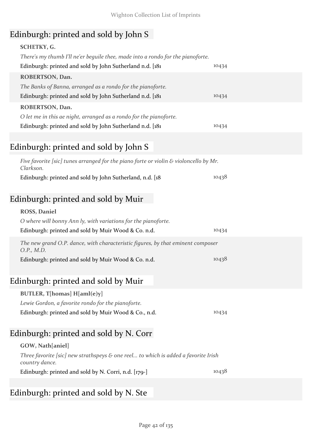### Edinburgh: printed and sold by John S

| SCHETKY, G.                                                                                        |       |
|----------------------------------------------------------------------------------------------------|-------|
| There's my thumb I'll ne'er beguile thee, made into a rondo for the pianoforte.                    |       |
| Edinburgh: printed and sold by John Sutherland n.d. [181                                           | 10434 |
| ROBERTSON, Dan.                                                                                    |       |
| The Banks of Banna, arranged as a rondo for the pianoforte.                                        |       |
| Edinburgh: printed and sold by John Sutherland n.d. [181]                                          | 10434 |
| ROBERTSON, Dan.                                                                                    |       |
| O let me in this ae night, arranged as a rondo for the pianoforte.                                 |       |
| Edinburgh: printed and sold by John Sutherland n.d. [181]                                          | 10434 |
|                                                                                                    |       |
| Edinburgh: printed and sold by John S                                                              |       |
| Five favorite [sic] tunes arranged for the piano forte or violin & violoncello by Mr.<br>Clarkson. |       |
| Edinburgh: printed and sold by John Sutherland, n.d. [18]                                          | 10438 |
|                                                                                                    |       |
| Edinburgh: printed and sold by Muir                                                                |       |
| <b>ROSS, Daniel</b>                                                                                |       |
| O where will bonny Ann ly, with variations for the pianoforte.                                     |       |
| Edinburgh: printed and sold by Muir Wood & Co. n.d.                                                | 10434 |
| The new grand O.P. dance, with characteristic figures, by that eminent composer<br>O.P., M.D.      |       |

### Edinburgh: printed and sold by Muir

#### **BUTLER, T[homas] H[aml(e)y]**

| Lewie Gordon, a favorite rondo for the pianoforte.   |       |
|------------------------------------------------------|-------|
| Edinburgh: printed and sold by Muir Wood & Co., n.d. | 10434 |

Edinburgh: printed and sold by Muir Wood & Co. n.d. 10438

### Edinburgh: printed and sold by N. Corr

#### **GOW, Nath[aniel]**

*Three favorite [sic] new strathspeys & one reel... to which is added a favorite Irish country dance.*

Edinburgh: printed and sold by N. Corri, n.d. [179-] 10438

### Edinburgh: printed and sold by N. Ste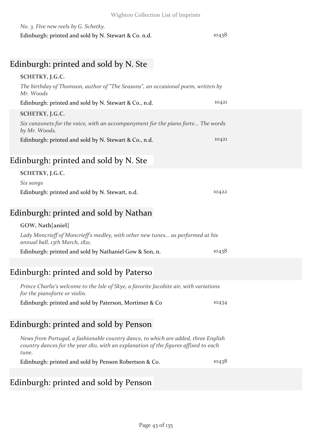| No. 3. Five new reels by G. Schetky.                 |       |
|------------------------------------------------------|-------|
| Edinburgh: printed and sold by N. Stewart & Co. n.d. | 10438 |

### Edinburgh: printed and sold by N. Ste

#### **SCHETKY, J.G.C.**

| The birthday of Thomson, author of "The Seasons", an occasional poem, written by<br>Mr. Woods |       |
|-----------------------------------------------------------------------------------------------|-------|
| Edinburgh: printed and sold by N. Stewart & Co., n.d.                                         | 10421 |
| SCHETKY, J.G.C.                                                                               |       |

*Six canzonets for the voice, with an accompanyment for the piano forte... The words by Mr. Woods.*

Edinburgh: printed and sold by N. Stewart & Co., n.d. 10421

### Edinburgh: printed and sold by N. Ste

#### **SCHETKY, J.G.C.**

| Six songs                                       |       |
|-------------------------------------------------|-------|
| Edinburgh: printed and sold by N. Stewart, n.d. | 10422 |

### Edinburgh: printed and sold by Nathan

#### **GOW, Nath[aniel]**

*Lady Moncrieff of Moncrieff's medley, with other new tunes... as performed at his annual ball, 13th March, 1821.*

Edinburgh: printed and sold by Nathaniel Gow & Son, n. 10438

### Edinburgh: printed and sold by Paterso

*Prince Charlie's welcome to the Isle of Skye, a favorite Jacobite air, with variations for the pianoforte or violin.*

Edinburgh: printed and sold by Paterson, Mortimer & Co 10434

### Edinburgh: printed and sold by Penson

*News from Portugal, a fashionable country dance, to which are added, three English country dances for the year 1811, with an explanation of the figures affixed to each tune.*

Edinburgh: printed and sold by Penson Robertson & Co. 10438

### Edinburgh: printed and sold by Penson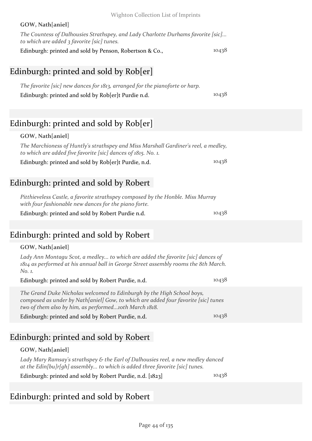# Edinburgh: printed and sold by Rob[er]

| The favorite [sic] new dances for $1813$ , arranged for the pianoforte or harp. |       |
|---------------------------------------------------------------------------------|-------|
| Edinburgh: printed and sold by Rob[er]t Purdie n.d.                             | 10438 |

*The Countess of Dalhousies Strathspey, and Lady Charlotte Durhams favorite [sic]...* 

## Edinburgh: printed and sold by Rob[er]

#### **GOW, Nath[aniel]**

*The Marchioness of Huntly's strathspey and Miss Marshall Gardiner's reel, a medley, to which are added five favorite [sic] dances of 1815. No. 1.*

Edinburgh: printed and sold by Rob[er]t Purdie, n.d. 10438

### Edinburgh: printed and sold by Robert

*Pitthieveless Castle, a favorite strathspey composed by the Honble. Miss Murray with four fashionable new dances for the piano forte.*

Edinburgh: printed and sold by Robert Purdie n.d. 10438

### Edinburgh: printed and sold by Robert

#### **GOW, Nath[aniel]**

*Lady Ann Montagu Scot, a medley... to which are added the favorite [sic] dances of 1814 as performed at his annual ball in George Street assembly rooms the 8th March. No. 1.*

Edinburgh: printed and sold by Robert Purdie, n.d. 10438 *The Grand Duke Nicholas welcomed to Edinburgh by the High School boys, composed as under by Nath[aniel] Gow, to which are added four favorite [sic] tunes* 

*two of them also by him, as performed...10th March 1818.* Edinburgh: printed and sold by Robert Purdie, n.d. 10438

## Edinburgh: printed and sold by Robert

### **GOW, Nath[aniel]**

*Lady Mary Ramsay's strathspey & the Earl of Dalhousies reel, a new medley danced at the Edin[bu]r[gh] assembly... to which is added three favorite [sic] tunes.*

Edinburgh: printed and sold by Robert Purdie, n.d. [1823] 10438

## Edinburgh: printed and sold by Robert

**GOW, Nath[aniel]**

*to which are added 3 favorite [sic] tunes.*

Edinburgh: printed and sold by Penson, Robertson & Co., 10438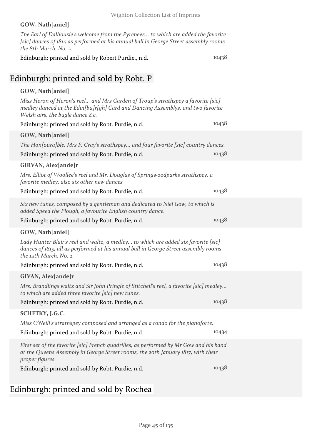#### **GOW, Nath[aniel]**

*The Earl of Dalhousie's welcome from the Pyrenees... to which are added the favorite [sic] dances of 1814 as performed at his annual ball in George Street assembly rooms the 8th March. No. 2.*

Edinburgh: printed and sold by Robert Purdie., n.d. 10438

### Edinburgh: printed and sold by Robt. P

#### **GOW, Nath[aniel]**

*Miss Heron of Heron's reel... and Mrs Garden of Troup's strathspey a favorite [sic] medley danced at the Edin[bu]r[gh] Card and Dancing Assemblys, and two favorite Welsh airs, the bugle dance &c.* Edinburgh: printed and sold by Robt. Purdie, n.d.  $10438$ 

| Edimburgh, printed and sold by Robt. I drule, n.d.                                                                                                                                                  |       |
|-----------------------------------------------------------------------------------------------------------------------------------------------------------------------------------------------------|-------|
| GOW, Nath[aniel]                                                                                                                                                                                    |       |
| The Hon[oura]ble. Mrs F. Gray's strathspey and four favorite [sic] country dances.                                                                                                                  |       |
| Edinburgh: printed and sold by Robt. Purdie, n.d.                                                                                                                                                   | 10438 |
| GIRVAN, Alex[ande]r                                                                                                                                                                                 |       |
| Mrs. Elliot of Woollee's reel and Mr. Douglas of Springwoodparks strathspey, a<br>favorite medley, also six other new dances                                                                        |       |
| Edinburgh: printed and sold by Robt. Purdie, n.d.                                                                                                                                                   | 10438 |
| Six new tunes, composed by a gentleman and dedicated to Niel Gow, to which is<br>added Speed the Plough, a favourite English country dance.                                                         |       |
| Edinburgh: printed and sold by Robt. Purdie, n.d.                                                                                                                                                   | 10438 |
| GOW, Nath[aniel]                                                                                                                                                                                    |       |
| Lady Hunter Blair's reel and waltz, a medley to which are added six favorite [sic]<br>dances of 1815, all as performed at his annual ball in George Street assembly rooms<br>the 14th March. No. 2. |       |
| Edinburgh: printed and sold by Robt. Purdie, n.d.                                                                                                                                                   | 10438 |
| GIVAN, Alex[ande]r                                                                                                                                                                                  |       |
| Mrs. Brandlings waltz and Sir John Pringle of Stitchell's reel, a favorite [sic] medley<br>to which are added three favorite [sic] new tunes.                                                       |       |
| Edinburgh: printed and sold by Robt. Purdie, n.d.                                                                                                                                                   | 10438 |
| SCHETKY, J.G.C.                                                                                                                                                                                     |       |
| Miss O'Neill's strathspey composed and arranged as a rondo for the pianoforte.                                                                                                                      |       |
| Edinburgh: printed and sold by Robt. Purdie, n.d.                                                                                                                                                   | 10434 |
|                                                                                                                                                                                                     |       |
| First set of the favorite [sic] French quadrilles, as performed by Mr Gow and his band<br>at the Queens Assembly in George Street rooms, the 20th January 1817, with their<br>proper figures.       |       |
| Edinburgh: printed and sold by Robt. Purdie, n.d.                                                                                                                                                   | 10438 |
|                                                                                                                                                                                                     |       |

### Edinburgh: printed and sold by Rochea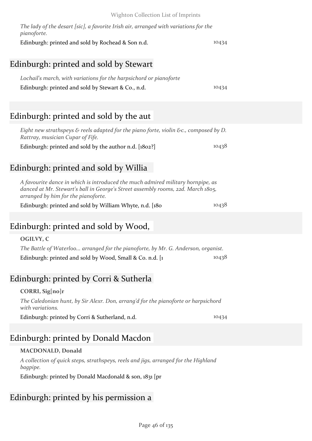*The lady of the desart [sic], a favorite Irish air, arranged with variations for the pianoforte.*

Edinburgh: printed and sold by Rochead & Son n.d. 10434

### Edinburgh: printed and sold by Stewart

| Lochail's march, with variations for the harpsichord or pianoforte |       |
|--------------------------------------------------------------------|-------|
| Edinburgh: printed and sold by Stewart & Co., n.d.                 | 10434 |

### Edinburgh: printed and sold by the aut

| Eight new strathspeys & reels adapted for the piano forte, violin &c., composed by D. |       |
|---------------------------------------------------------------------------------------|-------|
| Rattray, musician Cupar of Fife.                                                      |       |
| Edinburgh: printed and sold by the author n.d. $[1802!]$                              | 10438 |

### Edinburgh: printed and sold by Willia

*A favourite dance in which is introduced the much admired military hornpipe, as danced at Mr. Stewart's ball in George's Street assembly rooms, 22d. March 1805, arranged by him for the pianoforte.*

Edinburgh: printed and sold by William Whyte, n.d. [180 10438

### Edinburgh: printed and sold by Wood,

#### **OGILVY, C**

*The Battle of Waterloo... arranged for the pianoforte, by Mr. G. Anderson, organist.* Edinburgh: printed and sold by Wood, Small & Co. n.d. [1 10438

### Edinburgh: printed by Corri & Sutherla

#### **CORRI, Sig[no]r**

*The Caledonian hunt, by Sir Alexr. Don, arrang'd for the pianoforte or harpsichord with variations.*

Edinburgh: printed by Corri & Sutherland, n.d. 10434

### Edinburgh: printed by Donald Macdon

#### **MACDONALD, Donald**

*A collection of quick steps, strathspeys, reels and jigs, arranged for the Highland bagpipe.*

Edinburgh: printed by Donald Macdonald & son, 1831 [pr

### Edinburgh: printed by his permission a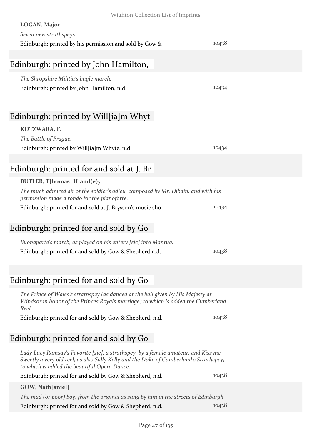| Wighton Collection List of Imprints                                                                                                                                                                                        |       |
|----------------------------------------------------------------------------------------------------------------------------------------------------------------------------------------------------------------------------|-------|
| LOGAN, Major                                                                                                                                                                                                               |       |
| Seven new strathspeys                                                                                                                                                                                                      |       |
| Edinburgh: printed by his permission and sold by Gow $\&$                                                                                                                                                                  | 10438 |
|                                                                                                                                                                                                                            |       |
| Edinburgh: printed by John Hamilton,                                                                                                                                                                                       |       |
| The Shropshire Militia's bugle march.                                                                                                                                                                                      |       |
| Edinburgh: printed by John Hamilton, n.d.                                                                                                                                                                                  | 10434 |
|                                                                                                                                                                                                                            |       |
| Edinburgh: printed by Will[ia]m Whyt                                                                                                                                                                                       |       |
| KOTZWARA, F.                                                                                                                                                                                                               |       |
| The Battle of Prague.                                                                                                                                                                                                      |       |
| Edinburgh: printed by Will[ia]m Whyte, n.d.                                                                                                                                                                                | 10434 |
|                                                                                                                                                                                                                            |       |
| Edinburgh: printed for and sold at J. Br                                                                                                                                                                                   |       |
| BUTLER, T[homas] H[aml(e)y]                                                                                                                                                                                                |       |
| The much admired air of the soldier's adieu, composed by Mr. Dibdin, and with his<br>permission made a rondo for the pianoforte.                                                                                           |       |
| Edinburgh: printed for and sold at J. Brysson's music sho                                                                                                                                                                  | 10434 |
|                                                                                                                                                                                                                            |       |
| Edinburgh: printed for and sold by Go                                                                                                                                                                                      |       |
| Buonaparte's march, as played on his entery [sic] into Mantua.                                                                                                                                                             |       |
| Edinburgh: printed for and sold by Gow & Shepherd n.d.                                                                                                                                                                     | 10438 |
|                                                                                                                                                                                                                            |       |
|                                                                                                                                                                                                                            |       |
| Edinburgh: printed for and sold by Go                                                                                                                                                                                      |       |
| The Prince of Wales's strathspey (as danced at the ball given by His Majesty at<br>Windsor in honor of the Princes Royals marriage) to which is added the Cumberland                                                       |       |
| Reel.                                                                                                                                                                                                                      |       |
| Edinburgh: printed for and sold by Gow & Shepherd, n.d.                                                                                                                                                                    | 10438 |
|                                                                                                                                                                                                                            |       |
| Edinburgh: printed for and sold by Go                                                                                                                                                                                      |       |
| Lady Lucy Ramsay's Favorite [sic], a strathspey, by a female amateur, and Kiss me<br>Sweetly a very old reel, as also Sally Kelly and the Duke of Cumberland's Strathspey,<br>to which is added the beautiful Opera Dance. |       |
| Edinburgh: printed for and sold by Gow & Shepherd, n.d.                                                                                                                                                                    | 10438 |
| GOW, Nath[aniel]                                                                                                                                                                                                           |       |
| The mad (or poor) boy, from the original as sung by him in the streets of Edinburgh                                                                                                                                        |       |
| Edinburgh: printed for and sold by Gow & Shepherd, n.d.                                                                                                                                                                    | 10438 |
|                                                                                                                                                                                                                            |       |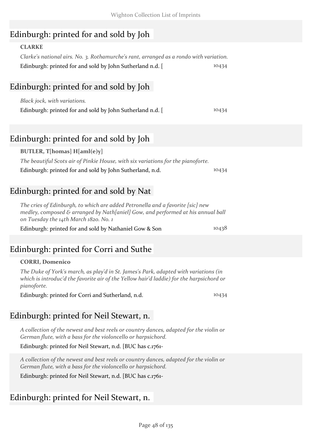### Edinburgh: printed for and sold by Joh

| <b>CLARKE</b>                                                                          |       |
|----------------------------------------------------------------------------------------|-------|
| Clarke's national airs. No. 3. Rothamurche's rant, arranged as a rondo with variation. |       |
| Edinburgh: printed for and sold by John Sutherland n.d. [                              | 10434 |
|                                                                                        |       |
| Edinburgh: printed for and sold by Joh                                                 |       |
| Black jock, with variations.                                                           |       |
| Edinburgh: printed for and sold by John Sutherland n.d. [                              | 10434 |

### Edinburgh: printed for and sold by Joh

**BUTLER, T[homas] H[aml(e)y]** *The beautiful Scots air of Pinkie House, with six variations for the pianoforte.* Edinburgh: printed for and sold by John Sutherland, n.d. 10434

### Edinburgh: printed for and sold by Nat

*The cries of Edinburgh, to which are added Petronella and a favorite [sic] new medley, composed & arranged by Nath[aniel] Gow, and performed at his annual ball on Tuesday the 14th March 1820. No. 1*

Edinburgh: printed for and sold by Nathaniel Gow & Son 10438

### Edinburgh: printed for Corri and Suthe

#### **CORRI, Domenico**

*The Duke of York's march, as play'd in St. James's Park, adapted with variations (in which is introduc'd the favorite air of the Yellow hair'd laddie) for the harpsichord or pianoforte.*

Edinburgh: printed for Corri and Sutherland, n.d. 10434

### Edinburgh: printed for Neil Stewart, n.

*A collection of the newest and best reels or country dances, adapted for the violin or German flute, with a bass for the violoncello or harpsichord.*

#### Edinburgh: printed for Neil Stewart, n.d. [BUC has c.1761-

*A collection of the newest and best reels or country dances, adapted for the violin or German flute, with a bass for the violoncello or harpsichord.*

Edinburgh: printed for Neil Stewart, n.d. [BUC has c.1761-

### Edinburgh: printed for Neil Stewart, n.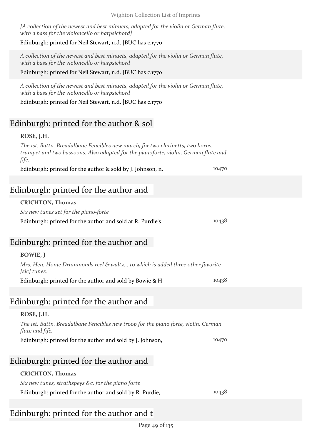*[A collection of the newest and best minuets, adapted for the violin or German flute, with a bass for the violoncello or harpsichord]*

#### Edinburgh: printed for Neil Stewart, n.d. [BUC has c.1770

*A collection of the newest and best minuets, adapted for the violin or German flute, with a bass for the violoncello or harpsichord*

Edinburgh: printed for Neil Stewart, n.d. [BUC has c.1770

*A collection of the newest and best minuets, adapted for the violin or German flute, with a bass for the violoncello or harpsichord*

Edinburgh: printed for Neil Stewart, n.d. [BUC has c.1770

### Edinburgh: printed for the author & sol

#### **ROSE, J.H.**

*The 1st. Battn. Breadalbane Fencibles new march, for two clarinetts, two horns, trumpet and two bassoons. Also adapted for the pianoforte, violin, German flute and fife.*

Edinburgh: printed for the author & sold by J. Johnson, n. 10470

### Edinburgh: printed for the author and

#### **CRICHTON, Thomas** *Six new tunes set for the piano-forte* Edinburgh: printed for the author and sold at R. Purdie's 10438

### Edinburgh: printed for the author and

| <b>BOWIE, J</b> |                                                                              |       |
|-----------------|------------------------------------------------------------------------------|-------|
| [sic] tunes.    | Mrs. Hen. Home Drummonds reel & waltz to which is added three other favorite |       |
|                 | Edinburgh: printed for the author and sold by Bowie & H                      | 10438 |
|                 |                                                                              |       |
|                 | Edinburgh: printed for the author and                                        |       |
| ROSE, J.H.      |                                                                              |       |

*The 1st. Battn. Breadalbane Fencibles new troop for the piano forte, violin, German flute and fife.* Edinburgh: printed for the author and sold by J. Johnson, 10470

### Edinburgh: printed for the author and

#### **CRICHTON, Thomas**

*Six new tunes, strathspeys &c. for the piano forte* Edinburgh: printed for the author and sold by R. Purdie, 10438

### Edinburgh: printed for the author and t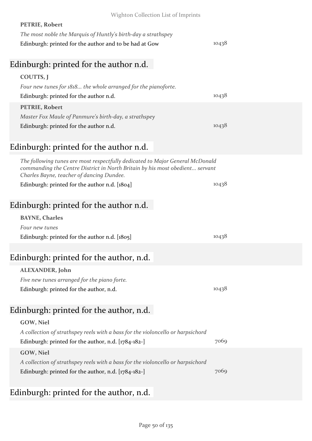| Wighton Collection List of Imprints                                                                                                                           |       |
|---------------------------------------------------------------------------------------------------------------------------------------------------------------|-------|
| <b>PETRIE, Robert</b>                                                                                                                                         |       |
| The most noble the Marquis of Huntly's birth-day a strathspey                                                                                                 |       |
| Edinburgh: printed for the author and to be had at Gow                                                                                                        | 10438 |
|                                                                                                                                                               |       |
| Edinburgh: printed for the author n.d.                                                                                                                        |       |
| COUTTS, J                                                                                                                                                     |       |
| Four new tunes for 1818 the whole arranged for the pianoforte.                                                                                                |       |
| Edinburgh: printed for the author n.d.                                                                                                                        | 10438 |
| PETRIE, Robert                                                                                                                                                |       |
| Master Fox Maule of Panmure's birth-day, a strathspey                                                                                                         |       |
| Edinburgh: printed for the author n.d.                                                                                                                        | 10438 |
|                                                                                                                                                               |       |
| Edinburgh: printed for the author n.d.                                                                                                                        |       |
|                                                                                                                                                               |       |
| The following tunes are most respectfully dedicated to Major General McDonald<br>commanding the Centre District in North Britain by his most obedient servant |       |
| Charles Bayne, teacher of dancing Dundee.                                                                                                                     |       |
| Edinburgh: printed for the author n.d. [1804]                                                                                                                 | 10438 |
|                                                                                                                                                               |       |
| Edinburgh: printed for the author n.d.                                                                                                                        |       |
| <b>BAYNE, Charles</b>                                                                                                                                         |       |
| Four new tunes                                                                                                                                                |       |
| Edinburgh: printed for the author n.d. [1805]                                                                                                                 | 10438 |
|                                                                                                                                                               |       |
| Edinburgh: printed for the author, n.d.                                                                                                                       |       |
| ALEXANDER, John                                                                                                                                               |       |
| Five new tunes arranged for the piano forte.                                                                                                                  |       |
| Edinburgh: printed for the author, n.d.                                                                                                                       | 10438 |
|                                                                                                                                                               |       |
| Edinburgh: printed for the author, n.d.                                                                                                                       |       |
|                                                                                                                                                               |       |
| GOW, Niel                                                                                                                                                     |       |
| A collection of strathspey reels with a bass for the violoncello or harpsichord<br>Edinburgh: printed for the author, n.d. [1784-182-]                        | 7069  |
|                                                                                                                                                               |       |
| GOW, Niel                                                                                                                                                     |       |
| A collection of strathspey reels with a bass for the violoncello or harpsichord                                                                               | 7069  |
| Edinburgh: printed for the author, n.d. [1784-182-]                                                                                                           |       |
|                                                                                                                                                               |       |

### Edinburgh: printed for the author, n.d.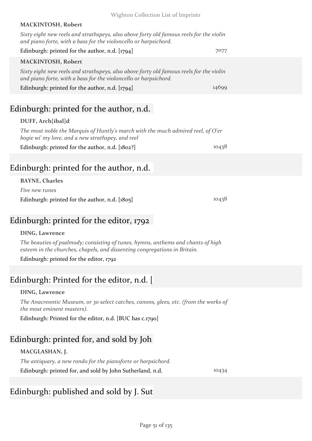#### **MACKINTOSH, Robert**

*Sixty eight new reels and strathspeys, also above forty old famous reels for the violin and piano forte, with a bass for the violoncello or harpsichord.*

| Edinburgh: printed for the author, n.d. [1794]                                                                                                              | 7077  |
|-------------------------------------------------------------------------------------------------------------------------------------------------------------|-------|
| <b>MACKINTOSH, Robert</b>                                                                                                                                   |       |
| Sixty eight new reels and strathspeys, also above forty old famous reels for the violin<br>and piano forte, with a bass for the violoncello or harpsichord. |       |
| Edinburgh: printed for the author, n.d. [1794]                                                                                                              | 14699 |
|                                                                                                                                                             |       |
| Edinburgh: printed for the author, n.d.                                                                                                                     |       |

#### **DUFF, Arch[ibal]d**

*The most noble the Marquis of Huntly's march with the much admired reel, of O'er bogie wi' my love, and a new strathspey, and reel*

Edinburgh: printed for the author, n.d. [1802?] 10438

### Edinburgh: printed for the author, n.d.

#### **BAYNE, Charles**

*Five new tunes* Edinburgh: printed for the author, n.d.  $[1805]$  10438

Edinburgh: printed for the editor, 1792

#### **DING, Lawrence**

*The beauties of psalmody; consisting of tunes, hymns, anthems and chants of high esteem in the churches, chapels, and dissenting congregations in Britain.*

Edinburgh: printed for the editor, 1792

### Edinburgh: Printed for the editor, n.d. [

#### **DING, Lawrence**

*The Anacreontic Museum, or 30 select catches, canons, glees, etc. (from the works of the most eminent masters).*

Edinburgh: Printed for the editor, n.d. [BUC has c.1790]

### Edinburgh: printed for, and sold by Joh

Edinburgh: published and sold by J. Sut

#### **MACGLASHAN, J.**

*The antiquary, a new rondo for the pianoforte or harpsichord.* Edinburgh: printed for, and sold by John Sutherland, n.d. 10434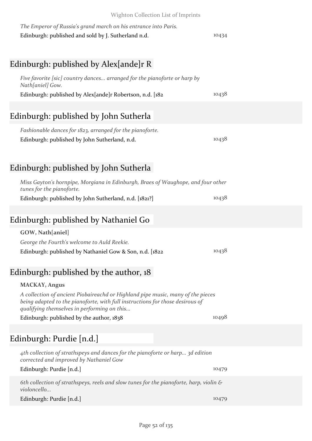### Edinburgh: published by Alex[ande]r R

| Five favorite [sic] country dances arranged for the pianoforte or harp by |       |
|---------------------------------------------------------------------------|-------|
| Nath[aniel] Gow.                                                          |       |
| Edinburgh: published by Alex[ande]r Robertson, n.d. [182]                 | 10438 |

### Edinburgh: published by John Sutherla

*Fashionable dances for 1823, arranged for the pianoforte.* Edinburgh: published by John Sutherland, n.d. 10438

### Edinburgh: published by John Sutherla

| Miss Gayton's hornpipe, Morgiana in Edinburgh, Braes of Waughope, and four other |       |
|----------------------------------------------------------------------------------|-------|
| tunes for the pianoforte.                                                        |       |
| Edinburgh: published by John Sutherland, n.d. [1821?]                            | 10438 |
|                                                                                  |       |

### Edinburgh: published by Nathaniel Go

**GOW, Nath[aniel]** *George the Fourth's welcome to Auld Reekie.* Edinburgh: published by Nathaniel Gow & Son, n.d. [1822 10438

### Edinburgh: published by the author, 18

#### **MACKAY, Angus**

*A collection of ancient Piobaireachd or Highland pipe music, many of the pieces being adapted to the pianoforte, with full instructions for those desirous of qualifying themselves in performing on this...*

Edinburgh: published by the author, 1838 10498

### Edinburgh: Purdie [n.d.]

*4th collection of strathspeys and dances for the pianoforte or harp... 3d edition corrected and improved by Nathaniel Gow*

#### Edinburgh: Purdie [n.d.] 10479

*6th collection of strathspeys, reels and slow tunes for the pianoforte, harp, violin & violoncello...*

#### Edinburgh: Purdie [n.d.] 10479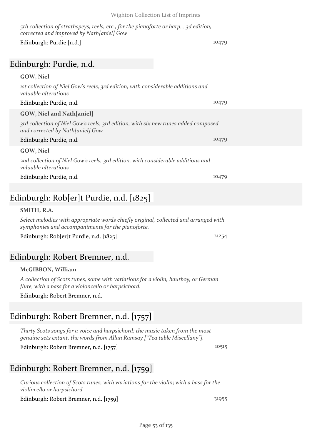*5th collection of strathspeys, reels, etc., for the pianoforte or harp... 3d edition, corrected and improved by Nath[aniel] Gow* Edinburgh: Purdie [n.d.] 10479

### Edinburgh: Purdie, n.d.

#### **GOW, Niel**

*1st collection of Niel Gow's reels, 3rd edition, with considerable additions and valuable alterations*

#### Edinburgh: Purdie, n.d. 10479

#### **GOW, Niel and Nath[aniel]**

*3rd collection of Niel Gow's reels, 3rd edition, with six new tunes added composed and corrected by Nath[aniel] Gow*

#### Edinburgh: Purdie, n.d. 10479

#### **GOW, Niel**

*2nd collection of Niel Gow's reels, 3rd edition, with considerable additions and valuable alterations*

Edinburgh: Purdie, n.d. 10479

### Edinburgh: Rob[er]t Purdie, n.d. [1825]

#### **SMITH, R.A.**

*Select melodies with appropriate words chiefly original, collected and arranged with symphonies and accompaniments for the pianoforte.*

Edinburgh: Rob[er]t Purdie, n.d. [1825] 21254

### Edinburgh: Robert Bremner, n.d.

#### **McGIBBON, William**

*A collection of Scots tunes, some with variations for a violin, hautboy, or German flute, with a bass for a violoncello or harpsichord.*

Edinburgh: Robert Bremner, n.d.

### Edinburgh: Robert Bremner, n.d. [1757]

*Thirty Scots songs for a voice and harpsichord; the music taken from the most genuine sets extant, the words from Allan Ramsay ["Tea table Miscellany"].*

Edinburgh: Robert Bremner, n.d. [1757] 10515

### Edinburgh: Robert Bremner, n.d. [1759]

*Curious collection of Scots tunes, with variations for the violin; with a bass for the violincello or harpsichord.*

Edinburgh: Robert Bremner, n.d. [1759] 31955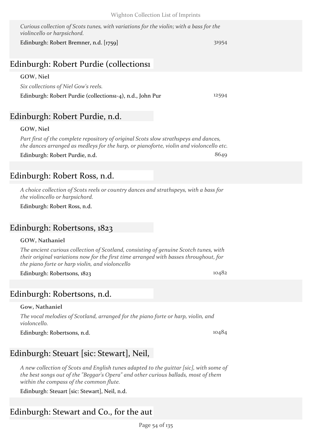*Curious collection of Scots tunes, with variations for the violin; with a bass for the violincello or harpsichord.*

Edinburgh: Robert Bremner, n.d. [1759] 31954

### Edinburgh: Robert Purdie (collections1

#### **GOW, Niel**

*Six collections of Niel Gow's reels.*

Edinburgh: Robert Purdie (collections1-4), n.d., John Pur 12594

### Edinburgh: Robert Purdie, n.d.

#### **GOW, Niel**

*Part first of the complete repository of original Scots slow strathspeys and dances, the dances arranged as medleys for the harp, or pianoforte, violin and violoncello etc.*

Edinburgh: Robert Purdie, n.d. 8649

### Edinburgh: Robert Ross, n.d.

*A choice collection of Scots reels or country dances and strathspeys, with a bass for the violincello or harpsichord.*

Edinburgh: Robert Ross, n.d.

### Edinburgh: Robertsons, 1823

### **GOW, Nathaniel**

*The ancient curious collection of Scotland, consisting of genuine Scotch tunes, with their original variations now for the first time arranged with basses throughout, for the piano forte or harp violin, and violoncello*

Edinburgh: Robertsons, 1823 10482

### Edinburgh: Robertsons, n.d.

**Gow, Nathaniel**

*The vocal melodies of Scotland, arranged for the piano forte or harp, violin, and violoncello.*

Edinburgh: Robertsons, n.d. 10484

## Edinburgh: Steuart [sic: Stewart], Neil,

*A new collection of Scots and English tunes adapted to the guittar [sic], with some of the best songs out of the "Beggar's Opera" and other curious ballads, most of them within the compass of the common flute.*

Edinburgh: Steuart [sic: Stewart], Neil, n.d.

### Edinburgh: Stewart and Co., for the aut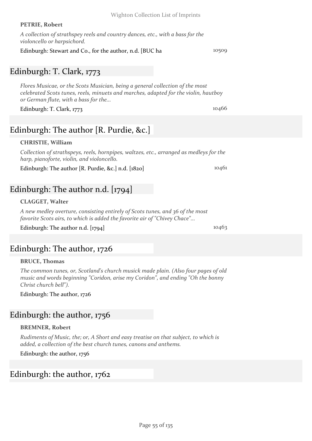#### **PETRIE, Robert**

*A collection of strathspey reels and country dances, etc., with a bass for the violoncello or harpsichord.*

Edinburgh: Stewart and Co., for the author, n.d. [BUC ha 10509]

### Edinburgh: T. Clark, 1773

*Flores Musicae, or the Scots Musician, being a general collection of the most celebrated Scots tunes, reels, minuets and marches, adapted for the violin, hautboy or German flute, with a bass for the...*

Edinburgh: T. Clark, 1773 10466

### Edinburgh: The author [R. Purdie, &c.]

#### **CHRISTIE, William**

*Collection of strathspeys, reels, hornpipes, waltzes, etc., arranged as medleys for the harp, pianoforte, violin, and violoncello.*

Edinburgh: The author [R. Purdie, &c.] n.d. [1820] 10461

### Edinburgh: The author n.d. [1794]

#### **CLAGGET, Walter**

*A new medley overture, consisting entirely of Scots tunes, and 36 of the most favorite Scots airs, to which is added the favorite air of "Chivey Chace"...*

Edinburgh: The author n.d.  $\lceil 1794 \rceil$  10463

### Edinburgh: The author, 1726

#### **BRUCE, Thomas**

*The common tunes, or, Scotland's church musick made plain. (Also four pages of old music and words beginning "Coridon, arise my Coridon", and ending "Oh the bonny Christ church bell").*

Edinburgh: The author, 1726

### Edinburgh: the author, 1756

#### **BREMNER, Robert**

*Rudiments of Music, the; or, A Short and easy treatise on that subject, to which is added, a collection of the best church tunes, canons and anthems.*

Edinburgh: the author, 1756

### Edinburgh: the author, 1762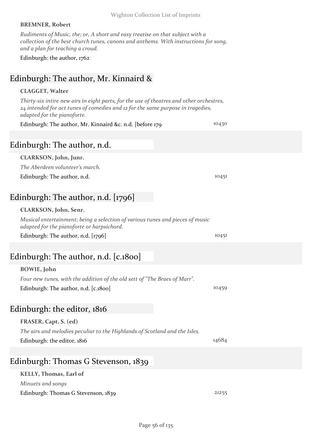#### **BREMNER, Robert**

*Rudiments of Music, the; or, A short and easy treatise on that subject with a collection of the best church tunes, canons and anthems. With instructions for song, and a plan for teaching a croud.*

Edinburgh: the author, 1762

### Edinburgh: The author, Mr. Kinnaird &

#### **CLAGGET, Walter**

*Thirty-six intire new airs in eight parts, for the use of theatres and other orchestres, 24 intended for act tunes of comedies and 12 for the same purpose in tragedies, adapted for the pianoforte.*

Edinburgh: The author, Mr. Kinnaird &c. n.d. [before 179 10430

| Edinburgh: The author, n.d.                                                                                                 |       |
|-----------------------------------------------------------------------------------------------------------------------------|-------|
| CLARKSON, John, Junr.                                                                                                       |       |
| The Aberdeen volunteer's march.                                                                                             |       |
| Edinburgh: The author, n.d.                                                                                                 | 10451 |
|                                                                                                                             |       |
| Edinburgh: The author, n.d. $ 1796 $                                                                                        |       |
| <b>CLARKSON, John, Senr.</b>                                                                                                |       |
| Musical entertainment; being a selection of various tunes and pieces of music<br>adapted for the pianoforte or harpsichord. |       |
| Edinburgh: The author, n.d. $[1796]$                                                                                        | 10451 |
|                                                                                                                             |       |
|                                                                                                                             |       |

### Edinburgh: The author, n.d. [c.1800]

#### **BOWIE, John**

*Four new tunes, with the addition of the old sett of "The Braes of Marr".* Edinburgh: The author, n.d. [c.1800] 10459

#### Edinburgh: the editor, 1816

| FRASER, Capt. S. (ed)                                                      |       |
|----------------------------------------------------------------------------|-------|
| The airs and melodies peculiar to the Highlands of Scotland and the Isles. |       |
| Edinburgh: the editor, 1816                                                | 14684 |

### Edinburgh: Thomas G Stevenson, 1839

**KELLY, Thomas, Earl of** *Minuets and songs* Edinburgh: Thomas G Stevenson, 1839 21255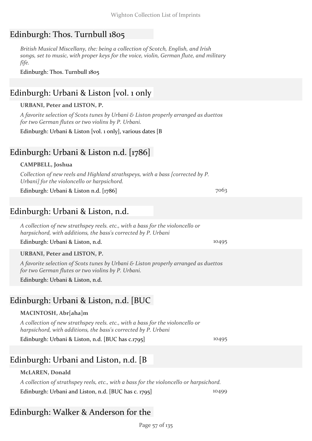### Edinburgh: Thos. Turnbull 1805

*British Musical Miscellany, the: being a collection of Scotch, English, and Irish songs, set to music, with proper keys for the voice, violin, German flute, and military fife.*

Edinburgh: Thos. Turnbull 1805

### Edinburgh: Urbani & Liston [vol. 1 only

#### **URBANI, Peter and LISTON, P.**

*A favorite selection of Scots tunes by Urbani & Liston properly arranged as duettos for two German flutes or two violins by P. Urbani.*

Edinburgh: Urbani & Liston [vol. 1 only], various dates [B

### Edinburgh: Urbani & Liston n.d. [1786]

#### **CAMPBELL, Joshua**

*Collection of new reels and Highland strathspeys, with a bass [corrected by P. Urbani] for the violoncello or harpsichord.*

Edinburgh: Urbani & Liston n.d. [1786] 7063

### Edinburgh: Urbani & Liston, n.d.

*A collection of new strathspey reels. etc., with a bass for the violoncello or harpsichord, with additions, the bass's corrected by P. Urbani*

Edinburgh: Urbani & Liston, n.d. 10495

**URBANI, Peter and LISTON, P.**

*A favorite selection of Scots tunes by Urbani & Liston properly arranged as duettos for two German flutes or two violins by P. Urbani.*

Edinburgh: Urbani & Liston, n.d.

### Edinburgh: Urbani & Liston, n.d. [BUC

#### **MACINTOSH, Abr[aha]m**

*A collection of new strathspey reels. etc., with a bass for the violoncello or harpsichord, with additions, the bass's corrected by P. Urbani*

Edinburgh: Urbani & Liston, n.d. [BUC has c.1795] 10495

### Edinburgh: Urbani and Liston, n.d. [B

#### **McLAREN, Donald**

*A collection of strathspey reels, etc., with a bass for the violoncello or harpsichord.* Edinburgh: Urbani and Liston, n.d. [BUC has c. 1795] 10499

### Edinburgh: Walker & Anderson for the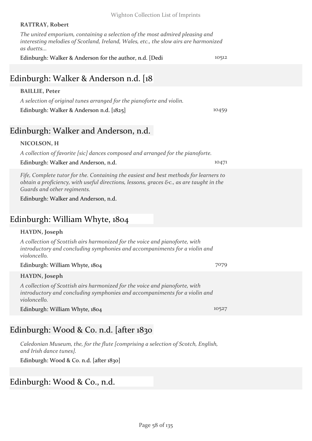#### Wighton Collection List of Imprints

#### **RATTRAY, Robert**

*The united emporium, containing a selection of the most admired pleasing and interesting melodies of Scotland, Ireland, Wales, etc., the slow airs are harmonized as duetts...*

Edinburgh: Walker & Anderson for the author, n.d. [Dedi 10512

### Edinburgh: Walker & Anderson n.d. [18

#### **BAILLIE, Peter**

*A selection of original tunes arranged for the pianoforte and violin.* Edinburgh: Walker & Anderson n.d. [1825] 10459

### Edinburgh: Walker and Anderson, n.d.

#### **NICOLSON, H**

*A collection of favorite [sic] dances composed and arranged for the pianoforte.*

Edinburgh: Walker and Anderson, n.d. 10471

*Fife, Complete tutor for the. Containing the easiest and best methods for learners to obtain a proficiency, with useful directions, lessons, graces &c., as are taught in the Guards and other regiments.*

Edinburgh: Walker and Anderson, n.d.

#### Edinburgh: William Whyte, 1804

#### **HAYDN, Joseph**

*A collection of Scottish airs harmonized for the voice and pianoforte, with introductory and concluding symphonies and accompaniments for a violin and violoncello.*

| Edinburgh: William Whyte, 1804 | 7079 |
|--------------------------------|------|
|                                |      |

#### **HAYDN, Joseph**

*A collection of Scottish airs harmonized for the voice and pianoforte, with introductory and concluding symphonies and accompaniments for a violin and violoncello.*

Edinburgh: William Whyte, 1804 10527

### Edinburgh: Wood & Co. n.d. [after 1830

*Caledonian Museum, the, for the flute [comprising a selection of Scotch, English, and Irish dance tunes].*

Edinburgh: Wood & Co. n.d. [after 1830]

### Edinburgh: Wood & Co., n.d.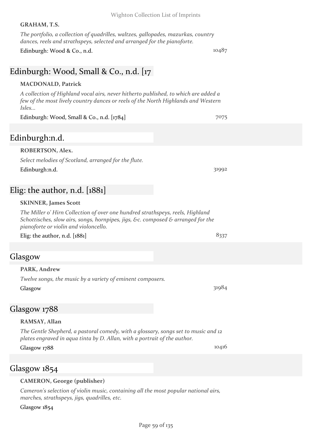#### Wighton Collection List of Imprints

#### **GRAHAM, T.S.**

*The portfolio, a collection of quadrilles, waltzes, gallopades, mazurkas, country dances, reels and strathspeys, selected and arranged for the pianoforte.*

#### Edinburgh: Wood & Co., n.d.  $10487$

### Edinburgh: Wood, Small & Co., n.d. [17

#### **MACDONALD, Patrick**

*A collection of Highland vocal airs, never hitherto published, to which are added a few of the most lively country dances or reels of the North Highlands and Western Isles...*

Edinburgh: Wood, Small & Co., n.d. [1784] 7075

### Edinburgh:n.d.

#### **ROBERTSON, Alex.**

#### *Select melodies of Scotland, arranged for the flute.* Edinburgh:n.d. 31992

### Elig: the author, n.d. [1881]

#### **SKINNER, James Scott**

*The Miller o' Hirn Collection of over one hundred strathspeys, reels, Highland Schottisches, slow airs, songs, hornpipes, jigs, &c. composed & arranged for the pianoforte or violin and violoncello.*

Elig: the author, n.d.  $[1881]$  8337

### Glasgow

#### **PARK, Andrew**

*Twelve songs, the music by a variety of eminent composers.* Glasgow 31984

#### Glasgow 1788

#### **RAMSAY, Allan**

*The Gentle Shepherd, a pastoral comedy, with a glossary, songs set to music and 12 plates engraved in aqua tinta by D. Allan, with a portrait of the author.*

Glasgow 1788 10416

### Glasgow 1854

### **CAMERON, George (publisher)**

*Cameron's selection of violin music, containing all the most popular national airs, marches, strathspeys, jigs, quadrilles, etc.*

#### Glasgow 1854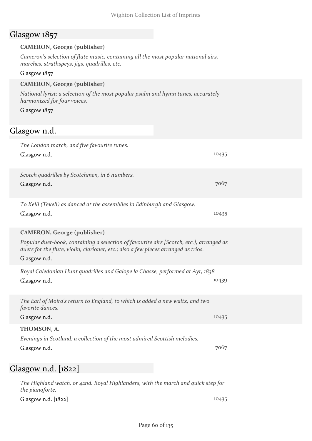### Glasgow 1857

#### **CAMERON, George (publisher)**

*Cameron's selection of flute music, containing all the most popular national airs, marches, strathspeys, jigs, quadrilles, etc.*

#### Glasgow 1857

#### **CAMERON, George (publisher)**

*National lyrist: a selection of the most popular psalm and hymn tunes, accurately harmonized for four voices.*

Glasgow 1857

### Glasgow n.d.

| The London march, and five favourite tunes.<br>Glasgow n.d.                                                                                                                                                                         | 10435 |
|-------------------------------------------------------------------------------------------------------------------------------------------------------------------------------------------------------------------------------------|-------|
| Scotch quadrilles by Scotchmen, in 6 numbers.<br>Glasgow n.d.                                                                                                                                                                       | 7067  |
| To Kelli (Tekeli) as danced at the assemblies in Edinburgh and Glasgow.<br>Glasgow n.d.                                                                                                                                             | 10435 |
| <b>CAMERON, George (publisher)</b><br>Popular duet-book, containing a selection of favourite airs [Scotch, etc.], arranged as<br>duets for the flute, violin, clarionet, etc.; also a few pieces arranged as trios.<br>Glasgow n.d. |       |
| Royal Caledonian Hunt quadrilles and Galope la Chasse, performed at Ayr, 1838<br>Glasgow n.d.                                                                                                                                       | 10439 |
| The Earl of Moira's return to England, to which is added a new waltz, and two<br>favorite dances.<br>Glasgow n.d.                                                                                                                   | 10435 |
| THOMSON, A.<br>Evenings in Scotland: a collection of the most admired Scottish melodies.<br>Glasgow n.d.                                                                                                                            | 7067  |
| Glasgow n.d. $[1822]$                                                                                                                                                                                                               |       |
| The Highland watch, or 42nd. Royal Highlanders, with the march and quick step for<br>the pianoforte.                                                                                                                                |       |

Glasgow n.d. [1822] 10435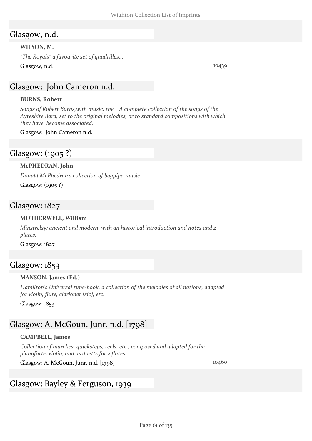#### Glasgow, n.d.

#### **WILSON, M.**

*"The Royals" a favourite set of quadrilles...* Glasgow, n.d. 10439

#### Glasgow: John Cameron n.d.

#### **BURNS, Robert**

*Songs of Robert Burns,with music, the. A complete collection of the songs of the Ayreshire Bard, set to the original melodies, or to standard compositions with which they have become associated.*

Glasgow: John Cameron n.d.

### Glasgow: (1905 ?)

#### **McPHEDRAN, John**

*Donald McPhedran's collection of bagpipe-music* Glasgow: (1905 ?)

#### Glasgow: 1827

#### **MOTHERWELL, William**

*Minstrelsy: ancient and modern, with an historical introduction and notes and 2 plates.*

Glasgow: 1827

### Glasgow: 1853

#### **MANSON, James (Ed.)**

*Hamilton's Universal tune-book, a collection of the melodies of all nations, adapted for violin, flute, clarionet [sic], etc.*

Glasgow: 1853

### Glasgow: A. McGoun, Junr. n.d. [1798]

#### **CAMPBELL, James**

*Collection of marches, quicksteps, reels, etc., composed and adapted for the pianoforte, violin; and as duetts for 2 flutes.*

Glasgow: A. McGoun, Junr. n.d. [1798] 10460

### Glasgow: Bayley & Ferguson, 1939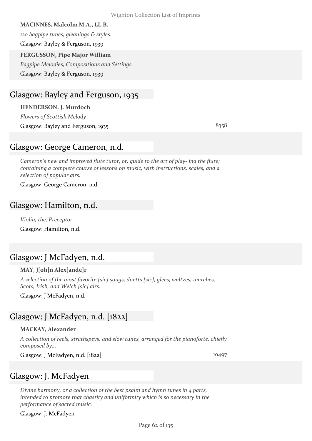#### **MACINNES, Malcolm M.A., LL.B.**

*120 bagpipe tunes, gleanings & styles.*

Glasgow: Bayley & Ferguson, 1939

#### **FERGUSSON, Pipe Major William**

*Bagpipe Melodies, Compositions and Settings.*

Glasgow: Bayley & Ferguson, 1939

### Glasgow: Bayley and Ferguson, 1935

#### **HENDERSON, J. Murdoch** *Flowers of Scottish Melody* Glasgow: Bayley and Ferguson, 1935 8358

### Glasgow: George Cameron, n.d.

*Cameron's new and improved flute tutor; or, guide to the art of play- ing the flute; containing a complete course of lessons on music, with instructions, scales, and a selection of popular airs.*

Glasgow: George Cameron, n.d.

### Glasgow: Hamilton, n.d.

*Violin, the, Preceptor.* Glasgow: Hamilton, n.d.

### Glasgow: J McFadyen, n.d.

#### **MAY, J[oh]n Alex[ande]r**

*A selection of the most favorite [sic] songs, duetts [sic], glees, waltzes, marches, Scots, Irish, and Welch [sic] airs.*

Glasgow: J McFadyen, n.d.

### Glasgow: J McFadyen, n.d. [1822]

#### **MACKAY, Alexander**

*A collection of reels, strathspeys, and slow tunes, arranged for the pianoforte, chiefly composed by...*

Glasgow: J McFadyen, n.d. [1822] 10497

### Glasgow: J. McFadyen

*Divine harmony, or a collection of the best psalm and hymn tunes in 4 parts, intended to promote that chastity and uniformity which is so necessary in the performance of sacred music.*

Glasgow: J. McFadyen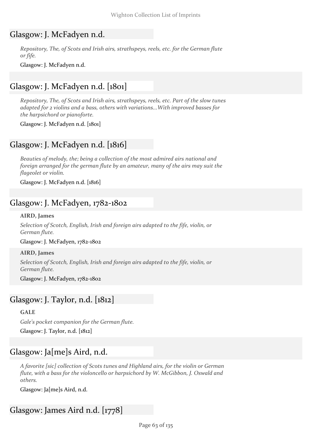### Glasgow: J. McFadyen n.d.

*Repository, The, of Scots and Irish airs, strathspeys, reels, etc. for the German flute or fife.*

Glasgow: J. McFadyen n.d.

### Glasgow: J. McFadyen n.d. [1801]

*Repository, The, of Scots and Irish airs, strathspeys, reels, etc. Part of the slow tunes adapted for 2 violins and a bass, others with variations...With improved basses for the harpsichord or pianoforte.*

Glasgow: J. McFadyen n.d. [1801]

### Glasgow: J. McFadyen n.d. [1816]

*Beauties of melody, the; being a collection of the most admired airs national and foreign arranged for the german flute by an amateur, many of the airs may suit the flageolet or violin.*

Glasgow: J. McFadyen n.d. [1816]

### Glasgow: J. McFadyen, 1782-1802

#### **AIRD, James**

*Selection of Scotch, English, Irish and foreign airs adapted to the fife, violin, or German flute.*

Glasgow: J. McFadyen, 1782-1802

**AIRD, James**

*Selection of Scotch, English, Irish and foreign airs adapted to the fife, violin, or German flute.*

Glasgow: J. McFadyen, 1782-1802

### Glasgow: J. Taylor, n.d. [1812]

**GALE**

*Gale's pocket companion for the German flute.* Glasgow: J. Taylor, n.d. [1812]

### Glasgow: Ja[me]s Aird, n.d.

*A favorite [sic] collection of Scots tunes and Highland airs, for the violin or German flute, with a bass for the violoncello or harpsichord by W. McGibbon, J. Oswald and others.*

Glasgow: Ja[me]s Aird, n.d.

### Glasgow: James Aird n.d. [1778]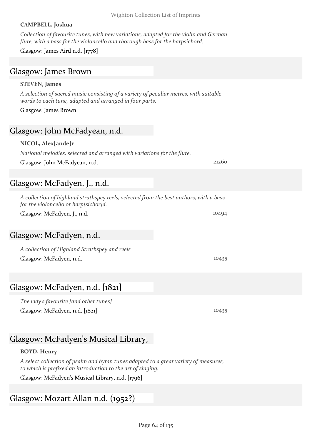#### **CAMPBELL, Joshua**

*Collection of favourite tunes, with new variations, adapted for the violin and German flute, with a bass for the violoncello and thorough bass for the harpsichord.*

Glasgow: James Aird n.d. [1778]

#### Glasgow: James Brown

#### **STEVEN, James**

*A selection of sacred music consisting of a variety of peculiar metres, with suitable words to each tune, adapted and arranged in four parts.*

Glasgow: James Brown

### Glasgow: John McFadyean, n.d.

#### **NICOL, Alex[ande]r**

*National melodies, selected and arranged with variations for the flute.*

Glasgow: John McFadyean, n.d. 21260

### Glasgow: McFadyen, J., n.d.

*A collection of highland strathspey reels, selected from the best authors, with a bass for the violoncello or harp[sichor]d.*

Glasgow: McFadyen, J., n.d. 10494

### Glasgow: McFadyen, n.d.

*A collection of Highland Strathspey and reels* Glasgow: McFadyen, n.d. 10435

### Glasgow: McFadyen, n.d. [1821]

*The lady's favourite [and other tunes]* Glasgow: McFadyen, n.d. [1821] 10435

### Glasgow: McFadyen's Musical Library,

#### **BOYD, Henry**

*A select collection of psalm and hymn tunes adapted to a great variety of measures, to which is prefixed an introduction to the art of singing.*

Glasgow: McFadyen's Musical Library, n.d. [1796]

### Glasgow: Mozart Allan n.d. (1952?)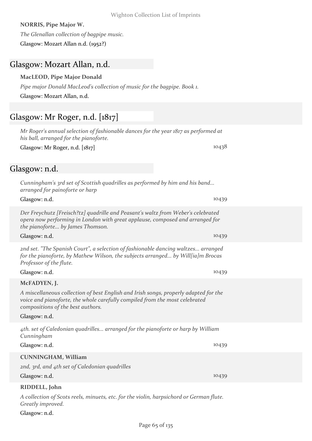#### **NORRIS, Pipe Major W.**

*The Glenallan collection of bagpipe music.*

Glasgow: Mozart Allan n.d. (1952?)

### Glasgow: Mozart Allan, n.d.

#### **MacLEOD, Pipe Major Donald**

#### *Pipe major Donald MacLeod's collection of music for the bagpipe. Book 1.* Glasgow: Mozart Allan, n.d.

### Glasgow: Mr Roger, n.d. [1817]

*Mr Roger's annual selection of fashionable dances for the year 1817 as performed at his ball, arranged for the pianoforte.*

Glasgow: Mr Roger, n.d. [1817] 10438

#### Glasgow: n.d.

| Cunningham's 3rd set of Scottish quadrilles as performed by him and his band<br>arranged for painoforte or harp<br>Glasgow: n.d.                                                                         | 10439 |
|----------------------------------------------------------------------------------------------------------------------------------------------------------------------------------------------------------|-------|
| Der Freychutz [Freisch?tz] quadrille and Peasant's waltz from Weber's celebrated<br>opera now performing in London with great applause, composed and arranged for<br>the pianoforte by James Thomson.    |       |
| Glasgow: n.d.                                                                                                                                                                                            | 10439 |
| and set. "The Spanish Court", a selection of fashionable dancing waltzes arranged<br>for the pianoforte, by Mathew Wilson, the subjects arranged by Will[ia]m Brocas<br>Professor of the flute.          |       |
| Glasgow: n.d.                                                                                                                                                                                            | 10439 |
| McFADYEN, J.                                                                                                                                                                                             |       |
| A miscellaneous collection of best English and Irish songs, properly adapted for the<br>voice and pianoforte, the whole carefully compiled from the most celebrated<br>compositions of the best authors. |       |
| Glasgow: n.d.                                                                                                                                                                                            |       |
| 4th. set of Caledonian quadrilles arranged for the pianoforte or harp by William<br>Cunningham                                                                                                           |       |
| Glasgow: n.d.                                                                                                                                                                                            | 10439 |
| <b>CUNNINGHAM, William</b>                                                                                                                                                                               |       |
| 2nd, 3rd, and 4th set of Caledonian quadrilles                                                                                                                                                           |       |
| Glasgow: n.d.                                                                                                                                                                                            | 10439 |
| RIDDELL, John                                                                                                                                                                                            |       |

*A collection of Scots reels, minuets, etc. for the violin, harpsichord or German flute. Greatly improved.*

#### Glasgow: n.d.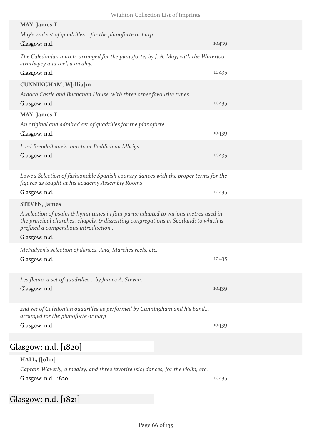| Wighton Collection List of Imprints                                                                                                                                                                                                                         |       |
|-------------------------------------------------------------------------------------------------------------------------------------------------------------------------------------------------------------------------------------------------------------|-------|
| MAY, James T.<br>May's 2nd set of quadrilles for the pianoforte or harp<br>Glasgow: n.d.                                                                                                                                                                    | 10439 |
| The Caledonian march, arranged for the pianoforte, by J. A. May, with the Waterloo<br>strathspey and reel, a medley.<br>Glasgow: n.d.                                                                                                                       | 10435 |
| CUNNINGHAM, W[illia]m<br>Ardoch Castle and Buchanan House, with three other favourite tunes.<br>Glasgow: n.d.                                                                                                                                               | 10435 |
| MAY, James T.<br>An original and admired set of quadrilles for the pianoforte<br>Glasgow: n.d.                                                                                                                                                              | 10439 |
| Lord Breadalbane's march, or Boddich na Mbrigs.<br>Glasgow: n.d.                                                                                                                                                                                            | 10435 |
| Lowe's Selection of fashionable Spanish country dances with the proper terms for the<br>figures as taught at his academy Assembly Rooms<br>Glasgow: n.d.                                                                                                    | 10435 |
| <b>STEVEN</b> , James<br>A selection of psalm & hymn tunes in four parts: adapted to various metres used in<br>the principal churches, chapels, & dissenting congregations in Scotland; to which is<br>prefixed a compendious introduction<br>Glasgow: n.d. |       |
| McFadyen's selection of dances. And, Marches reels, etc.<br>Glasgow: n.d.                                                                                                                                                                                   | 10435 |
| Les fleurs, a set of quadrilles by James A. Steven.<br>Glasgow: n.d.                                                                                                                                                                                        | 10439 |
| 2nd set of Caledonian quadrilles as performed by Cunningham and his band<br>arranged for the pianoforte or harp<br>Glasgow: n.d.                                                                                                                            | 10439 |
| Glasgow: n.d. $[1820]$                                                                                                                                                                                                                                      |       |
| HALL, J[ohn]<br>Captain Waverly, a medley, and three favorite [sic] dances, for the violin, etc.<br>Glasgow: n.d. [1820]                                                                                                                                    | 10435 |

Glasgow: n.d. [1821]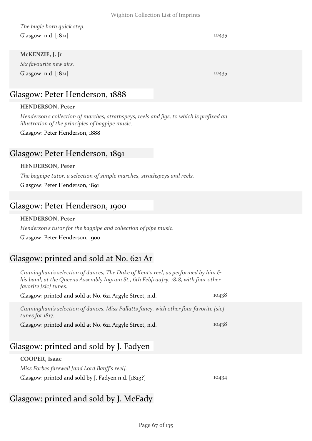| The bugle horn quick step. |       |
|----------------------------|-------|
| Glasgow: n.d. $[1821]$     | 10435 |

#### **McKENZIE, J. Jr**

*Six favourite new airs.* Glasgow: n.d. [1821] 10435

### Glasgow: Peter Henderson, 1888

#### **HENDERSON, Peter**

*Henderson's collection of marches, strathspeys, reels and jigs, to which is prefixed an illustration of the principles of bagpipe music.*

Glasgow: Peter Henderson, 1888

### Glasgow: Peter Henderson, 1891

#### **HENDERSON, Peter**

*The bagpipe tutor, a selection of simple marches, strathspeys and reels.* Glasgow: Peter Henderson, 1891

#### Glasgow: Peter Henderson, 1900

#### **HENDERSON, Peter**

*Henderson's tutor for the bagpipe and collection of pipe music.*

Glasgow: Peter Henderson, 1900

### Glasgow: printed and sold at No. 621 Ar

*Cunningham's selection of dances, The Duke of Kent's reel, as performed by him & his band, at the Queens Assembly Ingram St., 6th Feb[rua]ry. 1818, with four other favorite [sic] tunes.*

| Glasgow: printed and sold at No. 621 Argyle Street, n.d. | 10438 |
|----------------------------------------------------------|-------|
|----------------------------------------------------------|-------|

*Cunningham's selection of dances. Miss Pallatts fancy, with other four favorite [sic] tunes for 1817.*

Glasgow: printed and sold at No. 621 Argyle Street, n.d. 10438

### Glasgow: printed and sold by J. Fadyen

#### **COOPER, Isaac**

*Miss Forbes farewell [and Lord Banff's reel].*

Glasgow: printed and sold by J. Fadyen n.d. [1823?] 10434

### Glasgow: printed and sold by J. McFady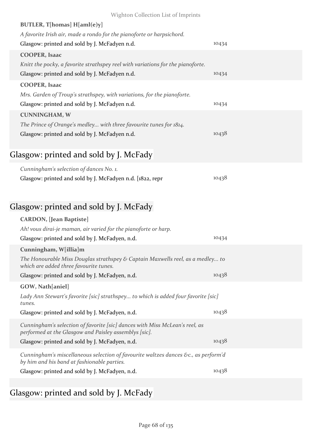| BUTLER, T[homas] H[aml(e)y]                                                                                                          |       |
|--------------------------------------------------------------------------------------------------------------------------------------|-------|
| A favorite Irish air, made a rondo for the pianoforte or harpsichord.                                                                |       |
| Glasgow: printed and sold by J. McFadyen n.d.                                                                                        | 10434 |
| <b>COOPER, Isaac</b>                                                                                                                 |       |
| Knitt the pocky, a favorite strathspey reel with variations for the pianoforte.                                                      |       |
| Glasgow: printed and sold by J. McFadyen n.d.                                                                                        | 10434 |
| <b>COOPER, Isaac</b>                                                                                                                 |       |
| Mrs. Garden of Troup's strathspey, with variations, for the pianoforte.                                                              |       |
| Glasgow: printed and sold by J. McFadyen n.d.                                                                                        | 10434 |
| <b>CUNNINGHAM, W</b>                                                                                                                 |       |
| The Prince of Orange's medley with three favourite tunes for 1814.                                                                   |       |
| Glasgow: printed and sold by J. McFadyen n.d.                                                                                        | 10438 |
|                                                                                                                                      |       |
| Glasgow: printed and sold by J. McFady                                                                                               |       |
| Cunningham's selection of dances No. 1.                                                                                              |       |
| Glasgow: printed and sold by J. McFadyen n.d. [1822, repr                                                                            | 10438 |
|                                                                                                                                      |       |
|                                                                                                                                      |       |
| Glasgow: printed and sold by J. McFady                                                                                               |       |
| <b>CARDON, [Jean Baptiste]</b>                                                                                                       |       |
| Ah! vous dirai-je maman, air varied for the pianoforte or harp.                                                                      |       |
| Glasgow: printed and sold by J. McFadyen, n.d.                                                                                       | 10434 |
| Cunningham, W[illia]m                                                                                                                |       |
| The Honourable Miss Douglas strathspey & Captain Maxwells reel, as a medley to<br>which are added three favourite tunes.             |       |
| Glasgow: printed and sold by J. McFadyen, n.d.                                                                                       | 10438 |
| GOW, Nath[aniel]                                                                                                                     |       |
| Lady Ann Stewart's favorite [sic] strathspey to which is added four favorite [sic]<br>tunes.                                         |       |
| Glasgow: printed and sold by J. McFadyen, n.d.                                                                                       | 10438 |
| Cunningham's selection of favorite [sic] dances with Miss McLean's reel, as<br>performed at the Glasgow and Paisley assemblys [sic]. |       |
| Glasgow: printed and sold by J. McFadyen, n.d.                                                                                       | 10438 |
|                                                                                                                                      |       |
| Cunningham's miscellaneous selection of favourite waltzes dances &c., as perform'd                                                   |       |
| by him and his band at fashionable parties.<br>Glasgow: printed and sold by J. McFadyen, n.d.                                        | 10438 |

Glasgow: printed and sold by J. McFady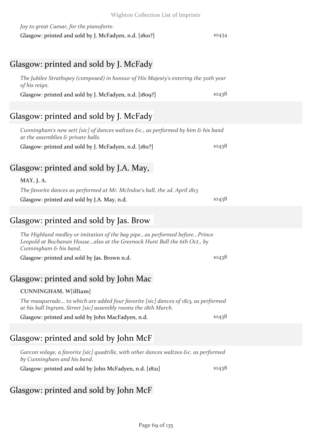*Joy to great Caesar, for the pianoforte.*

### Glasgow: printed and sold by J. McFady

| The Jubilee Strathspey (composed) in honour of His Majesty's entering the 50th year |       |
|-------------------------------------------------------------------------------------|-------|
| of his reign.                                                                       |       |
| Glasgow: printed and sold by J. McFadyen, n.d. [1809?]                              | 10438 |

Glasgow: printed and sold by J. McFadyen, n.d. [1801?] 10434

### Glasgow: printed and sold by J. McFady

*Cunningham's new sett [sic] of dances waltzes &c., as performed by him & his band at the assemblies & private balls.*

Glasgow: printed and sold by J. McFadyen, n.d. [1811?] 10438

### Glasgow: printed and sold by J.A. May,

| <b>MAY, J. A.</b>                                                          |       |
|----------------------------------------------------------------------------|-------|
| The favorite dances as performed at Mr. McIndoe's ball, the 2d. April 1813 |       |
| Glasgow: printed and sold by J.A. May, n.d.                                | 10438 |

### Glasgow: printed and sold by Jas. Brow

*The Highland medley or imitation of the bag pipe...as performed before...Prince Leopold at Buchanan House...also at the Greenock Hunt Ball the 6th Oct., by Cunningham & his band.*

Glasgow: printed and sold by Jas. Brown n.d. 10438

### Glasgow: printed and sold by John Mac

#### **CUNNINGHAM, W[illiam]**

*The masquerade... to which are added four favorite [sic] dances of 1813, as performed at his ball Ingram, Street [sic] assembly rooms the 18th March.*

Glasgow: printed and sold by John MacFadyen, n.d. 10438

### Glasgow: printed and sold by John McF

*Garcon volage, a favorite [sic] quadrille, with other dances waltzes &c. as performed by Cunningham and his band.*

Glasgow: printed and sold by John McFadyen, n.d. [1821] 10438

### Glasgow: printed and sold by John McF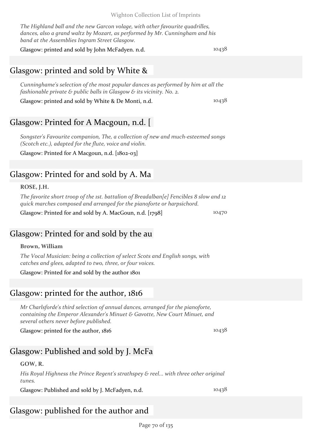*The Highland ball and the new Garcon volage, with other favourite quadrilles, dances, also a grand waltz by Mozart, as performed by Mr. Cunningham and his band at the Assemblies Ingram Street Glasgow.*

Glasgow: printed and sold by John McFadyen. n.d. 10438

### Glasgow: printed and sold by White &

*Cunninghame's selection of the most popular dances as performed by him at all the fashionable private & public balls in Glasgow & its vicinity. No. 2.*

Glasgow: printed and sold by White & De Monti, n.d. 10438

### Glasgow: Printed for A Macgoun, n.d. [

*Songster's Favourite companion, The, a collection of new and much-esteemed songs (Scotch etc.), adapted for the flute, voice and violin.*

Glasgow: Printed for A Macgoun, n.d. [1802-03]

### Glasgow: Printed for and sold by A. Ma

#### **ROSE, J.H.**

*The favorite short troop of the 1st. battalion of Breadalban[e] Fencibles 8 slow and 12 quick marches composed and arranged for the pianoforte or harpsichord.*

Glasgow: Printed for and sold by A. MacGoun, n.d. [1798] 10470

### Glasgow: Printed for and sold by the au

#### **Brown, William**

*The Vocal Musician: being a collection of select Scots and English songs, with catches and glees, adapted to two, three, or four voices.*

Glasgow: Printed for and sold by the author 1801

### Glasgow: printed for the author, 1816

*Mr Charlsforde's third selection of annual dances, arranged for the pianoforte, containing the Emperor Alexander's Minuet & Gavotte, New Court Minuet, and several others never before published.*

Glasgow: printed for the author,  $1816$  10438

### Glasgow: Published and sold by J. McFa

#### **GOW, R.**

*His Royal Highness the Prince Regent's strathspey & reel... with three other original tunes.*

Glasgow: Published and sold by J. McFadyen, n.d. 10438

### Glasgow: published for the author and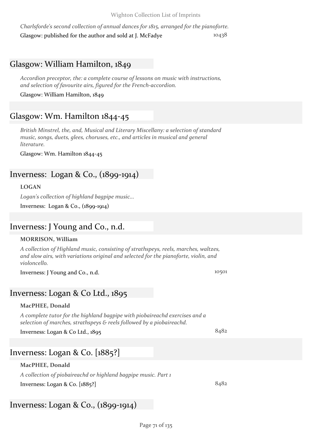*Charlsforde's second collection of annual dances for 1815, arranged for the pianoforte.* Glasgow: published for the author and sold at J. McFadye 10438

### Glasgow: William Hamilton, 1849

*Accordion preceptor, the: a complete course of lessons on music with instructions, and selection of favourite airs, figured for the French-accordion.*

Glasgow: William Hamilton, 1849

### Glasgow: Wm. Hamilton 1844-45

*British Minstrel, the, and, Musical and Literary Miscellany: a selection of standard music, songs, duets, glees, choruses, etc., and articles in musical and general literature.*

Glasgow: Wm. Hamilton 1844-45

#### Inverness: Logan & Co., (1899-1914)

**LOGAN**

*Logan's collection of highland bagpipe music...*

Inverness: Logan & Co., (1899-1914)

#### Inverness: J Young and Co., n.d.

#### **MORRISON, William**

*A collection of Highland music, consisting of strathspeys, reels, marches, waltzes, and slow airs, with variations original and selected for the pianoforte, violin, and violoncello.*

Inverness: J Young and Co., n.d. 10501

#### Inverness: Logan & Co Ltd., 1895

#### **MacPHEE, Donald**

*A complete tutor for the highland bagpipe with piobaireachd exercises and a selection of marches, strathspeys & reels followed by a piobaireachd.*

Inverness: Logan & Co Ltd., 1895 8482

### Inverness: Logan & Co. [1885?]

#### **MacPHEE, Donald**

*A collection of piobaireachd or highland bagpipe music. Part 1* Inverness: Logan & Co. [1885?] 8482

### Inverness: Logan & Co., (1899-1914)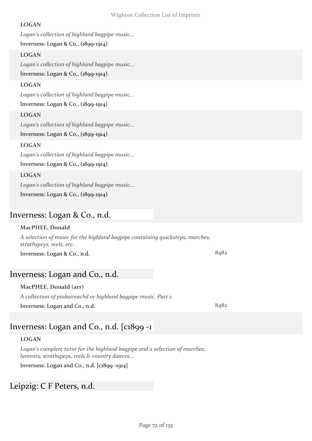#### **LOGAN**

*Logan's collection of highland bagpipe music...*

Inverness: Logan & Co., (1899-1914)

#### **LOGAN**

*Logan's collection of highland bagpipe music...* Inverness: Logan & Co., (1899-1914)

#### **LOGAN**

*Logan's collection of highland bagpipe music...*

Inverness: Logan & Co., (1899-1914)

#### **LOGAN**

*Logan's collection of highland bagpipe music...*

Inverness: Logan & Co., (1899-1914)

#### **LOGAN**

*Logan's collection of highland bagpipe music...* Inverness: Logan & Co., (1899-1914)

#### **LOGAN**

*Logan's collection of highland bagpipe music...* Inverness: Logan & Co., (1899-1914)

#### Inverness: Logan & Co., n.d.

#### **MacPHEE, Donald**

*A selection of music for the highland bagpipe containing quicksteps, marches, strathspeys, reels, etc.*

Inverness: Logan & Co., n.d. 8482

### Inverness: Logan and Co., n.d.

**MacPHEE, Donald (arr)**

*A collection of piobaireachd or highland bagpipe music. Part 2* Inverness: Logan and Co., n.d. 8482

### Inverness: Logan and Co., n.d. [c1899 -1

#### **LOGAN**

*Logan's complete tutor for the highland bagpipe and a selection of marches, laments, strathspeys, reels & country dances...*

Inverness: Logan and Co., n.d. [c1899 -1914]

Leipzig: C F Peters, n.d.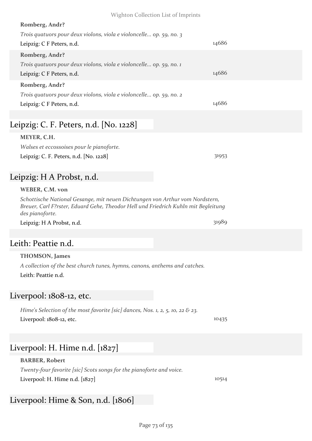| Romberg, Andr?                                                      |       |
|---------------------------------------------------------------------|-------|
| Trois quatuors pour deux violons, viola e violoncelle op. 59, no. 3 |       |
| Leipzig: C F Peters, n.d.                                           | 14686 |
| Romberg, Andr?                                                      |       |
| Trois quatuors pour deux violons, viola e violoncelle op. 59, no. 1 |       |
| Leipzig: C F Peters, n.d.                                           | 14686 |
| Romberg, Andr?                                                      |       |
| Trois quatuors pour deux violons, viola e violoncelle op. 59, no. 2 |       |
| Leipzig: C F Peters, n.d.                                           | 14686 |
|                                                                     |       |

# Leipzig: C. F. Peters, n.d. [No. 1228]

*Walses et eccossoises pour le pianoforte.* Leipzig: C. F. Peters, n.d. [No. 1228] 31953

# Leipzig: H A Probst, n.d.

## **WEBER, C.M. von**

*Schottische National Gesange, mit neuen Dichtungen von Arthur vom Nordstern, Breuer, Carl F?rster, Eduard Gehe, Theodor Hell und Friedrich Kuhln mit Begleitung des pianoforte.*

Leipzig: H A Probst, n.d. 31989

# Leith: Peattie n.d.

**THOMSON, James** *A collection of the best church tunes, hymns, canons, anthems and catches.* Leith: Peattie n.d.

# Liverpool: 1808-12, etc.

*Hime's Selection of the most favorite [sic] dances, Nos. 1, 2, 5, 10, 22 & 23.* Liverpool: 1808-12, etc. 10435

# Liverpool: H. Hime n.d. [1827]

## **BARBER, Robert**

*Twenty-four favorite [sic] Scots songs for the pianoforte and voice.* Liverpool: H. Hime n.d. [1827] 10514

# Liverpool: Hime & Son, n.d. [1806]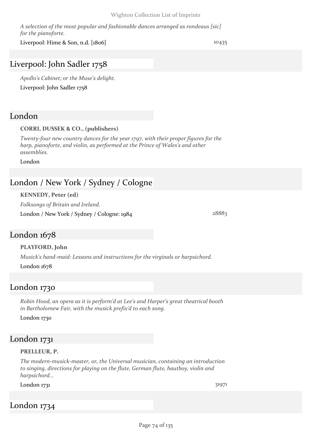*A selection of the most popular and fashionable dances arranged as rondeaus [sic] for the pianoforte.*

Liverpool: Hime & Son, n.d. [1806] 10435

## Liverpool: John Sadler 1758

*Apollo's Cabinet; or the Muse's delight.* Liverpool: John Sadler 1758

## London

## **CORRI, DUSSEK & CO., (publishers)**

*Twenty-four new country dances for the year 1797, with their proper figures for the harp, pianoforte, and violin, as performed at the Prince of Wales's and other assemblies.*

London

## London / New York / Sydney / Cologne

**KENNEDY, Peter (ed)** *Folksongs of Britain and Ireland.* London / New York / Sydney / Cologne: 1984 28883

## London 1678

**PLAYFORD, John** *Musick's hand-maid: Lessons and instructions for the virginals or harpsichord.* London 1678

## London 1730

*Robin Hood, an opera as it is perform'd at Lee's and Harper's great theatrical booth in Bartholomew Fair, with the musick prefix'd to each song.*

London 1730

## London 1731

#### **PRELLEUR, P.**

*The modern-musick-master, or, the Universal musician, containing an introduction to singing, directions for playing on the flute, German flute, hautboy, violin and harpsichord...*

London 1731 31971

London 1734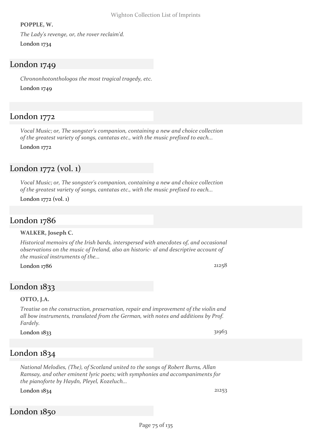#### **POPPLE, W.**

*The Lady's revenge, or, the rover reclaim'd.* London 1734

## London 1749

*Chrononhotonthologos the most tragical tragedy, etc.* London 1749

## London 1772

*Vocal Music; or, The songster's companion, containing a new and choice collection of the greatest variety of songs, cantatas etc., with the music prefixed to each...* London 1772

## London 1772 (vol. 1)

*Vocal Music; or, The songster's companion, containing a new and choice collection of the greatest variety of songs, cantatas etc., with the music prefixed to each...* London 1772 (vol. 1)

## London 1786

#### **WALKER, Joseph C.**

*Historical memoirs of the Irish bards, interspersed with anecdotes of, and occasional observations on the music of Ireland, also an historic- al and descriptive account of the musical instruments of the...*

London 1786 21258

# London 1833

#### **OTTO, J.A.**

*Treatise on the construction, preservation, repair and improvement of the violin and all bow instruments, translated from the German, with notes and additions by Prof. Fardely.*

#### London 1833 31963

## London 1834

*National Melodies, (The), of Scotland united to the songs of Robert Burns, Allan Ramsay, and other eminent lyric poets; with symphonies and accompaniments for the pianoforte by Haydn, Pleyel, Kozeluch...*

London 1834 21253

## London 1850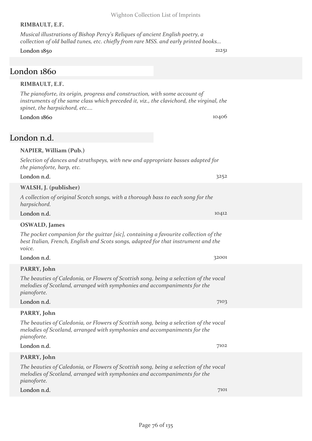#### **RIMBAULT, E.F.**

*Musical illustrations of Bishop Percy's Reliques of ancient English poetry, a collection of old ballad tunes, etc. chiefly from rare MSS. and early printed books...*

London 1850 21251

## London 1860 **RIMBAULT, E.F.** *The pianoforte, its origin, progress and construction, with some account of instruments of the same class which preceded it, viz., the clavichord, the virginal, the spinet, the harpsichord, etc....*  $L$ ondon 1860  $10406$ London n.d. **NAPIER, William (Pub.)** *Selection of dances and strathspeys, with new and appropriate basses adapted for the pianoforte, harp, etc.* London n.d.  $3252$ **WALSH, J. (publisher)** *A collection of original Scotch songs, with a thorough bass to each song for the harpsichord.* London n.d. 10412 **OSWALD, James** *The pocket companion for the guittar [sic], containing a favourite collection of the best Italian, French, English and Scots songs, adapted for that instrument and the voice.* London n.d. 32001 **PARRY, John** *The beauties of Caledonia, or Flowers of Scottish song, being a selection of the vocal melodies of Scotland, arranged with symphonies and accompaniments for the pianoforte.* London n.d. 7103 **PARRY, John** *The beauties of Caledonia, or Flowers of Scottish song, being a selection of the vocal melodies of Scotland, arranged with symphonies and accompaniments for the pianoforte.* London n.d. 7102 **PARRY, John** *The beauties of Caledonia, or Flowers of Scottish song, being a selection of the vocal melodies of Scotland, arranged with symphonies and accompaniments for the pianoforte.* London n.d. 2001 - 2001 - 2002 - 2003 - 2004 - 2004 - 2004 - 2004 - 2004 - 2004 - 2004 - 2004 - 2004 - 2004 - 2004 - 2004 - 2004 - 2004 - 2004 - 2004 - 2004 - 2004 - 2004 - 2004 - 2004 - 2004 - 2004 - 2004 - 2004 - 2004 -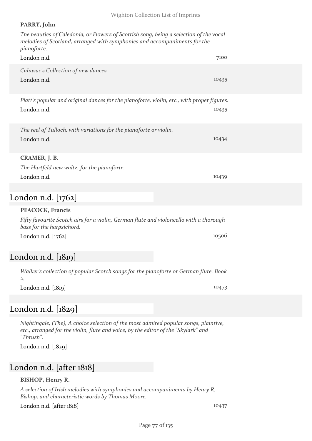| PARRY, John                                                                                                                                                                        |       |
|------------------------------------------------------------------------------------------------------------------------------------------------------------------------------------|-------|
| The beauties of Caledonia, or Flowers of Scottish song, being a selection of the vocal<br>melodies of Scotland, arranged with symphonies and accompaniments for the<br>pianoforte. |       |
| London n.d.                                                                                                                                                                        | 7100  |
| Cahusac's Collection of new dances.<br>London n.d.                                                                                                                                 | 10435 |
| Platt's popular and original dances for the pianoforte, violin, etc., with proper figures.<br>London n.d.                                                                          | 10435 |
| The reel of Tulloch, with variations for the pianoforte or violin.<br>London n.d.                                                                                                  | 10434 |
| CRAMER, J. B.<br>The Hartfeld new waltz, for the pianoforte.<br>London n.d.                                                                                                        | 10439 |
| London n.d. [1762]                                                                                                                                                                 |       |
|                                                                                                                                                                                    |       |
| <b>PEACOCK, Francis</b><br>Fifty favourite Scotch airs for a violin, German flute and violoncello with a thorough<br>bass for the harpsichord.                                     |       |
| London n.d. [1762]                                                                                                                                                                 | 10506 |
| London n.d. [1819]                                                                                                                                                                 |       |
| Walker's collection of popular Scotch songs for the pianoforte or German flute. Book<br>2.                                                                                         |       |
| London n.d. [1819]                                                                                                                                                                 | 10473 |

# London n.d. [1829]

*Nightingale, (The), A choice selection of the most admired popular songs, plaintive, etc., arranged for the violin, flute and voice, by the editor of the "Skylark" and "Thrush".*

London n.d. [1829]

# London n.d. [after 1818]

#### **BISHOP, Henry R.**

*A selection of Irish melodies with symphonies and accompaniments by Henry R. Bishop, and characteristic words by Thomas Moore.*

London n.d. [after 1818] 10437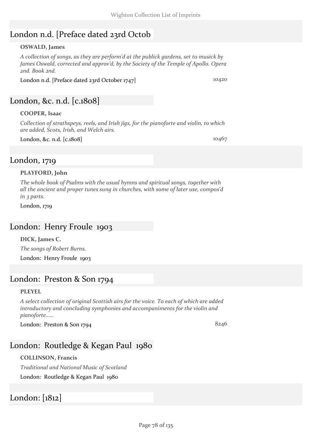# London n.d. [Preface dated 23rd Octob

#### **OSWALD, James**

*A collection of songs, as they are perform'd at the publick gardens, set to musick by James Oswald, corrected and approv'd, by the Society of the Temple of Apollo. Opera 2nd. Book 2nd.*

London n.d. [Preface dated 23rd October 1747] 10420

## London, &c. n.d. [c.1808]

#### **COOPER, Isaac**

*Collection of strathspeys, reels, and Irish jigs, for the pianoforte and violin, to which are added, Scots, Irish, and Welch airs.*

London, &c. n.d. [c.1808] 10467

# London, 1719

#### **PLAYFORD, John**

*The whole book of Psalms with the usual hymns and spiritual songs, together with all the ancient and proper tunes sung in churches, with some of later use, compos'd in 3 parts.*

London, 1719

## London: Henry Froule 1903

#### **DICK, James C.**

*The songs of Robert Burns.* London: Henry Froule 1903

## London: Preston & Son 1794

#### **PLEYEL**

*A select collection of original Scottish airs for the voice. To each of which are added introductory and concluding symphonies and accompaniments for the violin and pianoforte.....*

London: Preston & Son 1794  $8246$ 

## London: Routledge & Kegan Paul 1980

#### **COLLINSON, Francis**

*Traditional and National Music of Scotland* London: Routledge & Kegan Paul 1980

London: [1812]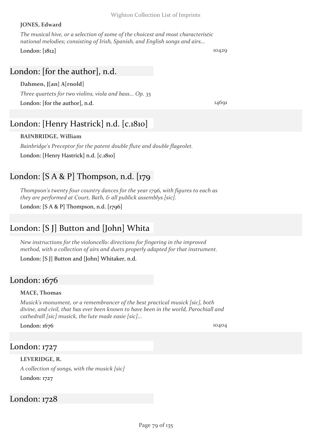#### Wighton Collection List of Imprints

#### **JONES, Edward**

*The musical hive, or a selection of some of the choicest and most characteristic national melodies; consisting of Irish, Spanish, and English songs and airs...*

London: [1812] 10429

## London: [for the author], n.d.

#### **Dahmen, J[an] A[rnold]**

*Three quartets for two violins, viola and bass... Op. 35* London: [for the author], n.d. 14691

# London: [Henry Hastrick] n.d. [c.1810]

#### **BAINBRIDGE, William**

*Bainbridge's Preceptor for the patent double flute and double flageolet.* London: [Henry Hastrick] n.d. [c.1810]

# London:  $[S A & P]$  Thompson, n.d. [179]

*Thompson's twenty four country dances for the year 1796, with figures to each as they are performed at Court, Bath, & all publick assemblys [sic].*

London: [S A & P] Thompson, n.d. [1796]

# London: [S J] Button and [John] Whita

*New instructions for the violoncello: directions for fingering in the improved method, with a collection of airs and duets properly adapted for that instrument.*

London: [S J] Button and [John] Whitaker, n.d.

## London: 1676

#### **MACE, Thomas**

*Musick's monument, or a remembrancer of the best practical musick [sic], both divine, and civil, that has ever been known to have been in the world, Parochiall and cathedrall [sic] musick, the lute made easie [sic]...*

London: 1676 10404

## London: 1727

#### **LEVERIDGE, R.**

*A collection of songs, with the musick [sic]* London: 1727

## London: 1728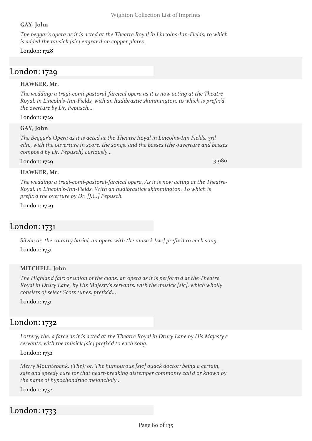#### **GAY, John**

*The beggar's opera as it is acted at the Theatre Royal in Lincolns-Inn-Fields, to which is added the musick [sic] engrav'd on copper plates.*

#### London: 1728

## London: 1729

#### **HAWKER, Mr.**

*The wedding: a tragi-comi-pastoral-farcical opera as it is now acting at the Theatre Royal, in Lincoln's-Inn-Fields, with an hudibrastic skimmington, to which is prefix'd the overture by Dr. Pepusch...*

#### London: 1729

#### **GAY, John**

*The Beggar's Opera as it is acted at the Theatre Royal in Lincolns-Inn Fields. 3rd edn., with the ouverture in score, the songs, and the basses (the ouverture and basses compos'd by Dr. Pepusch) curiously...*

#### London: 1729 31980

#### **HAWKER, Mr.**

*The wedding: a tragi-comi-pastoral-farcical opera. As it is now acting at the Theatre-Royal, in Lincoln's-Inn-Fields. With an hudibrastick skimmington. To which is prefix'd the overture by Dr. [J.C.] Pepusch.*

London: 1729

## London: 1731

*Silvia; or, the country burial, an opera with the musick [sic] prefix'd to each song.*

London: 1731

#### **MITCHELL, John**

*The Highland fair; or union of the clans, an opera as it is perform'd at the Theatre Royal in Drury Lane, by His Majesty's servants, with the musick [sic], which wholly consists of select Scots tunes, prefix'd...*

London: 1731

## London: 1732

*Lottery, the, a farce as it is acted at the Theatre Royal in Drury Lane by His Majesty's servants, with the musick [sic] prefix'd to each song.*

#### London: 1732

*Merry Mountebank, (The); or, The humourous [sic] quack doctor: being a certain, safe and speedy cure for that heart-breaking distemper commonly call'd or known by the name of hypochondriac melancholy...*

#### London: 1732

## London: 1733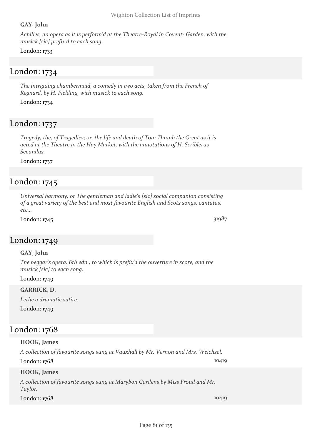#### **GAY, John**

*Achilles, an opera as it is perform'd at the Theatre-Royal in Covent- Garden, with the musick [sic] prefix'd to each song.*

London: 1733

## London: 1734

*The intriguing chambermaid, a comedy in two acts, taken from the French of Regnard, by H. Fielding, with musick to each song.*

London: 1734

## London: 1737

*Tragedy, the, of Tragedies; or, the life and death of Tom Thumb the Great as it is acted at the Theatre in the Hay Market, with the annotations of H. Scriblerus Secundus.*

London: 1737

## London: 1745

*Universal harmony, or The gentleman and ladie's [sic] social companion consisting of a great variety of the best and most favourite English and Scots songs, cantatas, etc...*

London: 1745 31987

# London: 1749

#### **GAY, John**

*The beggar's opera. 6th edn., to which is prefix'd the ouverture in score, and the musick [sic] to each song.*

#### London: 1749

**GARRICK, D.**

*Lethe a dramatic satire.*

London: 1749

## London: 1768

| HOOK, James                                                                              |       |
|------------------------------------------------------------------------------------------|-------|
| A collection of favourite songs sung at Vauxhall by Mr. Vernon and Mrs. Weichsel.        |       |
| London: 1768                                                                             | 10419 |
| <b>HOOK, James</b>                                                                       |       |
| A collection of favourite songs sung at Marybon Gardens by Miss Froud and Mr.<br>Taylor. |       |

#### London: 1768 10419

Page 81 of 135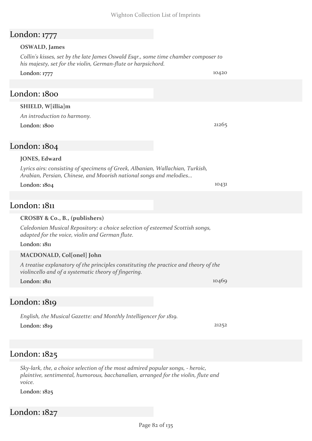## London: 1777

#### **OSWALD, James**

*Collin's kisses, set by the late James Oswald Esqr., some time chamber composer to his majesty, set for the violin, German-flute or harpsichord.*

London: 1777 10420

## London: 1800

#### **SHIELD, W[illia]m**

*An introduction to harmony.* London: 1800 21265

## London: 1804

#### **JONES, Edward**

*Lyrics airs: consisting of specimens of Greek, Albanian, Wallachian, Turkish, Arabian, Persian, Chinese, and Moorish national songs and melodies...*

London: 1804 10431

## London: 1811

#### **CROSBY & Co., B., (publishers)**

*Caledonian Musical Repository: a choice selection of esteemed Scottish songs, adapted for the voice, violin and German flute.*

London: 1811

#### **MACDONALD, Col[onel] John**

*A treatise explanatory of the principles constituting the practice and theory of the violincello and of a systematic theory of fingering.*

London: 1811 10469

## London: 1819

*English, the Musical Gazette: and Monthly Intelligencer for 1819.* London: 1819 21252

## London: 1825

*Sky-lark, the, a choice selection of the most admired popular songs, - heroic, plaintive, sentimental, humorous, bacchanalian, arranged for the violin, flute and voice.*

London: 1825

## London: 1827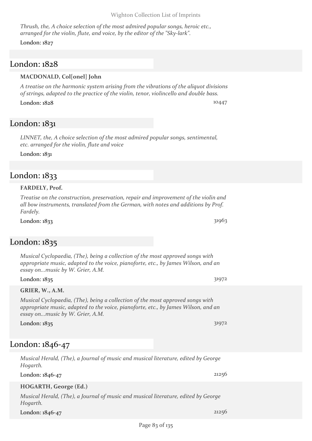#### Wighton Collection List of Imprints

*Thrush, the, A choice selection of the most admired popular songs, heroic etc., arranged for the violin, flute, and voice, by the editor of the "Sky-lark".*

London: 1827

## London: 1828

#### **MACDONALD, Col[onel] John**

*A treatise on the harmonic system arising from the vibrations of the aliquot divisions of strings, adapted to the practice of the violin, tenor, violincello and double bass.*

London: 1828 10447

## London: 1831

*LINNET, the, A choice selection of the most admired popular songs, sentimental, etc. arranged for the violin, flute and voice*

London: 1831

# London: 1833

#### **FARDELY, Prof.**

*Treatise on the construction, preservation, repair and improvement of the violin and all bow instruments, translated from the German, with notes and additions by Prof. Fardely.*

London: 1833 31963

## London: 1835

*Musical Cyclopaedia, (The), being a collection of the most approved songs with appropriate music, adapted to the voice, pianoforte, etc., by James Wilson, and an essay on...music by W. Grier, A.M.*

#### London: 1835 31972

#### **GRIER, W., A.M.**

*Musical Cyclopaedia, (The), being a collection of the most approved songs with appropriate music, adapted to the voice, pianoforte, etc., by James Wilson, and an essay on...music by W. Grier, A.M.*

London: 1835 31972

## London: 1846-47

*Musical Herald, (The), a Journal of music and musical literature, edited by George Hogarth.*

London: 1846-47 21256

## **HOGARTH, George (Ed.)**

*Musical Herald, (The), a Journal of music and musical literature, edited by George Hogarth.* London: 1846-47 21256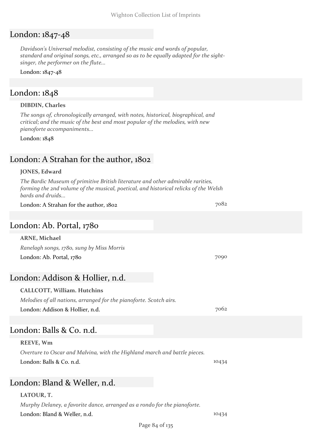## London: 1847-48

*Davidson's Universal melodist, consisting of the music and words of popular, standard and original songs, etc., arranged so as to be equally adapted for the sightsinger, the performer on the flute...*

London: 1847-48

## London: 1848

#### **DIBDIN, Charles**

*The songs of, chronologically arranged, with notes, historical, biographical, and critical; and the music of the best and most popular of the melodies, with new pianoforte accompaniments...*

London: 1848

## London: A Strahan for the author, 1802

#### **JONES, Edward**

*The Bardic Museum of primitive British literature and other admirable rarities, forming the 2nd volume of the musical, poetical, and historical relicks of the Welsh bards and druids...*

London: A Strahan for the author, 1802 *7082* 

## London: Ab. Portal, 1780

#### **ARNE, Michael**

*Ranelagh songs, 1780, sung by Miss Morris* London: Ab. Portal, 1780 7090

## London: Addison & Hollier, n.d.

## **CALLCOTT, William. Hutchins**

*Melodies of all nations, arranged for the pianoforte. Scotch airs.* London: Addison & Hollier, n.d. 20062

## London: Balls & Co. n.d.

**REEVE, Wm** *Overture to Oscar and Malvina, with the Highland march and battle pieces.* London: Balls & Co. n.d. 10434

## London: Bland & Weller, n.d.

## **LATOUR, T.**

*Murphy Delaney, a favorite dance, arranged as a rondo for the pianoforte.* London: Bland & Weller, n.d. 10434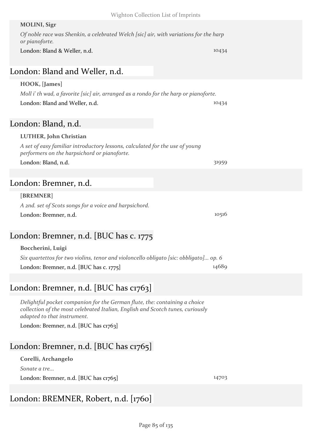#### **MOLINI, Sigr**

| Of noble race was Shenkin, a celebrated Welch [sic] air, with variations for the harp |  |  |
|---------------------------------------------------------------------------------------|--|--|
| or pianoforte.                                                                        |  |  |

London: Bland & Weller, n.d. 10434

## London: Bland and Weller, n.d.

## **HOOK, [James]**

*Moll i' th wad, a favorite [sic] air, arranged as a rondo for the harp or pianoforte.* London: Bland and Weller, n.d. 10434

## London: Bland, n.d.

## **LUTHER, John Christian**

*A set of easy familiar introductory lessons, calculated for the use of young performers on the harpsichord or pianoforte.*

London: Bland, n.d. 31959

## London: Bremner, n.d.

**[BREMNER]**

*A 2nd. set of Scots songs for a voice and harpsichord.* London: Bremner, n.d. 10516

# London: Bremner, n.d. [BUC has c. 1775

## **Boccherini, Luigi**

*Six quartettos for two violins, tenor and violoncello obligato [sic: obbligato]... op. 6* London: Bremner, n.d. [BUC has c. 1775] 14689

# London: Bremner, n.d. [BUC has c1763]

*Delightful pocket companion for the German flute, the: containing a choice collection of the most celebrated Italian, English and Scotch tunes, curiously adapted to that instrument.*

London: Bremner, n.d. [BUC has c1763]

# London: Bremner, n.d. [BUC has c1765]

London: BREMNER, Robert, n.d. [1760]

**Corelli, Archangelo**

*Sonate a tre...*

London: Bremner, n.d. [BUC has c1765] 14703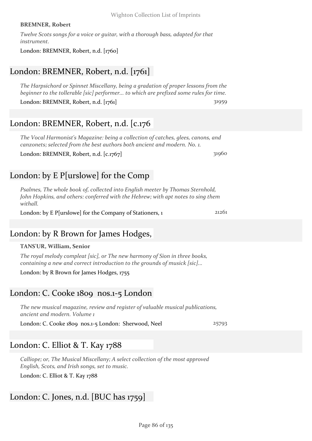## **BREMNER, Robert**

*Twelve Scots songs for a voice or guitar, with a thorough bass, adapted for that instrument.*

London: BREMNER, Robert, n.d. [1760]

# London: BREMNER, Robert, n.d. [1761]

*The Harpsichord or Spinnet Miscellany, being a gradation of proper lessons from the beginner to the tollerable [sic] performer... to which are prefixed some rules for time.*

London: BREMNER, Robert, n.d. [1761] 31959

# London: BREMNER, Robert, n.d. [c.176

*The Vocal Harmonist's Magazine: being a collection of catches, glees, canons, and canzonets; selected from the best authors both ancient and modern. No. 1.*

London: BREMNER, Robert, n.d. [c.1767] 31960

# London: by E P[urslowe] for the Comp

*Psalmes, The whole book of, collected into English meeter by Thomas Sternhold, John Hopkins, and others: conferred with the Hebrew; with apt notes to sing them withall.*

London: by E P[urslowe] for the Company of Stationers, 1 21261

# London: by R Brown for James Hodges,

## **TANS'UR, William, Senior**

*The royal melody compleat [sic], or The new harmony of Sion in three books, containing a new and correct introduction to the grounds of musick [sic]...*

London: by R Brown for James Hodges, 1755

# London: C. Cooke 1809 nos.1-5 London

*The new musical magazine, review and register of valuable musical publications, ancient and modern. Volume 1*

London: C. Cooke 1809 nos.1-5 London: Sherwood, Neel 25793

# London: C. Elliot & T. Kay 1788

*Calliope; or, The Musical Miscellany; A select collection of the most approved English, Scots, and Irish songs, set to music.*

London: C. Elliot & T. Kay 1788

# London: C. Jones, n.d. [BUC has 1759]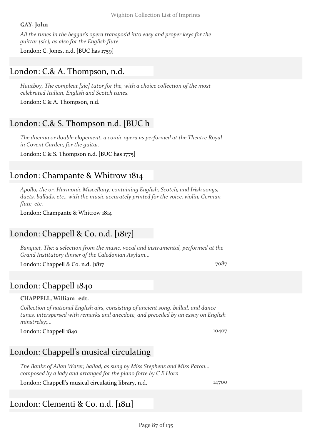#### **GAY, John**

*All the tunes in the beggar's opera transpos'd into easy and proper keys for the guittar [sic], as also for the English flute.*

London: C. Jones, n.d. [BUC has 1759]

## London: C.& A. Thompson, n.d.

*Hautboy, The compleat [sic] tutor for the, with a choice collection of the most celebrated Italian, English and Scotch tunes.*

London: C.& A. Thompson, n.d.

# London: C.& S. Thompson n.d. [BUC h

*The duenna or double elopement, a comic opera as performed at the Theatre Royal in Covent Garden, for the guitar.*

London: C.& S. Thompson n.d. [BUC has 1775]

## London: Champante & Whitrow 1814

*Apollo, the or, Harmonic Miscellany: containing English, Scotch, and Irish songs, duets, ballads, etc., with the music accurately printed for the voice, violin, German flute, etc.*

London: Champante & Whitrow 1814

# London: Chappell & Co. n.d. [1817]

*Banquet, The: a selection from the music, vocal and instrumental, performed at the Grand Institutory dinner of the Caledonian Asylum...*

London: Chappell & Co. n.d.  $[1817]$  7087

## London: Chappell 1840

#### **CHAPPELL, William [edt.]**

*Collection of national English airs, consisting of ancient song, ballad, and dance tunes, interspersed with remarks and anecdote, and preceded by an essay on English minstrelsy;...*

London: Chappell 1840 10407

# London: Chappell's musical circulating

*The Banks of Allan Water, ballad, as sung by Miss Stephens and Miss Paton... composed by a lady and arranged for the piano forte by C E Horn* London: Chappell's musical circulating library, n.d. 14700

# London: Clementi & Co. n.d. [1811]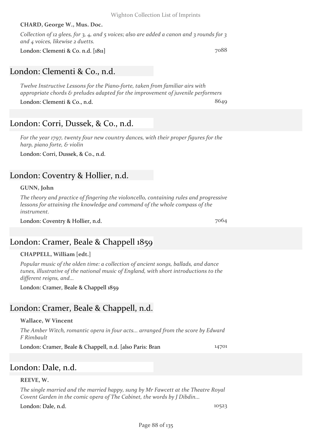#### **CHARD, George W., Mus. Doc.**

*Collection of 12 glees, for 3, 4, and 5 voices; also are added a canon and 3 rounds for 3 and 4 voices, likewise 2 duetts.*

London: Clementi & Co. n.d. [1811] 7088

## London: Clementi & Co., n.d.

*Twelve Instructive Lessons for the Piano-forte, taken from familiar airs with appropriate chords & preludes adapted for the improvement of juvenile performers*

London: Clementi & Co., n.d. 8649

## London: Corri, Dussek, & Co., n.d.

*For the year 1797, twenty four new country dances, with their proper figures for the harp, piano forte, & violin*

London: Corri, Dussek, & Co., n.d.

## London: Coventry & Hollier, n.d.

#### **GUNN, John**

*The theory and practice of fingering the violoncello, containing rules and progressive lessons for attaining the knowledge and command of the whole compass of the instrument.*

London: Coventry & Hollier, n.d. 7064

# London: Cramer, Beale & Chappell 1859

#### **CHAPPELL, William [edt.]**

*Popular music of the olden time: a collection of ancient songs, ballads, and dance tunes, illustrative of the national music of England, with short introductions to the different reigns, and...*

London: Cramer, Beale & Chappell 1859

# London: Cramer, Beale & Chappell, n.d.

## **Wallace, W Vincent**

*The Amber Witch, romantic opera in four acts... arranged from the score by Edward F Rimbault*

London: Cramer, Beale & Chappell, n.d. [also Paris: Bran 14701

## London: Dale, n.d.

## **REEVE, W.**

*The single married and the married happy, sung by Mr Fawcett at the Theatre Royal Covent Garden in the comic opera of The Cabinet, the words by J Dibdin...*

London: Dale, n.d. 10523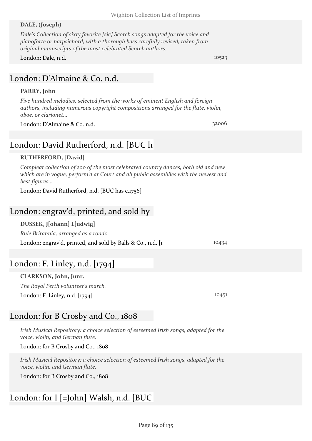## **DALE, (Joseph)**

*Dale's Collection of sixty favorite [sic] Scotch songs adapted for the voice and pianoforte or harpsichord, with a thorough bass carefully revised, taken from original manuscripts of the most celebrated Scotch authors.*

#### London: Dale, n.d. 10523

# London: D'Almaine & Co. n.d.

#### **PARRY, John**

*Five hundred melodies, selected from the works of eminent English and foreign authors, including numerous copyright compositions arranged for the flute, violin, oboe, or clarionet...*

London: D'Almaine & Co. n.d. 32006

# London: David Rutherford, n.d. [BUC h

## **RUTHERFORD, [David]**

*Compleat collection of 200 of the most celebrated country dances, both old and new which are in vogue, perform'd at Court and all public assemblies with the newest and best figures...*

London: David Rutherford, n.d. [BUC has c.1756]

## London: engrav'd, printed, and sold by

## **DUSSEK, J[ohann] L[udwig]**

*Rule Britannia, arranged as a rondo.*

London: engrav'd, printed, and sold by Balls & Co., n.d. [1 10434

# London: F. Linley, n.d. [1794]

**CLARKSON, John, Junr.** *The Royal Perth volunteer's march.* London: F. Linley, n.d. [1794] 10451

# London: for B Crosby and Co., 1808

*Irish Musical Repository: a choice selection of esteemed Irish songs, adapted for the voice, violin, and German flute.*

London: for B Crosby and Co., 1808

*Irish Musical Repository: a choice selection of esteemed Irish songs, adapted for the voice, violin, and German flute.*

London: for B Crosby and Co., 1808

# London: for I [=John] Walsh, n.d. [BUC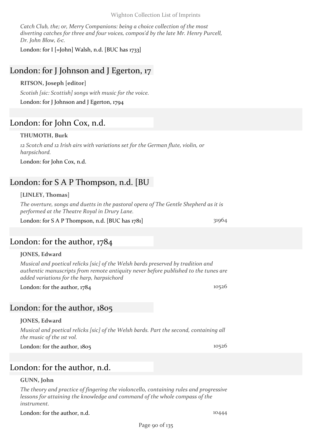Wighton Collection List of Imprints

*Catch Club, the; or, Merry Companions: being a choice collection of the most diverting catches for three and four voices, compos'd by the late Mr. Henry Purcell, Dr. John Blow, &c.*

London: for I [=John] Walsh, n.d. [BUC has 1733]

## London: for J Johnson and J Egerton, 17

## **RITSON, Joseph [editor]**

*Scotish [sic: Scottish] songs with music for the voice.*

London: for J Johnson and J Egerton, 1794

## London: for John Cox, n.d.

#### **THUMOTH, Burk**

*12 Scotch and 12 Irish airs with variations set for the German flute, violin, or harpsichord.*

London: for John Cox, n.d.

## London: for S A P Thompson, n.d. [BU

#### **[LINLEY, Thomas]**

*The overture, songs and duetts in the pastoral opera of The Gentle Shepherd as it is performed at the Theatre Royal in Drury Lane.*

London: for S A P Thompson, n.d. [BUC has 1781] 31964

## London: for the author, 1784

#### **JONES, Edward**

*Musical and poetical relicks [sic] of the Welsh bards preserved by tradition and authentic manuscripts from remote antiquity never before published to the tunes are added variations for the harp, harpsichord*

London: for the author,  $1784$  10526

## London: for the author, 1805

#### **JONES, Edward**

*Musical and poetical relicks [sic] of the Welsh bards. Part the second, containing all the music of the 1st vol.*

London: for the author, 1805 10526

## London: for the author, n.d.

#### **GUNN, John**

*The theory and practice of fingering the violoncello, containing rules and progressive lessons for attaining the knowledge and command of the whole compass of the instrument.*

London: for the author, n.d. 10444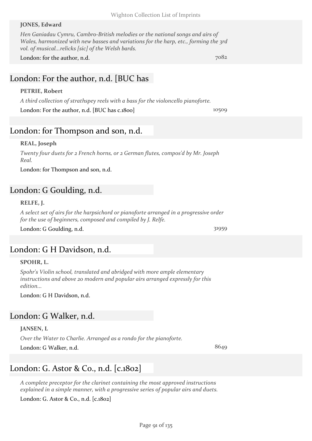#### **JONES, Edward**

*Hen Ganiadau Cymru, Cambro-British melodies or the national songs and airs of Wales, harmonized with new basses and variations for the harp, etc., forming the 3rd vol. of musical...relicks [sic] of the Welsh bards.*

London: for the author, n.d. *Toldary 1082* 

# London: For the author, n.d. [BUC has

#### **PETRIE, Robert**

*A third collection of strathspey reels with a bass for the violoncello pianoforte.* London: For the author, n.d. [BUC has c.1800] 10509

## London: for Thompson and son, n.d.

#### **REAL, Joseph**

*Twenty four duets for 2 French horns, or 2 German flutes, compos'd by Mr. Joseph Real.*

London: for Thompson and son, n.d.

## London: G Goulding, n.d.

#### **RELFE, J.**

*A select set of airs for the harpsichord or pianoforte arranged in a progressive order for the use of beginners, composed and compiled by J. Relfe.*

London: G Goulding, n.d.  $31959$ 

## London: G H Davidson, n.d.

#### **SPOHR, L.**

*Spohr's Violin school, translated and abridged with more ample elementary instructions and above 20 modern and popular airs arranged expressly for this edition...*

London: G H Davidson, n.d.

## London: G Walker, n.d.

**JANSEN, L** *Over the Water to Charlie. Arranged as a rondo for the pianoforte.* London: G Walker, n.d. 8649

London: G. Astor & Co., n.d. [c.1802]

*A complete preceptor for the clarinet containing the most approved instructions explained in a simple manner, with a progressive series of popular airs and duets.*

London: G. Astor & Co., n.d. [c.1802]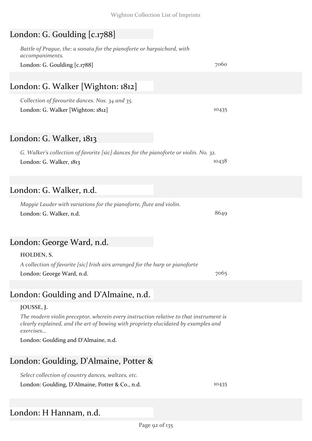# London: G. Goulding [c.1788]

*Battle of Prague, the: a sonata for the pianoforte or harpsichord, with accompaniments.*

London: G. Goulding [c.1788] 7060

# London: G. Walker [Wighton: 1812]

*Collection of favourite dances. Nos. 34 and 35.* London: G. Walker [Wighton: 1812] 10435

## London: G. Walker, 1813

*G. Walker's collection of favorite [sic] dances for the pianoforte or violin. No. 32.* London: G. Walker, 1813 10438

# London: G. Walker, n.d.

| Maggie Lauder with variations for the pianoforte, flute and violin. |      |
|---------------------------------------------------------------------|------|
| London: G. Walker, n.d.                                             | 8649 |

## London: George Ward, n.d.

| <b>HOLDEN, S.</b>                                                             |      |
|-------------------------------------------------------------------------------|------|
| A collection of favorite [sic] Irish airs arranged for the harp or pianoforte |      |
| London: George Ward, n.d.                                                     | 7065 |

## London: Goulding and D'Almaine, n.d.

#### **JOUSSE, J.**

*The modern violin preceptor, wherein every instruction relative to that instrument is clearly explained, and the art of bowing with propriety elucidated by examples and exercises...*

London: Goulding and D'Almaine, n.d.

## London: Goulding, D'Almaine, Potter &

*Select collection of country dances, waltzes, etc.* London: Goulding, D'Almaine, Potter & Co., n.d. 10435

## London: H Hannam, n.d.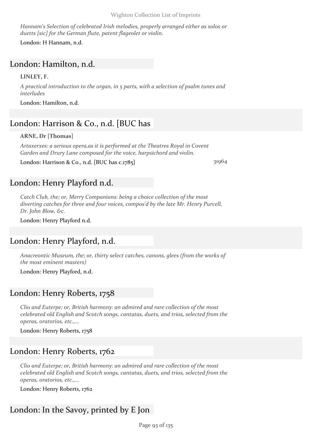#### Wighton Collection List of Imprints

*Hannam's Selection of celebrated Irish melodies, properly arranged either as solos or duetts [sic] for the German flute, patent flageolet or violin.*

London: H Hannam, n.d.

## London: Hamilton, n.d.

#### **LINLEY, F.**

*A practical introduction to the organ, in 5 parts, with a selection of psalm tunes and interludes*

London: Hamilton, n.d.

# London: Harrison & Co., n.d. [BUC has

#### **ARNE, Dr [Thomas]**

*Artaxerxes: a serious opera,as it is performed at the Theatres Royal in Covent Garden and Drury Lane composed for the voice, harpsichord and violin.*

London: Harrison & Co., n.d. [BUC has c.1785] 31964

## London: Henry Playford n.d.

*Catch Club, the; or, Merry Companions: being a choice collection of the most diverting catches for three and four voices, compos'd by the late Mr. Henry Purcell, Dr. John Blow, &c.*

London: Henry Playford n.d.

## London: Henry Playford, n.d.

*Anacreontic Museum, the; or, thirty select catches, canons, glees (from the works of the most eminent masters)*

London: Henry Playford, n.d.

## London: Henry Roberts, 1758

*Clio and Euterpe; or, British harmony: an admired and rare collection of the most celebrated old English and Scotch songs, cantatas, duets, and trios, selected from the operas, oratorios, etc.,...*

London: Henry Roberts, 1758

## London: Henry Roberts, 1762

*Clio and Euterpe; or, British harmony: an admired and rare collection of the most celebrated old English and Scotch songs, cantatas, duets, and trios, selected from the operas, oratorios, etc.,...*

London: Henry Roberts, 1762

# London: In the Savoy, printed by E Jon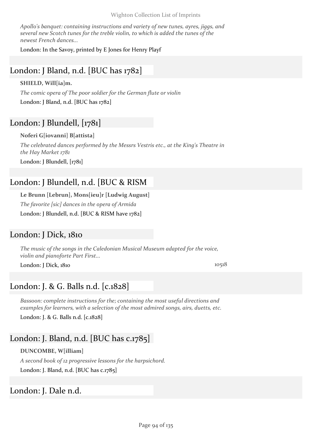Wighton Collection List of Imprints

*Apollo's banquet: containing instructions and variety of new tunes, ayres, jiggs, and several new Scotch tunes for the treble violin, to which is added the tunes of the newest French dances...*

London: In the Savoy, printed by E Jones for Henry Playf

# London: J Bland, n.d. [BUC has 1782]

## **SHIELD, Will[ia]m.**

*The comic opera of The poor soldier for the German flute or violin* London: J Bland, n.d. [BUC has 1782]

# London: J Blundell, [1781]

## **Noferi G[iovanni] B[attista]**

*The celebrated dances performed by the Messrs Vestris etc., at the King's Theatre in the Hay Market 1781*

London: J Blundell, [1781]

# London: J Blundell, n.d. [BUC & RISM

**Le Brunn [Lebrun], Mons[ieu]r [Ludwig August]** *The favorite [sic] dances in the opera of Armida* London: J Blundell, n.d. [BUC & RISM have 1782]

## London: J Dick, 1810

*The music of the songs in the Caledonian Musical Museum adapted for the voice, violin and pianoforte Part First...*

London: J Dick, 1810 10518

# London: J. & G. Balls n.d. [c.1828]

*Bassoon: complete instructions for the; containing the most useful directions and examples for learners, with a selection of the most admired songs, airs, duetts, etc.* London: J. & G. Balls n.d. [c.1828]

# London: J. Bland, n.d. [BUC has c.1785]

## **DUNCOMBE, W[illiam]**

*A second book of 12 progressive lessons for the harpsichord.* London: J. Bland, n.d. [BUC has c.1785]

London: J. Dale n.d.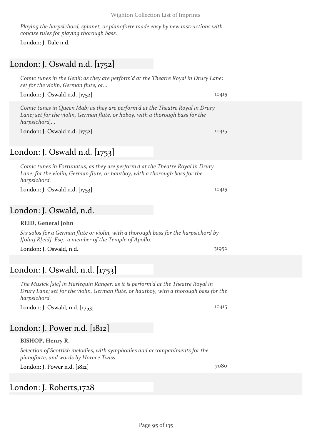*Playing the harpsichord, spinnet, or pianoforte made easy by new instructions with concise rules for playing thorough bass.*

London: J. Dale n.d.

# London: J. Oswald n.d. [1752]

*Comic tunes in the Genii; as they are perform'd at the Theatre Royal in Drury Lane; set for the violin, German flute, or...*

London: J. Oswald n.d. [1752] 10415

*Comic tunes in Queen Mab; as they are perform'd at the Theatre Royal in Drury Lane; set for the violin, German flute, or hoboy, with a thorough bass for the harpsichord,...*

London: J. Oswald n.d. [1752] 10415

# London: J. Oswald n.d. [1753]

*Comic tunes in Fortunatus; as they are perform'd at the Theatre Royal in Drury Lane; for the violin, German flute, or hautboy, with a thorough bass for the harpsichord.*

London: J. Oswald n.d. [1753] 10415

## London: J. Oswald, n.d.

## **REID, General John**

*Six solos for a German flute or violin, with a thorough bass for the harpsichord by J[ohn] R[eid], Esq., a member of the Temple of Apollo.*

London: J. Oswald, n.d. 31952

# London: J. Oswald, n.d. [1753]

*The Musick [sic] in Harlequin Ranger; as it is perform'd at the Theatre Royal in Drury Lane; set for the violin, German flute, or hautboy, with a thorough bass for the harpsichord.*

London: J. Oswald, n.d. [1753] 10415

# London: J. Power n.d. [1812]

## **BISHOP, Henry R.**

*Selection of Scottish melodies, with symphonies and accompaniments for the pianoforte, and words by Horace Twiss.*

London: J. Power n.d. [1812] 7080

London: J. Roberts,1728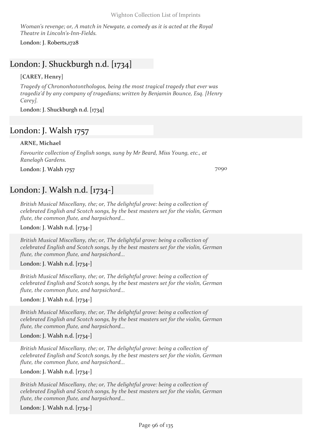*Woman's revenge; or, A match in Newgate, a comedy as it is acted at the Royal Theatre in Lincoln's-Inn-Fields.*

London: J. Roberts,1728

# London: J. Shuckburgh n.d. [1734]

## **[CAREY, Henry]**

*Tragedy of Chrononhotonthologos, being the most tragical tragedy that ever was tragediz'd by any company of tragedians; written by Benjamin Bounce, Esq. [Henry Carey].*

London: J. Shuckburgh n.d. [1734]

# London: J. Walsh 1757

#### **ARNE, Michael**

*Favourite collection of English songs, sung by Mr Beard, Miss Young, etc., at Ranelagh Gardens.*

London: J. Walsh 1757 7090

## London: J. Walsh n.d. [1734-]

*British Musical Miscellany, the; or, The delightful grove: being a collection of celebrated English and Scotch songs, by the best masters set for the violin, German flute, the common flute, and harpsichord...*

London: J. Walsh n.d. [1734-]

*British Musical Miscellany, the; or, The delightful grove: being a collection of celebrated English and Scotch songs, by the best masters set for the violin, German flute, the common flute, and harpsichord...*

London: J. Walsh n.d. [1734-]

*British Musical Miscellany, the; or, The delightful grove: being a collection of celebrated English and Scotch songs, by the best masters set for the violin, German flute, the common flute, and harpsichord...*

London: J. Walsh n.d. [1734-]

*British Musical Miscellany, the; or, The delightful grove: being a collection of celebrated English and Scotch songs, by the best masters set for the violin, German flute, the common flute, and harpsichord...*

#### London: J. Walsh n.d. [1734-]

*British Musical Miscellany, the; or, The delightful grove: being a collection of celebrated English and Scotch songs, by the best masters set for the violin, German flute, the common flute, and harpsichord...*

London: J. Walsh n.d. [1734-]

*British Musical Miscellany, the; or, The delightful grove: being a collection of celebrated English and Scotch songs, by the best masters set for the violin, German flute, the common flute, and harpsichord...*

London: J. Walsh n.d. [1734-]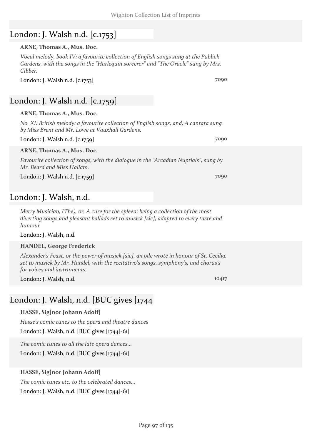# London: J. Walsh n.d. [c.1753]

#### **ARNE, Thomas A., Mus. Doc.**

*Vocal melody, book IV: a favourite collection of English songs sung at the Publick Gardens, with the songs in the "Harlequin sorcerer" and "The Oracle" sung by Mrs. Cibber.*

London: J. Walsh n.d. [c.1753] 7090

# London: J. Walsh n.d. [c.1759]

|  | ARNE, Thomas A., Mus. Doc. |  |  |
|--|----------------------------|--|--|
|--|----------------------------|--|--|

*No. XI. British melody: a favourite collection of English songs, and, A cantata sung by Miss Brent and Mr. Lowe at Vauxhall Gardens.*

London: J. Walsh n.d. [c.1759] 7090

**ARNE, Thomas A., Mus. Doc.**

*Favourite collection of songs, with the dialogue in the "Arcadian Nuptials", sung by Mr. Beard and Miss Hallam.*

London: J. Walsh n.d. [c.1759] 7090

## London: J. Walsh, n.d.

*Merry Musician, (The), or, A cure for the spleen: being a collection of the most diverting songs and pleasant ballads set to musick [sic]; adapted to every taste and humour*

London: J. Walsh, n.d.

#### **HANDEL, George Frederick**

*Alexander's Feast, or the power of musick [sic], an ode wrote in honour of St. Cecilia, set to musick by Mr. Handel, with the recitativo's songs, symphony's, and chorus's for voices and instruments.*

London: J. Walsh, n.d. 10417

# London: J. Walsh, n.d. [BUC gives [1744

## **HASSE, Sig[nor Johann Adolf]**

*Hasse's comic tunes to the opera and theatre dances*

London: J. Walsh, n.d. [BUC gives [1744]-61]

*The comic tunes to all the late opera dances...* London: J. Walsh, n.d. [BUC gives [1744]-61]

## **HASSE, Sig[nor Johann Adolf]**

*The comic tunes etc. to the celebrated dances...*

London: J. Walsh, n.d. [BUC gives [1744]-61]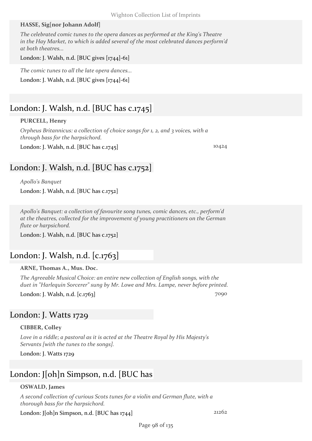#### **HASSE, Sig[nor Johann Adolf]**

*The celebrated comic tunes to the opera dances as performed at the King's Theatre in the Hay Market, to which is added several of the most celebrated dances perform'd at both theatres...*

London: J. Walsh, n.d. [BUC gives [1744]-61]

*The comic tunes to all the late opera dances...*

London: J. Walsh, n.d. [BUC gives [1744]-61]

# London: J. Walsh, n.d. [BUC has c.1745]

#### **PURCELL, Henry**

*Orpheus Britannicus: a collection of choice songs for 1, 2, and 3 voices, with a through bass for the harpsichord.*

London: J. Walsh, n.d. [BUC has c.1745] 10424

# London: J. Walsh, n.d. [BUC has c.1752]

*Apollo's Banquet*

London: J. Walsh, n.d. [BUC has c.1752]

*Apollo's Banquet: a collection of favourite song tunes, comic dances, etc., perform'd at the theatres, collected for the improvement of young practitioners on the German flute or harpsichord.*

London: J. Walsh, n.d. [BUC has c.1752]

# London: J. Walsh, n.d. [c.1763]

#### **ARNE, Thomas A., Mus. Doc.**

*The Agreeable Musical Choice: an entire new collection of English songs, with the duet in "Harlequin Sorcerer" sung by Mr. Lowe and Mrs. Lampe, never before printed.*

London: J. Walsh, n.d. [c.1763] 7090

## London: J. Watts 1729

#### **CIBBER, Colley**

*Love in a riddle; a pastoral as it is acted at the Theatre Royal by His Majesty's Servants [with the tunes to the songs].*

London: J. Watts 1729

# London: J[oh]n Simpson, n.d. [BUC has

#### **OSWALD, James**

*A second collection of curious Scots tunes for a violin and German flute, with a thorough bass for the harpsichord.*

London: J[oh]n Simpson, n.d. [BUC has  $1744$ ] 21262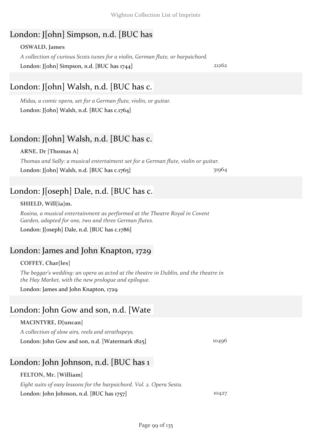# London: J[ohn] Simpson, n.d. [BUC has

#### **OSWALD, James**

*A collection of curious Scots tunes for a violin, German flute, or harpsichord.* London: J $\lceil \text{ohn} \rceil$  Simpson, n.d.  $\lceil \text{BUC} \rceil$  has 1744 $\lceil \text{BUC} \rceil$ 

# London: J[ohn] Walsh, n.d. [BUC has c.

*Midas, a comic opera, set for a German flute, violin, or guitar.* London: J[ohn] Walsh, n.d. [BUC has c.1764]

# London: J[ohn] Walsh, n.d. [BUC has c.

## **ARNE, Dr [Thomas A]**

*Thomas and Sally: a musical entertaiment set for a German flute, violin or guitar.* London: J[ohn] Walsh, n.d. [BUC has c.1765] 31964

# London: J[oseph] Dale, n.d. [BUC has c.

## **SHIELD, Will[ia]m.**

*Rosina, a musical entertainment as performed at the Theatre Royal in Covent Garden, adapted for one, two and three German flutes.*

London: J[oseph] Dale, n.d. [BUC has c.1786]

# London: James and John Knapton, 1729

## **COFFEY, Char[les]**

*The beggar's wedding: an opera as acted at the theatre in Dublin, and the theatre in the Hay Market, with the new prologue and epilogue.*

London: James and John Knapton, 1729

# London: John Gow and son, n.d. [Wate

## **MACINTYRE, D[uncan]**

*A collection of slow airs, reels and strathspeys.* London: John Gow and son, n.d. [Watermark 1825] 10496

# London: John Johnson, n.d. [BUC has 1

## **FELTON, Mr. [William]**

*Eight suits of easy lessons for the harpsichord. Vol. 2. Opera Sesta.*

London: John Johnson, n.d. [BUC has 1757] 10427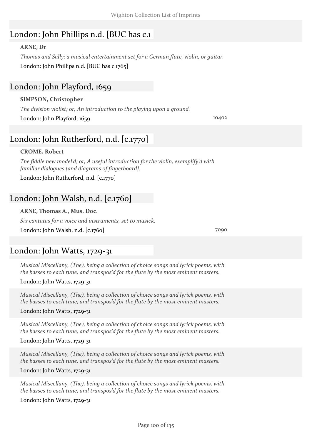# London: John Phillips n.d. [BUC has c.1

## **ARNE, Dr**

*Thomas and Sally: a musical entertainment set for a German flute, violin, or guitar.* London: John Phillips n.d. [BUC has c.1765]

## London: John Playford, 1659

## **SIMPSON, Christopher**

*The division violist; or, An introduction to the playing upon a ground.* London: John Playford, 1659 10402

# London: John Rutherford, n.d. [c.1770]

## **CROME, Robert**

*The fiddle new model'd; or, A useful introduction for the violin, exemplify'd with familiar dialogues [and diagrams of fingerboard].*

London: John Rutherford, n.d. [c.1770]

# London: John Walsh, n.d. [c.1760]

**ARNE, Thomas A., Mus. Doc.**

*Six cantatas for a voice and instruments, set to musick.*

London: John Walsh, n.d. [c.1760] 7090

## London: John Watts, 1729-31

*Musical Miscellany, (The), being a collection of choice songs and lyrick poems, with the basses to each tune, and transpos'd for the flute by the most eminent masters.*

## London: John Watts, 1729-31

*Musical Miscellany, (The), being a collection of choice songs and lyrick poems, with the basses to each tune, and transpos'd for the flute by the most eminent masters.*

#### London: John Watts, 1729-31

*Musical Miscellany, (The), being a collection of choice songs and lyrick poems, with the basses to each tune, and transpos'd for the flute by the most eminent masters.*

#### London: John Watts, 1729-31

*Musical Miscellany, (The), being a collection of choice songs and lyrick poems, with the basses to each tune, and transpos'd for the flute by the most eminent masters.*

#### London: John Watts, 1729-31

*Musical Miscellany, (The), being a collection of choice songs and lyrick poems, with the basses to each tune, and transpos'd for the flute by the most eminent masters.*

## London: John Watts, 1729-31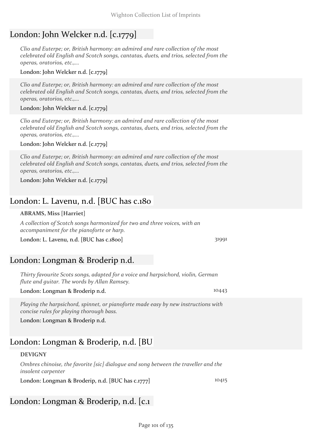# London: John Welcker n.d. [c.1779]

*Clio and Euterpe; or, British harmony: an admired and rare collection of the most celebrated old English and Scotch songs, cantatas, duets, and trios, selected from the operas, oratorios, etc.,...*

#### London: John Welcker n.d. [c.1779]

*Clio and Euterpe; or, British harmony: an admired and rare collection of the most celebrated old English and Scotch songs, cantatas, duets, and trios, selected from the operas, oratorios, etc.,...*

#### London: John Welcker n.d. [c.1779]

*Clio and Euterpe; or, British harmony: an admired and rare collection of the most celebrated old English and Scotch songs, cantatas, duets, and trios, selected from the operas, oratorios, etc.,...*

#### London: John Welcker n.d. [c.1779]

*Clio and Euterpe; or, British harmony: an admired and rare collection of the most celebrated old English and Scotch songs, cantatas, duets, and trios, selected from the operas, oratorios, etc.,...*

London: John Welcker n.d. [c.1779]

## London: L. Lavenu, n.d. [BUC has c.180

#### **ABRAMS, Miss [Harriet]**

*A collection of Scotch songs harmonized for two and three voices, with an accompaniment for the pianoforte or harp.*

London: L. Lavenu, n.d. [BUC has c.1800] 31991

## London: Longman & Broderip n.d.

*Thirty favourite Scots songs, adapted for a voice and harpsichord, violin, German flute and guitar. The words by Allan Ramsey.*

#### London: Longman & Broderip n.d. 10443

*Playing the harpsichord, spinnet, or pianoforte made easy by new instructions with concise rules for playing thorough bass.*

London: Longman & Broderip n.d.

# London: Longman & Broderip, n.d. [BU

#### **DEVIGNY**

*Ombres chinoise, the favorite [sic] dialogue and song between the traveller and the insolent carpenter*

London: Longman & Broderip, n.d. [BUC has c.1777] 10415

## London: Longman & Broderip, n.d. [c.1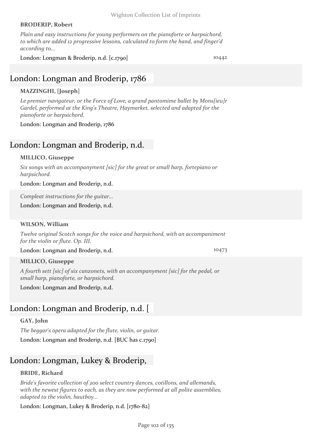#### **BRODERIP, Robert**

*Plain and easy instructions for young performers on the pianoforte or harpsichord, to which are added 12 progressive lessons, calculated to form the hand, and finger'd according to...*

London: Longman & Broderip, n.d. [c.1790] 10442

## London: Longman and Broderip, 1786

#### **MAZZINGHI, [Joseph]**

*Le premier navigateur, or the Force of Love, a grand pantomime ballet by Mons[ieu]r Gardel, performed at the King's Theatre, Haymarket, selected and adapted for the pianoforte or harpsichord.*

London: Longman and Broderip, 1786

## London: Longman and Broderip, n.d.

#### **MILLICO, Giuseppe**

*Six songs with an accompanyment [sic] for the great or small harp, fortepiano or harpsichord.*

London: Longman and Broderip, n.d.

*Compleat instructions for the guitar...*

London: Longman and Broderip, n.d.

#### **WILSON, William**

*Twelve original Scotch songs for the voice and harpsichord, with an accompaniment for the violin or flute. Op. III.*

London: Longman and Broderip, n.d. 10473

#### **MILLICO, Giuseppe**

*A fourth sett [sic] of six canzonets, with an accompanyment [sic] for the pedal, or small harp, pianoforte, or harpsichord.*

London: Longman and Broderip, n.d.

# London: Longman and Broderip, n.d. [

## **GAY, John**

*The beggar's opera adapted for the flute, violin, or guitar.* London: Longman and Broderip, n.d. [BUC has c.1790]

# London: Longman, Lukey & Broderip,

## **BRIDE, Richard**

*Bride's favorite collection of 200 select country dances, cotillons, and allemands, with the newest figures to each, as they are now performed at all polite assemblies, adapted to the violin, hautboy...*

London: Longman, Lukey & Broderip, n.d. [1780-82]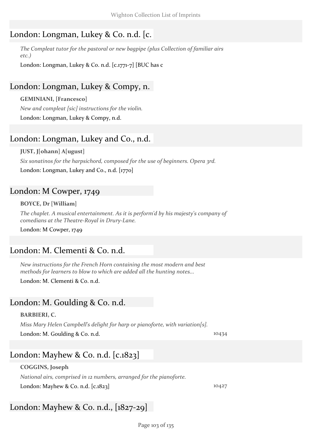# London: Longman, Lukey & Co. n.d. [c.

*The Compleat tutor for the pastoral or new bagpipe (plus Collection of familiar airs etc.)*

London: Longman, Lukey & Co. n.d. [c.1771-7] [BUC has c

## London: Longman, Lukey & Compy, n.

#### **GEMINIANI, [Francesco]**

*New and compleat [sic] instructions for the violin.* London: Longman, Lukey & Compy, n.d.

# London: Longman, Lukey and Co., n.d.

## **JUST, J[ohann] A[ugust]**

*Six sonatinos for the harpsichord, composed for the use of beginners. Opera 3rd.* London: Longman, Lukey and Co., n.d. [1770]

## London: M Cowper, 1749

#### **BOYCE, Dr [William]**

*The chaplet. A musical entertainment. As it is perform'd by his majesty's company of comedians at the Theatre-Royal in Drury-Lane.*

London: M Cowper, 1749

## London: M. Clementi & Co. n.d.

*New instructions for the French Horn containing the most modern and best methods for learners to blow to which are added all the hunting notes...*

London: M. Clementi & Co. n.d.

## London: M. Goulding & Co. n.d.

#### **BARBIERI, C.**

*Miss Mary Helen Campbell's delight for harp or pianoforte, with variation[s].* London: M. Goulding & Co. n.d. 10434

# London: Mayhew & Co. n.d. [c.1823]

## **COGGINS, Joseph**

*National airs, comprised in 12 numbers, arranged for the pianoforte.* London: Mayhew & Co. n.d. [c.1823] 10427

London: Mayhew & Co. n.d., [1827-29]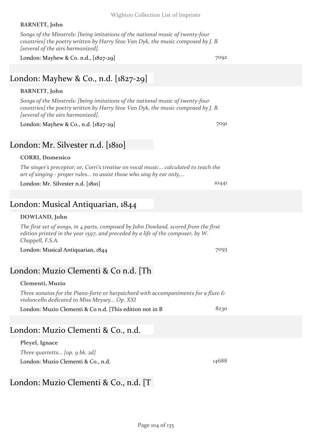## **BARNETT, John**

*Songs of the Minstrels: [being imitations of the national music of twenty-four countries] the poetry written by Harry Stoe Van Dyk, the music composed by J. B. [several of the airs harmonized].*

London: Mayhew & Co. n.d., [1827-29] 7092

# London: Mayhew & Co., n.d. [1827-29]

## **BARNETT, John**

*Songs of the Minstrels: [being imitations of the national music of twenty-four countries] the poetry written by Harry Stoe Van Dyk, the music composed by J. B. [several of the airs harmonized].*

London: Mayhew & Co., n.d. [1827-29] 7091

## London: Mr. Silvester n.d. [1810]

## **CORRI, Domenico**

*The singer's preceptor; or, Corri's treatise on vocal music... calculated to teach the art of singing - proper rules... to assist those who sing by ear only,...*

London: Mr. Silvester n.d. [1810] 10441

## London: Musical Antiquarian, 1844

## **DOWLAND, John**

*The first set of songs, in 4 parts, composed by John Dowland, scored from the first edition printed in the year 1597, and preceded by a life of the composer, by W. Chappell, F.S.A.*

London: Musical Antiquarian, 1844 7093

# London: Muzio Clementi & Co n.d. [Th

## **Clementi, Muzio**

*Three sonatas for the Piano-forte or harpsichord with accompaniments for a flute & violoncello dedicated to Miss Meysey... Op. XXI*

London: Muzio Clementi & Co n.d. [This edition not in B 8230

# London: Muzio Clementi & Co., n.d.

**Pleyel, Ignace**

*Three quartetts... [op. 9 bk. 2d]* London: Muzio Clementi & Co., n.d. 14688

# London: Muzio Clementi & Co., n.d. [T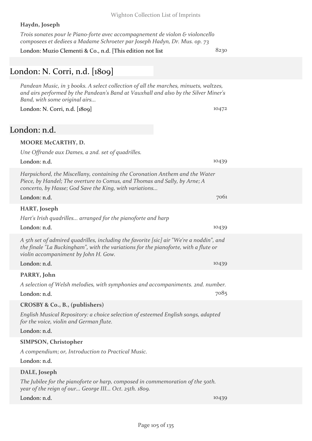## **Haydn, Joseph**

| Trois sonates pour le Piano-forte avec accompagnement de violon & violoncello<br>composees et dediees a Madame Schroeter par Joseph Hadyn, Dr. Mus. op. 73                                                             |       |  |
|------------------------------------------------------------------------------------------------------------------------------------------------------------------------------------------------------------------------|-------|--|
| London: Muzio Clementi & Co., n.d. [This edition not list                                                                                                                                                              | 8230  |  |
|                                                                                                                                                                                                                        |       |  |
| London: N. Corri, n.d. [1809]                                                                                                                                                                                          |       |  |
| Pandean Music, in 3 books. A select collection of all the marches, minuets, waltzes,<br>and airs performed by the Pandean's Band at Vauxhall and also by the Silver Miner's<br>Band, with some original airs           |       |  |
| London: N. Corri, n.d. [1809]                                                                                                                                                                                          | 10472 |  |
| London: n.d.                                                                                                                                                                                                           |       |  |
| <b>MOORE McCARTHY, D.</b>                                                                                                                                                                                              |       |  |
| Une Offrande aux Dames, a 2nd. set of quadrilles.                                                                                                                                                                      |       |  |
| London: n.d.                                                                                                                                                                                                           | 10439 |  |
| Harpsichord, the Miscellany, containing the Coronation Anthem and the Water<br>Piece, by Handel; The overture to Comus, and Thomas and Sally, by Arne; A<br>concerto, by Hasse; God Save the King, with variations     |       |  |
| London: n.d.                                                                                                                                                                                                           | 7061  |  |
| HART, Joseph                                                                                                                                                                                                           |       |  |
| Hart's Irish quadrilles arranged for the pianoforte and harp                                                                                                                                                           |       |  |
| London: n.d.                                                                                                                                                                                                           | 10439 |  |
| A 5th set of admired quadrilles, including the favorite [sic] air "We're a noddin", and<br>the finale "La Buckingham", with the variations for the pianoforte, with a flute or<br>violin accompaniment by John H. Gow. |       |  |
| London: n.d.                                                                                                                                                                                                           | 10439 |  |
| PARRY, John                                                                                                                                                                                                            |       |  |
| A selection of Welsh melodies, with symphonies and accompaniments. 2nd. number.                                                                                                                                        |       |  |
| London: n.d.                                                                                                                                                                                                           | 7085  |  |
| CROSBY & Co., B., (publishers)                                                                                                                                                                                         |       |  |
| English Musical Repository: a choice selection of esteemed English songs, adapted<br>for the voice, violin and German flute.                                                                                           |       |  |
| London: n.d.                                                                                                                                                                                                           |       |  |
| <b>SIMPSON, Christopher</b>                                                                                                                                                                                            |       |  |
| A compendium; or, Introduction to Practical Music.                                                                                                                                                                     |       |  |
| London: n.d.                                                                                                                                                                                                           |       |  |
| DALE, Joseph                                                                                                                                                                                                           |       |  |
| The Jubilee for the pianoforte or harp, composed in commemoration of the 50th.<br>year of the reign of our George III Oct. 25th. 1809.                                                                                 |       |  |
| London: n.d.                                                                                                                                                                                                           | 10439 |  |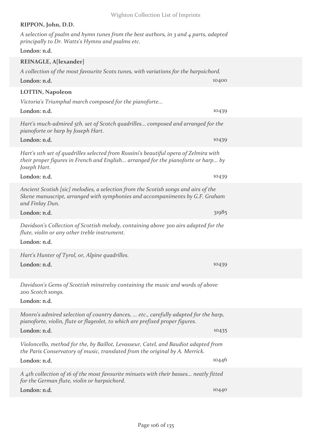| RIPPON, John, D.D.                                                                                                                                                                         |       |
|--------------------------------------------------------------------------------------------------------------------------------------------------------------------------------------------|-------|
| A selection of psalm and hymn tunes from the best authors, in 3 and 4 parts, adapted<br>principally to Dr. Watts's Hymns and psalms etc.                                                   |       |
| London: n.d.                                                                                                                                                                               |       |
| REINAGLE, A[lexander]                                                                                                                                                                      |       |
| A collection of the most favourite Scots tunes, with variations for the harpsichord.                                                                                                       |       |
| London: n.d.                                                                                                                                                                               | 10400 |
| <b>LOTTIN, Napoleon</b>                                                                                                                                                                    |       |
| Victoria's Triumphal march composed for the pianoforte                                                                                                                                     |       |
| London: n.d.                                                                                                                                                                               | 10439 |
| Hart's much-admired 5th. set of Scotch quadrilles composed and arranged for the<br>pianoforte or harp by Joseph Hart.                                                                      |       |
| London: n.d.                                                                                                                                                                               | 10439 |
| Hart's 11th set of quadrilles selected from Rossini's beautiful opera of Zelmira with<br>their proper figures in French and English arranged for the pianoforte or harp by<br>Joseph Hart. |       |
| London: n.d.                                                                                                                                                                               | 10439 |
| Ancient Scotish [sic] melodies, a selection from the Scotish songs and airs of the<br>Skene manuscript, arranged with symphonies and accompaniments by G.F. Graham<br>and Finlay Dun.      |       |
| London: n.d.                                                                                                                                                                               | 31985 |
| Davidson's Collection of Scottish melody, containing above 300 airs adapted for the<br>flute, violin or any other treble instrument.<br>London: n.d.                                       |       |
| Hart's Hunter of Tyrol, or, Alpine quadrilles.                                                                                                                                             |       |
| London: n.d.                                                                                                                                                                               | 10439 |
| Davidson's Gems of Scottish minstrelsy containing the music and words of above<br>200 Scotch songs.<br>London: n.d.                                                                        |       |
| Monro's admired selection of country dances,  etc., carefully adapted for the harp,                                                                                                        |       |
| pianoforte, violin, flute or flageolet, to which are prefixed proper figures.<br>London: n.d.                                                                                              | 10435 |
| Violoncello, method for the, by Baillot, Levasseur, Catel, and Baudiot adapted from<br>the Paris Conservatory of music, translated from the original by A. Merrick.                        |       |
| London: n.d.                                                                                                                                                                               | 10446 |
| A 4th collection of 16 of the most favourite minuets with their basses neatly fitted<br>for the German flute, violin or harpsichord.                                                       |       |
| London: n.d.                                                                                                                                                                               | 10440 |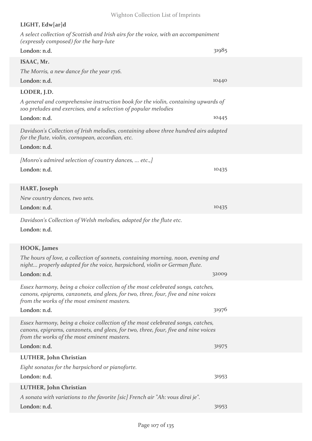## **LIGHT, Edw[ar]d**

| A select collection of Scottish and Irish airs for the voice, with an accompaniment<br>(expressly composed) for the harp-lute                                                                                        |       |
|----------------------------------------------------------------------------------------------------------------------------------------------------------------------------------------------------------------------|-------|
| London: n.d.                                                                                                                                                                                                         | 31985 |
| ISAAC, Mr.                                                                                                                                                                                                           |       |
| The Morris, a new dance for the year 1716.                                                                                                                                                                           |       |
| London: n.d.                                                                                                                                                                                                         | 10440 |
| LODER, J.D.                                                                                                                                                                                                          |       |
| A general and comprehensive instruction book for the violin, containing upwards of<br>100 preludes and exercises, and a selection of popular melodies                                                                |       |
| London: n.d.                                                                                                                                                                                                         | 10445 |
| Davidson's Collection of Irish melodies, containing above three hundred airs adapted<br>for the flute, violin, cornopean, accordian, etc.<br>London: n.d.                                                            |       |
| [Monro's admired selection of country dances,  etc.,]<br>London: n.d.                                                                                                                                                | 10435 |
| HART, Joseph                                                                                                                                                                                                         |       |
| New country dances, two sets.                                                                                                                                                                                        |       |
| London: n.d.                                                                                                                                                                                                         | 10435 |
| Davidson's Collection of Welsh melodies, adapted for the flute etc.<br>London: n.d.                                                                                                                                  |       |
| <b>HOOK, James</b>                                                                                                                                                                                                   |       |
| The hours of love, a collection of sonnets, containing morning, noon, evening and<br>night properly adapted for the voice, harpsichord, violin or German flute.                                                      |       |
| London: n.d.                                                                                                                                                                                                         | 32009 |
| Essex harmony, being a choice collection of the most celebrated songs, catches,<br>canons, epigrams, canzonets, and glees, for two, three, four, five and nine voices<br>from the works of the most eminent masters. |       |
| London: n.d.                                                                                                                                                                                                         | 31976 |
| Essex harmony, being a choice collection of the most celebrated songs, catches,<br>canons, epigrams, canzonets, and glees, for two, three, four, five and nine voices<br>from the works of the most eminent masters. |       |
| London: n.d.                                                                                                                                                                                                         | 31975 |
| LUTHER, John Christian                                                                                                                                                                                               |       |
| Eight sonatas for the harpsichord or pianoforte.                                                                                                                                                                     |       |
| London: n.d.                                                                                                                                                                                                         | 31953 |
| LUTHER, John Christian                                                                                                                                                                                               |       |
| A sonata with variations to the favorite [sic] French air "Ah: vous dirai je".                                                                                                                                       |       |
| London: n.d.                                                                                                                                                                                                         | 31953 |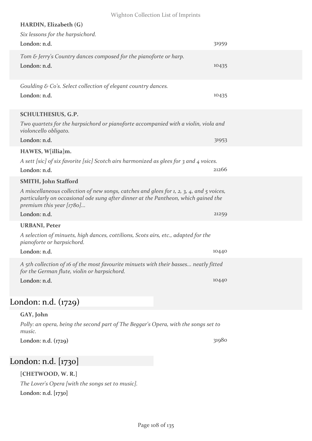| HARDIN, Elizabeth (G)                                                                                                                                                                                        |       |  |
|--------------------------------------------------------------------------------------------------------------------------------------------------------------------------------------------------------------|-------|--|
| Six lessons for the harpsichord.                                                                                                                                                                             |       |  |
| London: n.d.                                                                                                                                                                                                 | 31959 |  |
| Tom & Jerry's Country dances composed for the pianoforte or harp.                                                                                                                                            |       |  |
| London: n.d.                                                                                                                                                                                                 | 10435 |  |
|                                                                                                                                                                                                              |       |  |
| Goulding & Co's. Select collection of elegant country dances.<br>London: n.d.                                                                                                                                | 10435 |  |
|                                                                                                                                                                                                              |       |  |
| SCHULTHESIUS, G.P.                                                                                                                                                                                           |       |  |
| Two quartets for the harpsichord or pianoforte accompanied with a violin, viola and<br>violoncello obligato.                                                                                                 |       |  |
| London: n.d.                                                                                                                                                                                                 | 31953 |  |
| HAWES, W[illia]m.                                                                                                                                                                                            |       |  |
| A sett [sic] of six favorite [sic] Scotch airs harmonized as glees for 3 and 4 voices.                                                                                                                       |       |  |
| London: n.d.                                                                                                                                                                                                 | 21266 |  |
| <b>SMITH, John Stafford</b>                                                                                                                                                                                  |       |  |
| A miscellaneous collection of new songs, catches and glees for 1, 2, 3, 4, and 5 voices,<br>particularly on occasional ode sung after dinner at the Pantheon, which gained the<br>premium this year $[1780]$ |       |  |
| London: n.d.                                                                                                                                                                                                 | 21259 |  |
| <b>URBANI</b> , Peter                                                                                                                                                                                        |       |  |
| A selection of minuets, high dances, cottilions, Scots airs, etc., adapted for the<br>pianoforte or harpsichord.                                                                                             |       |  |
| London: n.d.                                                                                                                                                                                                 | 10440 |  |
| A 5th collection of 16 of the most favourite minuets with their basses neatly fitted<br>for the German flute, violin or harpsichord.                                                                         |       |  |
| London: n.d.                                                                                                                                                                                                 | 10440 |  |
|                                                                                                                                                                                                              |       |  |
| London: n.d. (1729)                                                                                                                                                                                          |       |  |
| GAY, John                                                                                                                                                                                                    |       |  |
| Polly: an opera, being the second part of The Beggar's Opera, with the songs set to<br>music.                                                                                                                |       |  |
| London: n.d. (1729)                                                                                                                                                                                          | 31980 |  |
|                                                                                                                                                                                                              |       |  |

# London: n.d. [1730]

## **[CHETWOOD, W. R.]**

*The Lover's Opera [with the songs set to music].* London: n.d. [1730]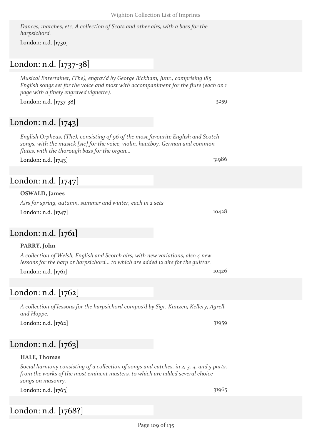*Dances, marches, etc. A collection of Scots and other airs, with a bass for the harpsichord.*

London: n.d. [1730]

## London: n.d. [1737-38]

*Musical Entertainer, (The), engrav'd by George Bickham, Junr., comprising 185 English songs set for the voice and most with accompaniment for the flute (each on 1 page with a finely engraved vignette).*

London: n.d. [1737-38] 3259

## London: n.d. [1743]

*English Orpheus, (The), consisting of 96 of the most favourite English and Scotch songs, with the musick [sic] for the voice, violin, hautboy, German and common flutes, with the thorough bass for the organ...*

London: n.d. [1743] 31986

## London: n.d. [1747]

#### **OSWALD, James**

*Airs for spring, autumn, summer and winter, each in 2 sets* London: n.d.  $[1747]$  10428

### London: n.d. [1761]

#### **PARRY, John**

*A collection of Welsh, English and Scotch airs, with new variations, also 4 new lessons for the harp or harpsichord... to which are added 12 airs for the guittar.*

London: n.d. [1761] 10426

## London: n.d. [1762]

*A collection of lessons for the harpsichord compos'd by Sigr. Kunzen, Kellery, Agrell, and Hoppe.*

London: n.d. [1762] 31959

## London: n.d. [1763]

#### **HALE, Thomas**

*Social harmony consisting of a collection of songs and catches, in 2, 3, 4, and 5 parts, from the works of the most eminent masters, to which are added several choice songs on masonry.*

London: n.d. [1763] 31965

London: n.d. [1768?]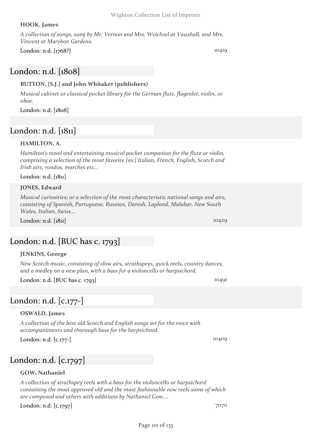#### **HOOK, James**

*A collection of songs, sung by Mr. Vernon and Mrs. Weichsel at Vauxhall, and Mrs. Vincent at Marybon Gardens.*

London: n.d. [1768?] 10419

### London: n.d. [1808]

#### **BUTTON, [S.J.] and John Whitaker (publishers)**

*Musical cabinet or classical pocket library for the German flute, flageolet, violin, or oboe.*

London: n.d. [1808]

### London: n.d. [1811]

#### **HAMILTON, A.**

*Hamilton's novel and entertaining musical pocket companion for the flute or violin, comprising a selection of the most favorite [sic] Italian, French, English, Scotch and Irish airs, rondos, marches etc...*

London: n.d. [1811]

#### **JONES, Edward**

*Musical curiosities; or a selection of the most characteristic national songs and airs, consisting of Spanish, Portuguese, Russian, Danish, Lapland, Malabar, New South Wales, Italian, Swiss...*

London: n.d. [1811] 10429

London: n.d. [BUC has c. 1793]

#### **JENKINS, George**

*New Scotch music, consisting of slow airs, strathspeys, quick reels, country dances, and a medley on a new plan, with a bass for a violoncello or harpsichord.*

London: n.d. [BUC has c. 1793] 10491

## London: n.d. [c.177-]

#### **OSWALD, James**

*A collection of the best old Scotch and English songs set for the voice with accompaniments and thorough bass for the harpsichord.*

London: n.d. [c.177-] 10409

## London: n.d. [c.1797]

#### **GOW, Nathaniel**

*A collection of strathspey reels with a bass for the violoncello or harpsichord containing the most approved old and the most fashionable new reels some of which are composed and others with additions by Nathaniel Gow....*

London: n.d. [c.1797] 7070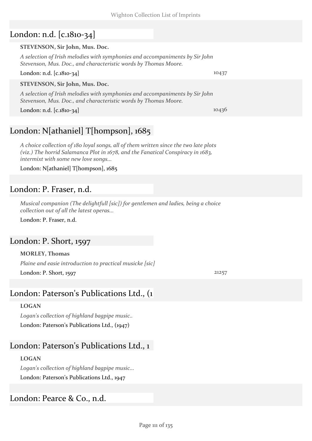## London: n.d. [c.1810-34]

#### **STEVENSON, Sir John, Mus. Doc.**

*A selection of Irish melodies with symphonies and accompaniments by Sir John Stevenson, Mus. Doc., and characteristic words by Thomas Moore.*

#### London: n.d. [c.1810-34] 10437

#### **STEVENSON, Sir John, Mus. Doc.**

*A selection of Irish melodies with symphonies and accompaniments by Sir John Stevenson, Mus. Doc., and characteristic words by Thomas Moore.*

London: n.d. [c.1810-34] 10436

## London: N[athaniel] T[hompson], 1685

*A choice collection of 180 loyal songs, all of them written since the two late plots (viz.) The horrid Salamanca Plot in 1678, and the Fanatical Conspiracy in 1683, intermixt with some new love songs...*

London: N[athaniel] T[hompson], 1685

### London: P. Fraser, n.d.

*Musical companion (The delightfull [sic]) for gentlemen and ladies, being a choice collection out of all the latest operas...*

London: P. Fraser, n.d.

### London: P. Short, 1597

#### **MORLEY, Thomas**

*Plaine and easie introduction to practical musicke [sic]* London: P. Short, 1597 21257

### London: Paterson's Publications Ltd., (1

#### **LOGAN**

*Logan's collection of highland bagpipe music..* London: Paterson's Publications Ltd., (1947)

### London: Paterson's Publications Ltd., 1

#### **LOGAN**

*Logan's collection of highland bagpipe music...* London: Paterson's Publications Ltd., 1947

### London: Pearce & Co., n.d.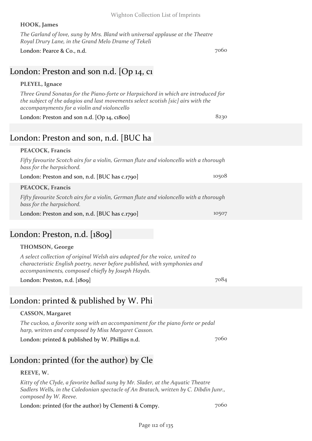#### **HOOK, James**

*The Garland of love, sung by Mrs. Bland with universal applause at the Theatre Royal Drury Lane, in the Grand Melo Drame of Tekeli*

London: Pearce & Co., n.d. 7060

## London: Preston and son n.d. [Op 14, c1

### **PLEYEL, Ignace**

*Three Grand Sonatas for the Piano-forte or Harpsichord in which are introduced for the subject of the adagios and last movements select scotish [sic] airs with the accompanyments for a violin and violoncello*

London: Preston and son n.d. [Op 14, c1800] 8230

## London: Preston and son, n.d. [BUC ha

### **PEACOCK, Francis**

*Fifty favourite Scotch airs for a violin, German flute and violoncello with a thorough bass for the harpsichord.*

London: Preston and son, n.d. [BUC has c.1790] 10508

### **PEACOCK, Francis**

*Fifty favourite Scotch airs for a violin, German flute and violoncello with a thorough bass for the harpsichord.*

London: Preston and son, n.d. [BUC has c.1790] 10507

## London: Preston, n.d. [1809]

### **THOMSON, George**

*A select collection of original Welsh airs adapted for the voice, united to characteristic English poetry, never before published, with symphonies and accompaniments, composed chiefly by Joseph Haydn.*

London: Preston, n.d. [1809] 7084

## London: printed & published by W. Phi

### **CASSON, Margaret**

*The cuckoo, a favorite song with an accompaniment for the piano forte or pedal harp, written and composed by Miss Margaret Casson.*

London: printed & published by W. Phillips n.d. 7060

## London: printed (for the author) by Cle

### **REEVE, W.**

*Kitty of the Clyde, a favorite ballad sung by Mr. Slader, at the Aquatic Theatre Sadlers Wells, in the Caledonian spectacle of An Bratach, written by C. Dibdin Junr., composed by W. Reeve.*

London: printed (for the author) by Clementi & Compy. 7060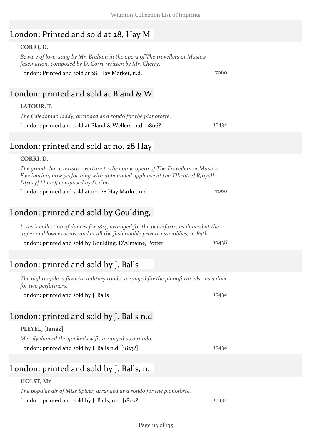| London: Printed and sold at 28, Hay M                                                                                                                                                                      |       |
|------------------------------------------------------------------------------------------------------------------------------------------------------------------------------------------------------------|-------|
| CORRI, D.                                                                                                                                                                                                  |       |
| Beware of love, sung by Mr. Braham in the opera of The travellers or Music's<br>fascination, composed by D. Corri, written by Mr. Cherry.                                                                  |       |
| London: Printed and sold at 28, Hay Market, n.d.                                                                                                                                                           | 7060  |
| London: printed and sold at Bland $\&w$                                                                                                                                                                    |       |
| LATOUR, T.                                                                                                                                                                                                 |       |
| The Caledonian laddy, arranged as a rondo for the pianoforte.                                                                                                                                              |       |
| London: printed and sold at Bland & Wellers, n.d. [1806?]                                                                                                                                                  | 10434 |
|                                                                                                                                                                                                            |       |
| London: printed and sold at no. 28 Hay                                                                                                                                                                     |       |
| CORRI, D.                                                                                                                                                                                                  |       |
| The grand characteristic overture to the comic opera of The Travellers or Music's<br>Fascination, now performing with unbounded applause at the T[heatre] R[oyal]<br>D[rury] L[ane], composed by D. Corri. |       |
| London: printed and sold at no. 28 Hay Market n.d.                                                                                                                                                         | 7060  |
| London: printed and sold by Goulding,                                                                                                                                                                      |       |
| Loder's collection of dances for 1814, arranged for the pianoforte, as danced at the<br>upper and lower rooms, and at all the fashionable private assemblies, in Bath                                      |       |
| London: printed and sold by Goulding, D'Almaine, Potter                                                                                                                                                    | 10438 |
| London: printed and sold by J. Balls                                                                                                                                                                       |       |
| The nightingale, a favorite military rondo, arranged for the pianoforte, also as a duet<br>for two performers.                                                                                             |       |
| London: printed and sold by J. Balls                                                                                                                                                                       | 10434 |
| London: printed and sold by J. Balls n.d                                                                                                                                                                   |       |
| PLEYEL, [Ignaz]                                                                                                                                                                                            |       |
| Merrily danced the quaker's wife, arranged as a rondo.<br>London: printed and sold by J. Balls n.d. [1823?]                                                                                                | 10434 |
|                                                                                                                                                                                                            |       |
| London: printed and sold by J. Balls, n.                                                                                                                                                                   |       |
| HOLST, Mr                                                                                                                                                                                                  |       |
| The popular air of Miss Spicer, arranged as a rondo for the pianoforte.                                                                                                                                    |       |

London: printed and sold by J. Balls, n.d.  $[1807?]$  10434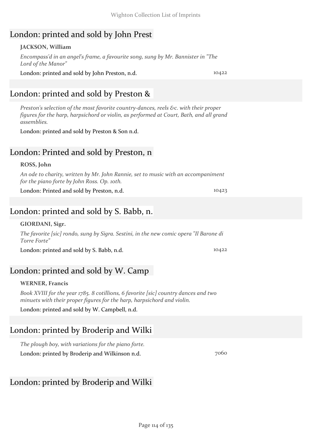## London: printed and sold by John Prest

#### **JACKSON, William**

*Encompass'd in an angel's frame, a favourite song, sung by Mr. Bannister in "The Lord of the Manor"*

London: printed and sold by John Preston, n.d. 10422

## London: printed and sold by Preston &

*Preston's selection of the most favorite country-dances, reels &c. with their proper figures for the harp, harpsichord or violin, as performed at Court, Bath, and all grand assemblies.*

London: printed and sold by Preston & Son n.d.

## London: Printed and sold by Preston, n

#### **ROSS, John**

*An ode to charity, written by Mr. John Rannie, set to music with an accompaniment for the piano forte by John Ross. Op. 10th.*

London: Printed and sold by Preston, n.d. 10423

## London: printed and sold by S. Babb, n.

#### **GIORDANI, Sigr.**

*The favorite [sic] rondo, sung by Sigra. Sestini, in the new comic opera "Il Barone di Torre Forte"*

London: printed and sold by S. Babb, n.d. 10422

## London: printed and sold by W. Camp

#### **WERNER, Francis**

*Book XVIII for the year 1785. 8 cotillions, 6 favorite [sic] country dances and two minuets with their proper figures for the harp, harpsichord and violin.*

London: printed and sold by W. Campbell, n.d.

## London: printed by Broderip and Wilki

*The plough boy, with variations for the piano forte.* London: printed by Broderip and Wilkinson n.d. 7060

## London: printed by Broderip and Wilki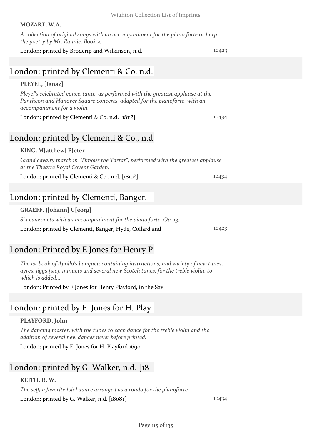#### **MOZART, W.A.**

| A collection of original songs with an accompaniment for the piano forte or harp |  |
|----------------------------------------------------------------------------------|--|
| the poetry by Mr. Rannie. Book 2.                                                |  |

London: printed by Broderip and Wilkinson, n.d. 10423

## London: printed by Clementi & Co. n.d.

#### **PLEYEL, [Ignaz]**

*Pleyel's celebrated concertante, as performed with the greatest applause at the Pantheon and Hanover Square concerts, adapted for the pianoforte, with an accompaniment for a violin.*

London: printed by Clementi & Co. n.d. [1811?] 10434

## London: printed by Clementi & Co., n.d

#### **KING, M[atthew] P[eter]**

*Grand cavalry march in "Timour the Tartar", performed with the greatest applause at the Theatre Royal Covent Garden.*

London: printed by Clementi & Co., n.d. [1810?] 10434

## London: printed by Clementi, Banger,

| GRAEFF, J[ohann] G[eorg]                                         |       |
|------------------------------------------------------------------|-------|
| Six canzonets with an accompaniment for the piano forte, Op. 13. |       |
| London: printed by Clementi, Banger, Hyde, Collard and           | 10423 |

## London: Printed by E Jones for Henry P

*The 1st book of Apollo's banquet: containing instructions, and variety of new tunes, ayres, jiggs [sic], minuets and several new Scotch tunes, for the treble violin, to which is added...*

London: Printed by E Jones for Henry Playford, in the Sav

## London: printed by E. Jones for H. Play

#### **PLAYFORD, John**

*The dancing master, with the tunes to each dance for the treble violin and the addition of several new dances never before printed.*

London: printed by E. Jones for H. Playford 1690

### London: printed by G. Walker, n.d. [18]

#### **KEITH, R. W.**

*The self, a favorite [sic] dance arranged as a rondo for the pianoforte.* London: printed by G. Walker, n.d. [1808?] 10434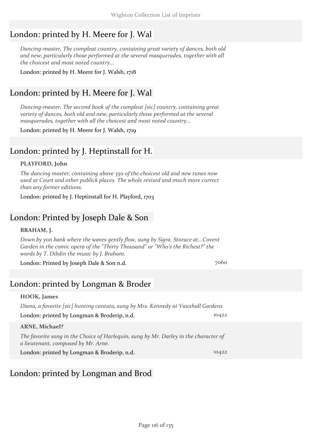## London: printed by H. Meere for J. Wal

*Dancing-master, The compleat country, containing great variety of dances, both old and new; particularly those performed at the several masquerades, together with all the choicest and most noted country...*

London: printed by H. Meere for J. Walsh, 1718

## London: printed by H. Meere for J. Wal

*Dancing-master, The second book of the compleat [sic] country, containing great variety of dances, both old and new; particularly those performed at the several masquerades, together with all the choicest and most noted country...*

London: printed by H. Meere for J. Walsh, 1719

### London: printed by J. Heptinstall for H.

#### **PLAYFORD, John**

*The dancing master, containing above 350 of the choicest old and new tunes now used at Court and other publick places. The whole revised and much more correct than any former editions.*

London: printed by J. Heptinstall for H. Playford, 1703

### London: Printed by Joseph Dale & Son

#### **BRAHAM, J.**

*Down by yon bank where the waves gently flow, sung by Sigra. Storace at...Covent Garden in the comic opera of the "Thirty Thousand" or "Who's the Richest?" the words by T. Dibdin the music by J. Braham.*

London: Printed by Joseph Dale & Son n.d. 7060

### London: printed by Longman & Broder

#### **HOOK, James**

*Diana, a favorite [sic] hunting cantata, sung by Mrs. Kennedy at Vauxhall Gardens* London: printed by Longman & Broderip, n.d. 10422

#### **ARNE, Michael?**

*The favorite song in the Choice of Harlequin, sung by Mr. Darley in the character of a lieutenant, composed by Mr. Arne.*

London: printed by Longman & Broderip, n.d. 10422

### London: printed by Longman and Brod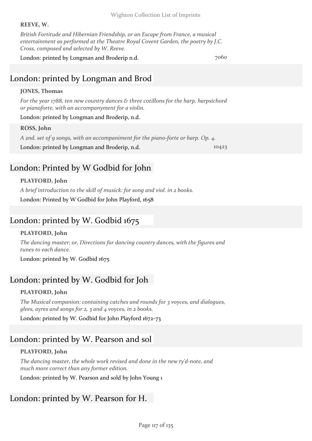#### **REEVE, W.**

*British Fortitude and Hibernian Friendship, or an Escape from France, a musical entertainment as performed at the Theatre Royal Covent Garden, the poetry by J.C. Cross, composed and selected by W. Reeve.*

London: printed by Longman and Broderip n.d. 7060

## London: printed by Longman and Brod

#### **JONES, Thomas**

*For the year 1788, ten new country dances & three cotillons for the harp, harpsichord or pianoforte, with an accompanyment for a violin.*

London: printed by Longman and Broderip, n.d.

#### **ROSS, John**

*A 2nd. set of 9 songs, with an accompaniment for the piano-forte or harp. Op. 4.* London: printed by Longman and Broderip, n.d. 10423

## London: Printed by W Godbid for John

#### **PLAYFORD, John**

*A brief introduction to the skill of musick: for song and viol. in 2 books.* London: Printed by W Godbid for John Playford, 1658

## London: printed by W. Godbid 1675

#### **PLAYFORD, John**

*The dancing master; or, Directions for dancing country dances, with the figures and tunes to each dance.*

London: printed by W. Godbid 1675

## London: printed by W. Godbid for Joh

#### **PLAYFORD, John**

*The Musical companion: containing catches and rounds for 3 voyces, and dialogues, glees, ayres and songs for 2, 3 and 4 voyces, in 2 books.*

London: printed by W. Godbid for John Playford 1672-73

## London: printed by W. Pearson and sol

### **PLAYFORD, John**

*The dancing master, the whole work revised and done in the new ty'd-note, and much more correct than any former edition.*

London: printed by W. Pearson and sold by John Young 1

## London: printed by W. Pearson for H.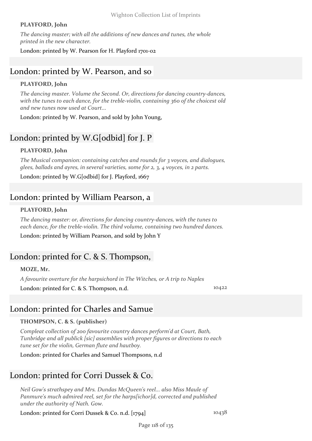#### **PLAYFORD, John**

*The dancing master; with all the additions of new dances and tunes, the whole printed in the new character.*

London: printed by W. Pearson for H. Playford 1701-02

## London: printed by W. Pearson, and so

#### **PLAYFORD, John**

*The dancing master. Volume the Second. Or, directions for dancing country-dances, with the tunes to each dance, for the treble-violin, containing 360 of the choicest old and new tunes now used at Court...*

London: printed by W. Pearson, and sold by John Young,

## London: printed by W.G[odbid] for J. P

#### **PLAYFORD, John**

*The Musical companion: containing catches and rounds for 3 voyces, and dialogues, glees, ballads and ayres, in several varieties, some for 2, 3, 4 voyces, in 2 parts.*

London: printed by W.G[odbid] for J. Playford, 1667

### London: printed by William Pearson, a

#### **PLAYFORD, John**

*The dancing master: or, directions for dancing country-dances, with the tunes to each dance, for the treble-violin. The third volume, containing two hundred dances.*

London: printed by William Pearson, and sold by John Y

### London: printed for C. & S. Thompson,

#### **MOZE, Mr.**

*A favourite overture for the harpsichord in The Witches, or A trip to Naples* London: printed for C. & S. Thompson, n.d. 10422

### London: printed for Charles and Samue

#### **THOMPSON, C. & S. (publisher)**

*Compleat collection of 200 favourite country dances perform'd at Court, Bath, Tunbridge and all publick [sic] assemblies with proper figures or directions to each tune set for the violin, German flute and hautboy.*

London: printed for Charles and Samuel Thompsons, n.d

### London: printed for Corri Dussek & Co.

*Neil Gow's strathspey and Mrs. Dundas McQueen's reel... also Miss Maule of Panmure's much admired reel, set for the harps[ichor]d, corrected and published under the authority of Nath. Gow.*

London: printed for Corri Dussek & Co. n.d. [1794] 10438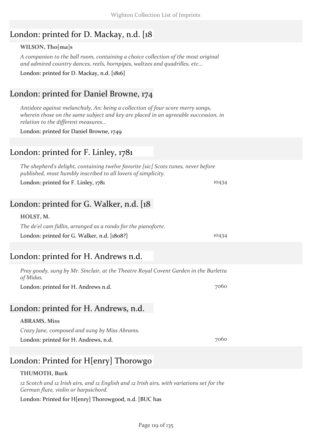## London: printed for D. Mackay, n.d. [18

#### **WILSON, Tho[ma]s**

*A companion to the ball room, containing a choice collection of the most original and admired country dances, reels, hornpipes, waltzes and quadrilles, etc...*

London: printed for D. Mackay, n.d. [1816]

### London: printed for Daniel Browne, 174

*Antidote against melancholy, An: being a collection of four score merry songs, wherein those on the same subject and key are placed in an agreeable succession, in relation to the different measures...*

London: printed for Daniel Browne, 1749

## London: printed for F. Linley, 1781

*The shepherd's delight, containing twelve favorite [sic] Scots tunes, never before published, most humbly inscribed to all lovers of simplicity.*

London: printed for F. Linley,  $1781$  10434

## London: printed for G. Walker, n.d. [18

#### **HOLST, M.**

*The de'el cam fidlin, arranged as a rondo for the pianoforte.* London: printed for G. Walker, n.d. [1808?] 10434

### London: printed for H. Andrews n.d.

*Pray goody, sung by Mr. Sinclair, at the Theatre Royal Covent Garden in the Burletta of Midas.*

London: printed for H. Andrews n.d. 7060

### London: printed for H. Andrews, n.d.

#### **ABRAMS, Miss**

*Crazy Jane, composed and sung by Miss Abrams.* London: printed for H. Andrews, n.d. 7060

## London: Printed for H[enry] Thorowgo

#### **THUMOTH, Burk**

*12 Scotch and 12 Irish airs, and 12 English and 12 Irish airs, with variations set for the German flute, violin or harpsichord.*

London: Printed for H[enry] Thorowgood, n.d. [BUC has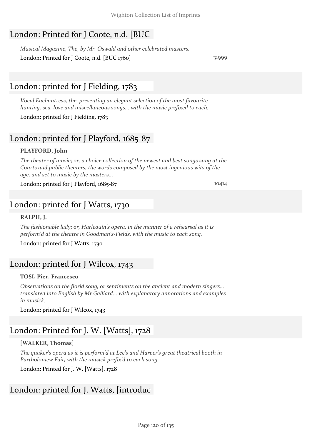## London: Printed for J Coote, n.d. [BUC

*Musical Magazine, The, by Mr. Oswald and other celebrated masters.* London: Printed for J Coote, n.d. [BUC 1760] 31999

## London: printed for J Fielding, 1783

*Vocal Enchantress, the, presenting an elegant selection of the most favourite hunting, sea, love and miscellaneous songs... with the music prefixed to each.*

London: printed for J Fielding, 1783

## London: printed for J Playford, 1685-87

#### **PLAYFORD, John**

*The theater of music; or, a choice collection of the newest and best songs sung at the Courts and public theaters, the words composed by the most ingenious wits of the age, and set to music by the masters...*

London: printed for J Playford, 1685-87 10414

### London: printed for J Watts, 1730

#### **RALPH, J.**

*The fashionable lady; or, Harlequin's opera, in the manner of a rehearsal as it is perform'd at the theatre in Goodman's-Fields, with the music to each song.*

London: printed for J Watts, 1730

### London: printed for J Wilcox, 1743

#### **TOSI, Pier. Francesco**

*Observations on the florid song, or sentiments on the ancient and modern singers... translated into English by Mr Galliard... with explanatory annotations and examples in musick.*

London: printed for J Wilcox, 1743

## London: Printed for J. W. [Watts], 1728

### **[WALKER, Thomas]**

*The quaker's opera as it is perform'd at Lee's and Harper's great theatrical booth in Bartholomew Fair, with the musick prefix'd to each song.*

London: Printed for J. W. [Watts], 1728

## London: printed for J. Watts, [introduc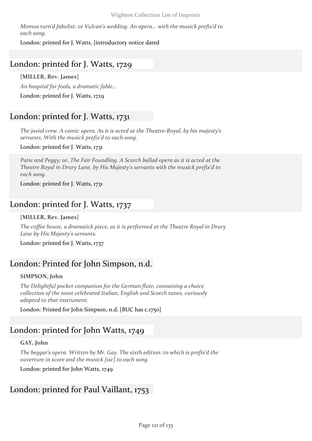#### Wighton Collection List of Imprints

*Momus turn'd fabulist: or Vulcan's wedding. An opera... with the musick prefix'd to each song.*

London: printed for J. Watts, [introductory notice dated

## London: printed for J. Watts, 1729

**[MILLER, Rev. James]** *An hospital for fools, a dramatic fable...* London: printed for J. Watts, 1729

### London: printed for J. Watts, 1731

*The jovial crew. A comic opera. As it is acted at the Theatre-Royal, by his majesty's servants. With the musick prefix'd to each song.*

London: printed for J. Watts, 1731

*Patie and Peggy; or, The Fair Foundling. A Scotch ballad opera as it is acted at the Theatre Royal in Drury Lane, by His Majesty's servants with the musick prefix'd to each song.*

London: printed for J. Watts, 1731

### London: printed for J. Watts, 1737

#### **[MILLER, Rev. James]**

*The coffee house, a dramatick piece, as it is performed at the Theatre Royal in Drury Lane by His Majesty's servants.*

London: printed for J. Watts, 1737

### London: Printed for John Simpson, n.d.

#### **SIMPSON, John**

*The Delightful pocket companion for the German flute, containing a choice collection of the most celebrated Italian, English and Scotch tunes, curiously adapted to that instrument.*

London: Printed for John Simpson, n.d. [BUC has c.1750]

### London: printed for John Watts, 1749

#### **GAY, John**

*The beggar's opera. Written by Mr. Gay. The sixth edition: to which is prefix'd the ouverture in score and the musick [sic] to each song.*

London: printed for John Watts, 1749

### London: printed for Paul Vaillant, 1753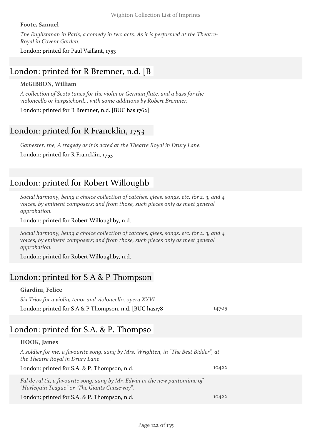#### **Foote, Samuel**

*The Englishman in Paris, a comedy in two acts. As it is performed at the Theatre-Royal in Covent Garden.*

London: printed for Paul Vaillant, 1753

### London: printed for R Bremner, n.d. [B

#### **McGIBBON, William**

*A collection of Scots tunes for the violin or German flute, and a bass for the violoncello or harpsichord... with some additions by Robert Bremner.*

London: printed for R Bremner, n.d. [BUC has 1762]

### London: printed for R Francklin, 1753

*Gamester, the, A tragedy as it is acted at the Theatre Royal in Drury Lane.* London: printed for R Francklin, 1753

## London: printed for Robert Willoughb

*Social harmony, being a choice collection of catches, glees, songs, etc. for 2, 3, and 4 voices, by eminent composers; and from those, such pieces only as meet general approbation.*

#### London: printed for Robert Willoughby, n.d.

*Social harmony, being a choice collection of catches, glees, songs, etc. for 2, 3, and 4 voices, by eminent composers; and from those, such pieces only as meet general approbation.*

London: printed for Robert Willoughby, n.d.

### London: printed for S A & P Thompson

#### **Giardini, Felice**

*Six Trios for a violin, tenor and violoncello, opera XXVI* London: printed for S A & P Thompson, n.d. [BUC has178 14705

### London: printed for S.A. & P. Thompso

#### **HOOK, James**

*A soldier for me, a favourite song, sung by Mrs. Wrighten, in "The Best Bidder", at the Theatre Royal in Drury Lane*

London: printed for S.A. & P. Thompson, n.d. 10422

*Fal de ral tit, a favourite song, sung by Mr. Edwin in the new pantomime of "Harlequin Teague" or "The Giants Causeway".*

London: printed for S.A. & P. Thompson, n.d. 10422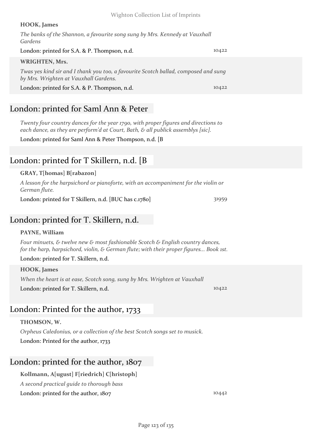#### **HOOK, James**

| The banks of the Shannon, a favourite song sung by Mrs. Kennedy at Vauxhall<br>Gardens                                       |       |
|------------------------------------------------------------------------------------------------------------------------------|-------|
| London: printed for S.A. & P. Thompson, n.d.                                                                                 | 10422 |
| <b>WRIGHTEN, Mrs.</b>                                                                                                        |       |
| Twas yes kind sir and I thank you too, a favourite Scotch ballad, composed and sung<br>by Mrs. Wrighten at Vauxhall Gardens. |       |
| London: printed for S.A. & P. Thompson, n.d.                                                                                 | 10422 |
|                                                                                                                              |       |

### London: printed for Saml Ann & Peter

*Twenty four country dances for the year 1790, with proper figures and directions to each dance, as they are perform'd at Court, Bath, & all publick assemblys [sic].*

London: printed for Saml Ann & Peter Thompson, n.d. [B

## London: printed for T Skillern, n.d. [B

#### **GRAY, T[homas] B[rabazon]**

*A lesson for the harpsichord or pianoforte, with an accompaniment for the violin or German flute.*

London: printed for T Skillern, n.d. [BUC has c.1780] 31959

London: printed for T. Skillern, n.d.

#### **PAYNE, William**

*Four minuets, & twelve new & most fashionable Scotch & English country dances, for the harp, harpsichord, violin, & German flute; with their proper figures... Book 1st.*

London: printed for T. Skillern, n.d.

#### **HOOK, James**

*When the heart is at ease, Scotch song, sung by Mrs. Wrighten at Vauxhall* London: printed for T. Skillern, n.d. 10422

### London: Printed for the author, 1733

#### **THOMSON, W.**

*Orpheus Caledonius, or a collection of the best Scotch songs set to musick.* London: Printed for the author, 1733

### London: printed for the author, 1807

#### **Kollmann, A[ugust] F[riedrich] C[hristoph]**

*A second practical guide to thorough bass*

London: printed for the author, 1807 10442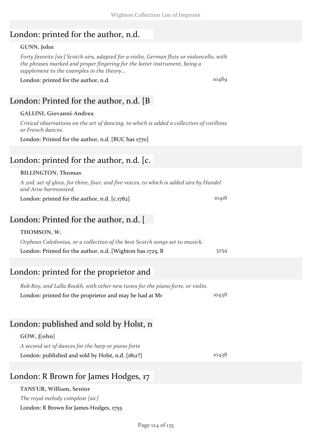### London: printed for the author, n.d.

#### **GUNN, John**

*Forty favorite [sic] Scotch airs, adapted for a violin, German flute or violoncello, with the phrases marked and proper fingering for the latter instrument, being a supplement to the examples in the theory...*

London: printed for the author, n.d. 10489

## London: Printed for the author, n.d. [B

#### **GALLINI, Giovanni-Andrea**

*Critical observations on the art of dancing, to which is added a collection of cotillons or French dances.*

London: Printed for the author, n.d. [BUC has 1770]

## London: printed for the author, n.d. [c.

#### **BILLINGTON, Thomas**

*A 2nd. set of glees, for three, four, and five voices, to which is added airs by Handel and Arne harmonized.*

London: printed for the author, n.d. [c.1782] 10418

### London: Printed for the author, n.d. [

#### **THOMSON, W.**

| Orpheus Caledonius, or a collection of the best Scotch songs set to musick. |      |
|-----------------------------------------------------------------------------|------|
| London: Printed for the author, n.d. [Wighton has 1725, B                   | 3254 |

### London: printed for the proprietor and

*Rob Roy, and Lalla Rookh, with other new tunes for the piano forte, or violin.* London: printed for the proprietor and may be had at Mr  $10438$ 

### London: published and sold by Holst, n

### **GOW, J[ohn]** *A second set of dances for the harp or piano forte* London: published and sold by Holst, n.d.  $[1812]$  10438

### London: R Brown for James Hodges, 17

### **TANS'UR, William, Senior** *The royal melody compleat [sic]* London: R Brown for James Hodges, 1755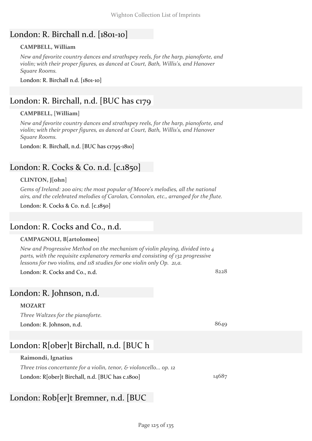## London: R. Birchall n.d. [1801-10]

#### **CAMPBELL, William**

*New and favorite country dances and strathspey reels, for the harp, pianoforte, and violin; with their proper figures, as danced at Court, Bath, Willis's, and Hanover Square Rooms.*

London: R. Birchall n.d. [1801-10]

## London: R. Birchall, n.d. [BUC has c179]

#### **CAMPBELL, [William]**

*New and favorite country dances and strathspey reels, for the harp, pianoforte, and violin; with their proper figures, as danced at Court, Bath, Willis's, and Hanover Square Rooms.*

London: R. Birchall, n.d. [BUC has c1795-1810]

## London: R. Cocks & Co. n.d. [c.1850]

#### **CLINTON, J[ohn]**

*Gems of Ireland: 200 airs; the most popular of Moore's melodies, all the national airs, and the celebrated melodies of Carolan, Connolan, etc., arranged for the flute.*

London: R. Cocks & Co. n.d. [c.1850]

### London: R. Cocks and Co., n.d.

#### **CAMPAGNOLI, B[artolomeo]**

*New and Progressive Method on the mechanism of violin playing, divided into 4 parts, with the requisite explanatory remarks and consisting of 132 progressive lessons for two violins, and 118 studies for one violin only Op. 21,a.*

London: R. Cocks and Co., n.d. 8228

### London: R. Johnson, n.d.

#### **MOZART**

*Three Waltzes for the pianoforte.* London: R. Johnson, n.d. 8649

## London: R[ober]t Birchall, n.d. [BUC h

#### **Raimondi, Ignatius**

*Three trios concertante for a violin, tenor, & violoncello... op. 12* London: R[ober]t Birchall, n.d. [BUC has c.1800] 14687

## London: Rob[er]t Bremner, n.d. [BUC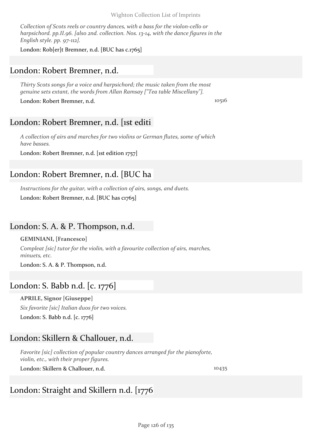*Collection of Scots reels or country dances, with a bass for the violon-cello or harpsichord. pp.II.96. [also 2nd. collection. Nos. 13-14, with the dance figures in the English style. pp. 97-112].*

London: Rob[er]t Bremner, n.d. [BUC has c.1765]

### London: Robert Bremner, n.d.

*Thirty Scots songs for a voice and harpsichord; the music taken from the most genuine sets extant, the words from Allan Ramsay ["Tea table Miscellany"].*

London: Robert Bremner, n.d. 10516

### London: Robert Bremner, n.d. [1st editi

*A collection of airs and marches for two violins or German flutes, some of which have basses.*

London: Robert Bremner, n.d. [1st edition 1757]

## London: Robert Bremner, n.d. [BUC ha

*Instructions for the guitar, with a collection of airs, songs, and duets.* London: Robert Bremner, n.d. [BUC has c1765]

### London: S. A. & P. Thompson, n.d.

#### **GEMINIANI, [Francesco]**

*Compleat [sic] tutor for the violin, with a favourite collection of airs, marches, minuets, etc.*

London: S. A. & P. Thompson, n.d.

### London: S. Babb n.d. [c. 1776]

**APRILE, Signor [Giuseppe]** *Six favorite [sic] Italian duos for two voices.* London: S. Babb n.d. [c. 1776]

### London: Skillern & Challouer, n.d.

*Favorite [sic] collection of popular country dances arranged for the pianoforte, violin, etc., with their proper figures.*

London: Skillern & Challouer, n.d. 10435

## London: Straight and Skillern n.d. [1776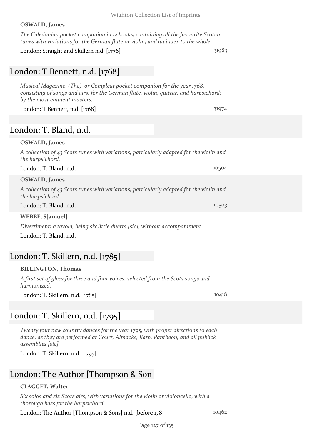#### Wighton Collection List of Imprints

#### **OSWALD, James**

*The Caledonian pocket companion in 12 books, containing all the favourite Scotch tunes with variations for the German flute or violin, and an index to the whole.*

#### London: Straight and Skillern n.d. [1776] 31983

## London: T Bennett, n.d. [1768]

*Musical Magazine, (The), or Compleat pocket companion for the year 1768, consisting of songs and airs, for the German flute, violin, guittar, and harpsichord; by the most eminent masters.*

London: T Bennett, n.d. [1768] 31974

### London: T. Bland, n.d.

#### **OSWALD, James**

*A collection of 43 Scots tunes with variations, particularly adapted for the violin and the harpsichord.*

London: T. Bland, n.d. 10504

**OSWALD, James**

*A collection of 43 Scots tunes with variations, particularly adapted for the violin and the harpsichord.*

London: T. Bland, n.d. 10503

**WEBBE, S[amuel]**

*Divertimenti a tavola, being six little duetts [sic], without accompaniment.*

London: T. Bland, n.d.

## London: T. Skillern, n.d. [1785]

#### **BILLINGTON, Thomas**

*A first set of glees for three and four voices, selected from the Scots songs and harmonized.*

London: T. Skillern, n.d. [1785] 10418

## London: T. Skillern, n.d. [1795]

*Twenty four new country dances for the year 1795, with proper directions to each dance, as they are performed at Court, Almacks, Bath, Pantheon, and all publick assemblies [sic].*

London: T. Skillern, n.d. [1795]

## London: The Author [Thompson & Son

#### **CLAGGET, Walter**

*Six solos and six Scots airs; with variations for the violin or violoncello, with a thorough bass for the harpsichord.*

London: The Author [Thompson & Sons] n.d. [before 178 10462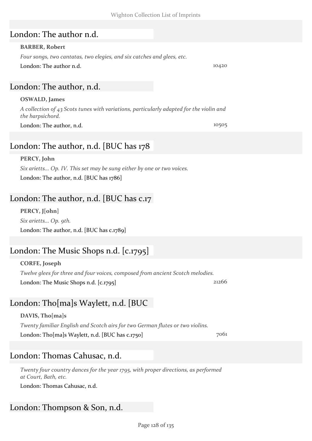### London: The author n.d.

#### **BARBER, Robert**

*Four songs, two cantatas, two elegies, and six catches and glees, etc.* London: The author n.d. 10420

### London: The author, n.d.

#### **OSWALD, James**

*A collection of 43 Scots tunes with variations, particularly adapted for the violin and the harpsichord.*

London: The author, n.d. 10505

## London: The author, n.d. [BUC has 178]

#### **PERCY, John**

*Six arietts... Op. IV. This set may be sung either by one or two voices.* London: The author, n.d. [BUC has 1786]

## London: The author, n.d. [BUC has c.17

**PERCY, J[ohn]** *Six arietts... Op. 9th.* London: The author, n.d. [BUC has c.1789]

## London: The Music Shops n.d. [c.1795]

#### **CORFE, Joseph**

*Twelve glees for three and four voices, composed from ancient Scotch melodies.* London: The Music Shops n.d. [c.1795] 21266

## London: Tho[ma]s Waylett, n.d. [BUC

#### **DAVIS, Tho[ma]s**

*Twenty familiar English and Scotch airs for two German flutes or two violins.* London: Tho[ma]s Waylett, n.d. [BUC has c.1750] 7061

## London: Thomas Cahusac, n.d.

*Twenty four country dances for the year 1795, with proper directions, as performed at Court, Bath, etc.*

London: Thomas Cahusac, n.d.

## London: Thompson & Son, n.d.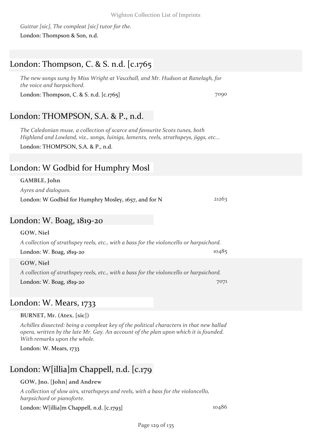*Guittar [sic], The compleat [sic] tutor for the.* London: Thompson & Son, n.d.

## London: Thompson, C. & S. n.d. [c.1765

*The new songs sung by Miss Wright at Vauxhall, and Mr. Hudson at Ranelagh, for the voice and harpsichord.*

London: Thompson, C. & S. n.d. [c.1765] 7090

## London: THOMPSON, S.A. & P., n.d.

*The Caledonian muse, a collection of scarce and favourite Scots tunes, both Highland and Lowland, viz., songs, luinigs, laments, reels, strathspeys, jiggs, etc...*

London: THOMPSON, S.A. & P., n.d.

## London: W Godbid for Humphry Mosl

#### **GAMBLE, John**

*Ayres and dialogues.*

London: W Godbid for Humphry Mosley, 1657, and for N 21263

### London: W. Boag, 1819-20

| GOW, Niel                                                                               |       |  |
|-----------------------------------------------------------------------------------------|-------|--|
| A collection of strathspey reels, etc., with a bass for the violoncello or harpsichord. |       |  |
| London: W. Boag, 1819-20                                                                | 10485 |  |
| GOW, Niel                                                                               |       |  |
| A collection of strathspey reels, etc., with a bass for the violoncello or harpsichord. |       |  |
| London: W. Boag, 1819-20                                                                | 7071  |  |
|                                                                                         |       |  |

### London: W. Mears, 1733

**BURNET, Mr. (Atex. [sic])**

*Achilles dissected: being a compleat key of the political characters in that new ballad opera, written by the late Mr. Gay. An account of the plan upon which it is founded. With remarks upon the whole.*

London: W. Mears, 1733

## London: W[illia]m Chappell, n.d. [c.179

#### **GOW, Jno. [John] and Andrew**

*A collection of slow airs, strathspeys and reels, with a bass for the violoncello, harpsichord or pianoforte.*

London: W[illia]m Chappell, n.d. [c.1793] 10486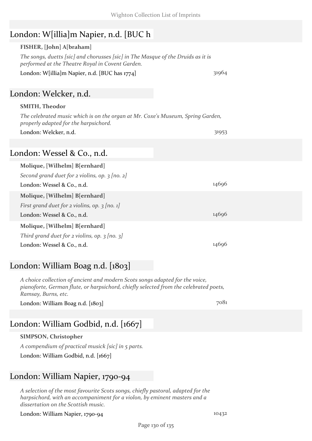| London: W[illia]m Napier, n.d. [BUC h]                                                                                               |       |
|--------------------------------------------------------------------------------------------------------------------------------------|-------|
| FISHER, [John] A[braham]                                                                                                             |       |
| The songs, duetts [sic] and chorusses [sic] in The Masque of the Druids as it is<br>performed at the Theatre Royal in Covent Garden. |       |
| London: W[illia]m Napier, n.d. [BUC has 1774]                                                                                        | 31964 |
|                                                                                                                                      |       |

### London: Welcker, n.d.

#### **SMITH, Theodor**

*The celebrated music which is on the organ at Mr. Coxe's Museum, Spring Garden, properly adapted for the harpsichord.*

London: Welcker, n.d. 31953

### London: Wessel & Co., n.d.

# **Molique, [Wilhelm] B[ernhard]**

*Second grand duet for 2 violins, op. 3 [no. 2]* London: Wessel & Co., n.d. 14696

**Molique, [Wilhelm] B[ernhard]**

*First grand duet for 2 violins, op. 3 [no. 1]*

London: Wessel & Co., n.d. 14696

**Molique, [Wilhelm] B[ernhard]**

*Third grand duet for 2 violins, op. 3 [no. 3]* London: Wessel & Co., n.d. 14696

## London: William Boag n.d. [1803]

*A choice collection of ancient and modern Scots songs adapted for the voice, pianoforte, German flute, or harpsichord, chiefly selected from the celebrated poets, Ramsay, Burns, etc.*

London: William Boag n.d. [1803] 7081

## London: William Godbid, n.d. [1667]

#### **SIMPSON, Christopher**

*A compendium of practical musick [sic] in 5 parts.* London: William Godbid, n.d. [1667]

### London: William Napier, 1790-94

*A selection of the most favourite Scots songs, chiefly pastoral, adapted for the harpsichord, with an accompaniment for a violon, by eminent masters and a dissertation on the Scottish music.*

London: William Napier, 1790-94 10432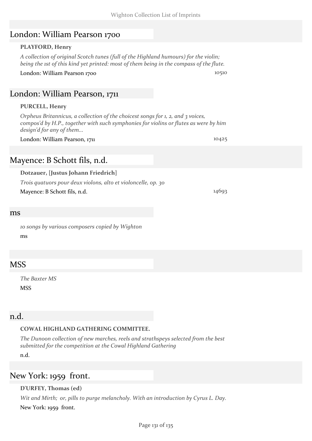## London: William Pearson 1700

#### **PLAYFORD, Henry**

*A collection of original Scotch tunes (full of the Highland humours) for the violin; being the 1st of this kind yet printed: most of them being in the compass of the flute.*

London: William Pearson 1700 10510 10510

### London: William Pearson, 1711

#### **PURCELL, Henry**

*Orpheus Britannicus, a collection of the choicest songs for 1, 2, and 3 voices, compos'd by H.P., together with such symphonies for violins or flutes as were by him design'd for any of them...*

London: William Pearson, 1711 10425

### Mayence: B Schott fils, n.d.

#### **Dotzauer, [Justus Johann Friedrich]**

*Trois quatuors pour deux violons, alto et violoncelle, op. 30* Mayence: B Schott fils, n.d. 14693

#### ms

*10 songs by various composers copied by Wighton* ms

### **MSS**

*The Baxter MS* MSS

### n.d.

#### **COWAL HIGHLAND GATHERING COMMITTEE.**

*The Dunoon collection of new marches, reels and strathspeys selected from the best submitted for the competition at the Cowal Highland Gathering*

n.d.

### New York: 1959 front.

**D'URFEY, Thomas (ed)**

*Wit and Mirth; or, pills to purge melancholy. With an introduction by Cyrus L. Day.* New York: 1959 front.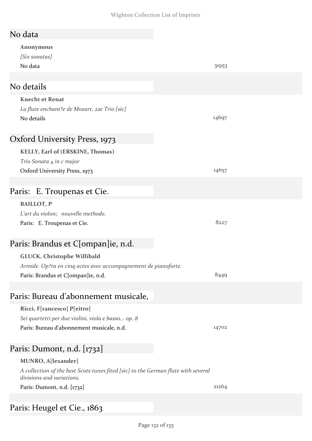| No data |  |
|---------|--|
|---------|--|

**Anonymous**

*[Six sonatas]*

No data 31953

## No details

#### **Knecht et Renat**

*La flute enchant?e de Mozart, 22e Trio [sic]* No details and the set of the set of the set of the set of the set of the set of the set of the set of the set of the set of the set of the set of the set of the set of the set of the set of the set of the set of the set o

## Oxford University Press, 1973

**KELLY, Earl of (ERSKINE, Thomas)** *Trio Sonata 4 in c major* Oxford University Press, 1973 14657

### Paris: E. Troupenas et Cie.

**BAILLOT, P**

*L'art du violon; nouvelle methode.* Paris: E. Troupenas et Cie. 8227

## Paris: Brandus et C[ompan]ie, n.d.

### **GLUCK, Christophe Willibald**

| Armide. Op?ra en cinq actes avec accompagnement de pianoforte. |      |
|----------------------------------------------------------------|------|
| Paris: Brandus et C[ompan]ie, n.d.                             | 8449 |

### Paris: Bureau d'abonnement musicale,

**Ricci, F[rancesco] P[eitro]** *Sei quartetti per due violini, viola e basso... op. 8* Paris: Bureau d'abonnement musicale, n.d. 14702

## Paris: Dumont, n.d. [1732]

#### **MUNRO, A[lexander]**

*A collection of the best Scots tunes fited [sic] to the German flute with several divisions and variations.*

Paris: Dumont, n.d. [1732] 21264

## Paris: Heugel et Cie., 1863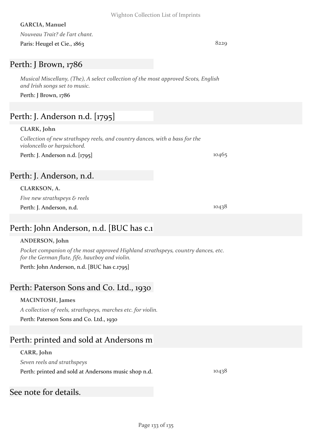Page 133 of 135

#### **GARCIA, Manuel**

*Nouveau Trait? de l'art chant.*

Paris: Heugel et Cie., 1863 8229

### Perth: J Brown, 1786

*Musical Miscellany, (The), A select collection of the most approved Scots, English and Irish songs set to music.*

Perth: J Brown, 1786

## Perth: J. Anderson n.d. [1795]

### **CLARK, John**

*Collection of new strathspey reels, and country dances, with a bass for the violoncello or harpsichord.*

Perth: J. Anderson n.d. [1795] 10465

## Perth: J. Anderson, n.d.

**CLARKSON, A.**

*Five new strathspeys & reels* Perth: J. Anderson, n.d. 10438

## Perth: John Anderson, n.d. [BUC has c.1

### **ANDERSON, John**

*Pocket companion of the most approved Highland strathspeys, country dances, etc. for the German flute, fife, hautboy and violin.*

Perth: John Anderson, n.d. [BUC has c.1795]

## Perth: Paterson Sons and Co. Ltd., 1930

### **MACINTOSH, James**

*A collection of reels, strathspeys, marches etc. for violin.*

Perth: Paterson Sons and Co. Ltd., 1930

# Perth: printed and sold at Andersons m

### **CARR, John**

*Seven reels and strathspeys* Perth: printed and sold at Andersons music shop n.d. 10438

## See note for details.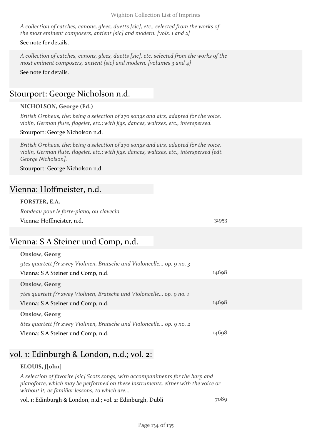*A collection of catches, canons, glees, duetts [sic], etc., selected from the works of the most eminent composers, antient [sic] and modern. [vols. 1 and 2]*

#### See note for details.

*A collection of catches, canons, glees, duetts [sic], etc. selected from the works of the most eminent composers, antient [sic] and modern. [volumes 3 and 4]*

See note for details.

### Stourport: George Nicholson n.d.

#### **NICHOLSON, George (Ed.)**

*British Orpheus, the: being a selection of 270 songs and airs, adapted for the voice, violin, German flute, flagelet, etc.; with jigs, dances, waltzes, etc., interspersed.*

#### Stourport: George Nicholson n.d.

*British Orpheus, the: being a selection of 270 songs and airs, adapted for the voice, violin, German flute, flagelet, etc.; with jigs, dances, waltzes, etc., interspersed [edt. George Nicholson].*

#### Stourport: George Nicholson n.d.

### Vienna: Hoffmeister, n.d.

**FORSTER, E.A.**

*Rondeau pour le forte-piano, ou clavecin.*

#### Vienna: Hoffmeister, n.d. 31953

### Vienna: S A Steiner und Comp, n.d.

| <b>Onslow</b> , Georg                                                 |       |
|-----------------------------------------------------------------------|-------|
| gtes quartett f?r zwey Violinen, Bratsche und Violoncelle op. 9 no. 3 |       |
| Vienna: S A Steiner und Comp, n.d.                                    | 14698 |
| <b>Onslow</b> , Georg                                                 |       |
| 7tes quartett f?r zwey Violinen, Bratsche und Violoncelle op. 9 no. 1 |       |
| Vienna: S A Steiner und Comp, n.d.                                    | 14698 |
| <b>Onslow</b> , Georg                                                 |       |
| 8tes quartett f?r zwey Violinen, Bratsche und Violoncelle op. 9 no. 2 |       |
| Vienna: S A Steiner und Comp, n.d.                                    | 14698 |

### vol. 1: Edinburgh & London, n.d.; vol. 2:

#### **ELOUIS, J[ohn]**

*A selection of favorite [sic] Scots songs, with accompaniments for the harp and pianoforte, which may be performed on these instruments, either with the voice or without it, as familiar lessons, to which are...*

vol. 1: Edinburgh & London, n.d.; vol. 2: Edinburgh, Dubli 7089